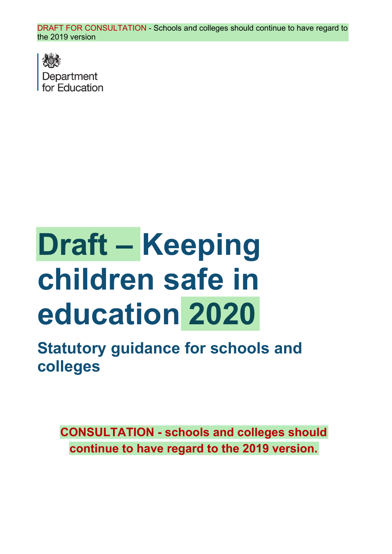DRAFT FOR CONSULTATION - Schools and colleges should continue to have regard to the 2019 version



# **Draft – Keeping children safe in education 2020**

**Statutory guidance for schools and colleges**

**CONSULTATION - schools and colleges should continue to have regard to the 2019 version.**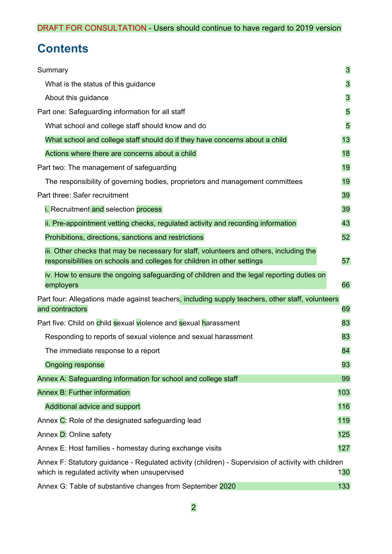# **Contents**

| Summary                                                                                                                                                            | 3   |
|--------------------------------------------------------------------------------------------------------------------------------------------------------------------|-----|
| What is the status of this guidance                                                                                                                                | 3   |
| About this guidance                                                                                                                                                | 3   |
| Part one: Safeguarding information for all staff                                                                                                                   | 5   |
| What school and college staff should know and do                                                                                                                   | 5   |
| What school and college staff should do if they have concerns about a child                                                                                        | 13  |
| Actions where there are concerns about a child                                                                                                                     | 18  |
| Part two: The management of safeguarding                                                                                                                           | 19  |
| The responsibility of governing bodies, proprietors and management committees                                                                                      | 19  |
| Part three: Safer recruitment                                                                                                                                      | 39  |
| <i>i.</i> Recruitment and selection process                                                                                                                        | 39  |
| ii. Pre-appointment vetting checks, regulated activity and recording information                                                                                   | 43  |
| Prohibitions, directions, sanctions and restrictions                                                                                                               | 52  |
| iii. Other checks that may be necessary for staff, volunteers and others, including the<br>responsibilities on schools and colleges for children in other settings | 57  |
| iv. How to ensure the ongoing safeguarding of children and the legal reporting duties on<br>employers                                                              | 66  |
| Part four: Allegations made against teachers, including supply teachers, other staff, volunteers<br>and contractors                                                | 69  |
| Part five: Child on child sexual violence and sexual harassment                                                                                                    | 83  |
| Responding to reports of sexual violence and sexual harassment                                                                                                     | 83  |
| The immediate response to a report                                                                                                                                 | 84  |
| <b>Ongoing response</b>                                                                                                                                            | 93  |
| Annex A: Safeguarding information for school and college staff                                                                                                     | 99  |
| <b>Annex B: Further information</b>                                                                                                                                | 103 |
| Additional advice and support                                                                                                                                      | 116 |
| Annex C: Role of the designated safeguarding lead                                                                                                                  | 119 |
| Annex D: Online safety                                                                                                                                             | 125 |
| Annex E: Host families - homestay during exchange visits                                                                                                           | 127 |
| Annex F: Statutory guidance - Regulated activity (children) - Supervision of activity with children<br>which is regulated activity when unsupervised               | 130 |
| Annex G: Table of substantive changes from September 2020                                                                                                          | 133 |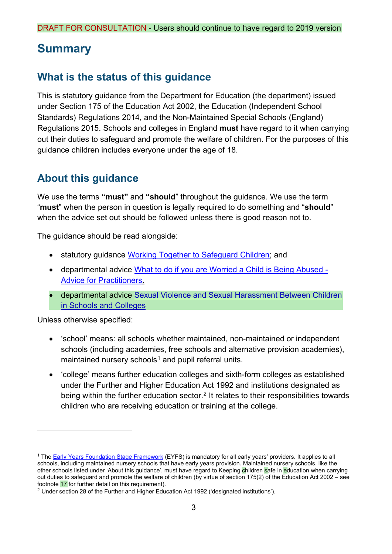# <span id="page-2-0"></span>**Summary**

# <span id="page-2-1"></span>**What is the status of this guidance**

This is statutory guidance from the Department for Education (the department) issued under Section 175 of the Education Act 2002, the Education (Independent School Standards) Regulations 2014, and the Non-Maintained Special Schools (England) Regulations 2015. Schools and colleges in England **must** have regard to it when carrying out their duties to safeguard and promote the welfare of children. For the purposes of this guidance children includes everyone under the age of 18.

# <span id="page-2-2"></span>**About this guidance**

We use the terms **"must"** and **"should**" throughout the guidance. We use the term "**must**" when the person in question is legally required to do something and "**should**" when the advice set out should be followed unless there is good reason not to.

The guidance should be read alongside:

- statutory quidance [Working Together to Safeguard Children;](https://www.gov.uk/government/publications/working-together-to-safeguard-children--2) and
- departmental advice [What to do if you are Worried a Child is Being Abused -](https://www.gov.uk/government/publications/what-to-do-if-youre-worried-a-child-is-being-abused--2) [Advice for Practitioners.](https://www.gov.uk/government/publications/what-to-do-if-youre-worried-a-child-is-being-abused--2)
- departmental advice [Sexual Violence and Sexual Harassment Between Children](https://www.gov.uk/government/publications/sexual-violence-and-sexual-harassment-between-children-in-schools-and-colleges)  [in Schools and Colleges](https://www.gov.uk/government/publications/sexual-violence-and-sexual-harassment-between-children-in-schools-and-colleges)

Unless otherwise specified:

- 'school' means: all schools whether maintained, non-maintained or independent schools (including academies, free schools and alternative provision academies), maintained nursery schools<sup>[1](#page-2-3)</sup> and pupil referral units.
- 'college' means further education colleges and sixth-form colleges as established under the Further and Higher Education Act 1992 and institutions designated as being within the further education sector.<sup>[2](#page-2-4)</sup> It relates to their responsibilities towards children who are receiving education or training at the college.

<span id="page-2-3"></span><sup>&</sup>lt;sup>1</sup> Th[e Early Years Foundation Stage Framework](https://www.gov.uk/government/publications/early-years-foundation-stage-framework--2) (EYFS) is mandatory for all early years' providers. It applies to all schools, including maintained nursery schools that have early years provision. Maintained nursery schools, like the other schools listed under 'About this guidance', must have regard to Keeping children safe in education when carrying out duties to safeguard and promote the welfare of children (by virtue of section 175(2) of the Education Act 2002 – see footnote 17 for further detail on this requirement).

<span id="page-2-4"></span> $2$  Under section 28 of the Further and Higher Education Act 1992 ('designated institutions').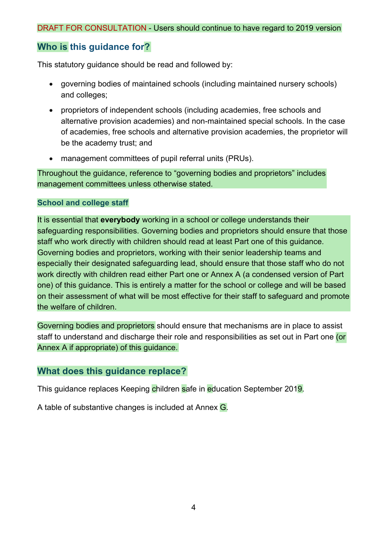# **Who is this guidance for?**

This statutory guidance should be read and followed by:

- governing bodies of maintained schools (including maintained nursery schools) and colleges;
- proprietors of independent schools (including academies, free schools and alternative provision academies) and non-maintained special schools. In the case of academies, free schools and alternative provision academies, the proprietor will be the academy trust; and
- management committees of pupil referral units (PRUs).

Throughout the guidance, reference to "governing bodies and proprietors" includes management committees unless otherwise stated.

#### **School and college staff**

It is essential that **everybody** working in a school or college understands their safeguarding responsibilities. Governing bodies and proprietors should ensure that those staff who work directly with children should read at least Part one of this guidance. Governing bodies and proprietors, working with their senior leadership teams and especially their designated safeguarding lead, should ensure that those staff who do not work directly with children read either Part one or Annex A (a condensed version of Part one) of this guidance. This is entirely a matter for the school or college and will be based on their assessment of what will be most effective for their staff to safeguard and promote the welfare of children.

Governing bodies and proprietors should ensure that mechanisms are in place to assist staff to understand and discharge their role and responsibilities as set out in Part one (or Annex A if appropriate) of this guidance.

# **What does this guidance replace?**

This guidance replaces Keeping children safe in education September 2019.

A table of substantive changes is included at Annex G.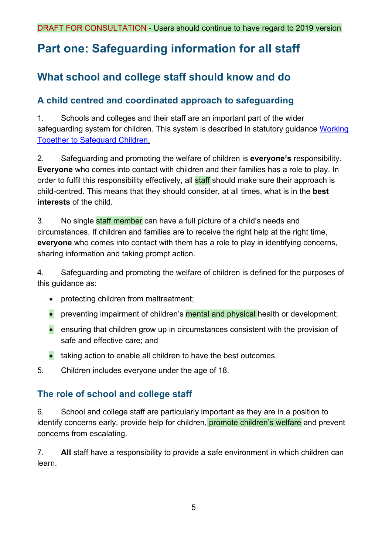# <span id="page-4-0"></span>**Part one: Safeguarding information for all staff**

# <span id="page-4-1"></span>**What school and college staff should know and do**

# **A child centred and coordinated approach to safeguarding**

1. Schools and colleges and their staff are an important part of the wider safeguarding system for children. This system is described in statutory guidance Working [Together to Safeguard Children.](https://www.gov.uk/government/publications/working-together-to-safeguard-children--2)

2. Safeguarding and promoting the welfare of children is **everyone's** responsibility. **Everyone** who comes into contact with children and their families has a role to play. In order to fulfil this responsibility effectively, all **staff** should make sure their approach is child-centred. This means that they should consider, at all times, what is in the **best interests** of the child.

3. No single staff member can have a full picture of a child's needs and circumstances. If children and families are to receive the right help at the right time, **everyone** who comes into contact with them has a role to play in identifying concerns, sharing information and taking prompt action.

4. Safeguarding and promoting the welfare of children is defined for the purposes of this guidance as:

- protecting children from maltreatment;
- preventing impairment of children's mental and physical health or development;
- ensuring that children grow up in circumstances consistent with the provision of safe and effective care; and
- taking action to enable all children to have the best outcomes.
- 5. Children includes everyone under the age of 18.

# **The role of school and college staff**

6. School and college staff are particularly important as they are in a position to identify concerns early, provide help for children, promote children's welfare and prevent concerns from escalating.

7. **All** staff have a responsibility to provide a safe environment in which children can learn.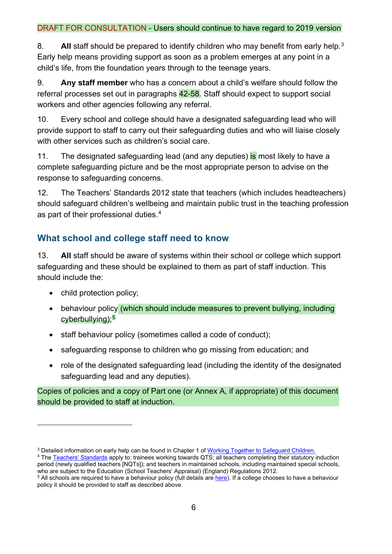8. **All** staff should be prepared to identify children who may benefit from early help.[3](#page-5-0) Early help means providing support as soon as a problem emerges at any point in a child's life, from the foundation years through to the teenage years.

9. **Any staff member** who has a concern about a child's welfare should follow the referral processes set out in paragraphs 42-58. Staff should expect to support social workers and other agencies following any referral.

10. Every school and college should have a designated safeguarding lead who will provide support to staff to carry out their safeguarding duties and who will liaise closely with other services such as children's social care.

11. The designated safeguarding lead (and any deputies) is most likely to have a complete safeguarding picture and be the most appropriate person to advise on the response to safeguarding concerns.

12. The Teachers' Standards 2012 state that teachers (which includes headteachers) should safeguard children's wellbeing and maintain public trust in the teaching profession as part of their professional duties.[4](#page-5-1)

# **What school and college staff need to know**

13. **All** staff should be aware of systems within their school or college which support safeguarding and these should be explained to them as part of staff induction. This should include the:

- child protection policy:
- behaviour policy (which should include measures to prevent bullying, including cyberbullying);<sup>[5](#page-5-2)</sup>
- staff behaviour policy (sometimes called a code of conduct);
- safeguarding response to children who go missing from education; and
- role of the designated safeguarding lead (including the identity of the designated safeguarding lead and any deputies).

Copies of policies and a copy of Part one (or Annex A, if appropriate) of this document should be provided to staff at induction.

<span id="page-5-0"></span><sup>3</sup> Detailed information on early help can be found in Chapter 1 of [Working Together to Safeguard Children.](https://www.gov.uk/government/publications/working-together-to-safeguard-children--2)

<span id="page-5-1"></span><sup>&</sup>lt;sup>4</sup> Th[e Teachers' Standards](https://www.gov.uk/government/publications/teachers-standards) apply to: trainees working towards QTS; all teachers completing their statutory induction period (newly qualified teachers [NQTs]); and teachers in maintained schools, including maintained special schools, who are subject to the Education (School Teachers' Appraisal) (England) Regulations 2012.

<span id="page-5-2"></span><sup>&</sup>lt;sup>5</sup> All schools are required to have a behaviour policy (full details are [here\)](https://www.gov.uk/government/publications/behaviour-and-discipline-in-schools). If a college chooses to have a behaviour policy it should be provided to staff as described above.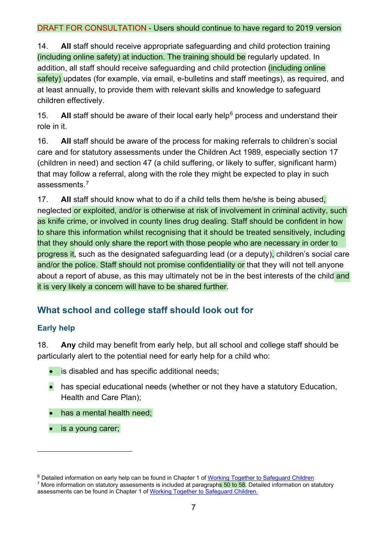14. **All** staff should receive appropriate safeguarding and child protection training (including online safety) at induction. The training should be regularly updated. In addition, all staff should receive safeguarding and child protection *(including online* safety) updates (for example, via email, e-bulletins and staff meetings), as required, and at least annually, to provide them with relevant skills and knowledge to safeguard children effectively.

15. **All** staff should be aware of their local early help<sup>[6](#page-6-0)</sup> process and understand their role in it.

16. **All** staff should be aware of the process for making referrals to children's social care and for statutory assessments under the Children Act 1989, especially section 17 (children in need) and section 47 (a child suffering, or likely to suffer, significant harm) that may follow a referral, along with the role they might be expected to play in such assessments. [7](#page-6-1)

17. **All** staff should know what to do if a child tells them he/she is being abused, neglected or exploited, and/or is otherwise at risk of involvement in criminal activity, such as knife crime, or involved in county lines drug dealing. Staff should be confident in how to share this information whilst recognising that it should be treated sensitively, including that they should only share the report with those people who are necessary in order to progress it, such as the designated safeguarding lead (or a deputy), children's social care and/or the police. Staff should not promise confidentiality or that they will not tell anyone about a report of abuse, as this may ultimately not be in the best interests of the child and it is very likely a concern will have to be shared further.

# **What school and college staff should look out for**

# **Early help**

18. **Any** child may benefit from early help, but all school and college staff should be particularly alert to the potential need for early help for a child who:

- is disabled and has specific additional needs;
- has special educational needs (whether or not they have a statutory Education, Health and Care Plan);
- has a mental health need;
- is a young carer;

<span id="page-6-0"></span><sup>&</sup>lt;sup>6</sup> Detailed information on early help can be found in Chapter 1 of [Working Together to Safeguard Children](https://www.gov.uk/government/publications/working-together-to-safeguard-children--2)

<span id="page-6-1"></span><sup>&</sup>lt;sup>7</sup> More information on statutory assessments is included at paragraphs 50 to 58. Detailed information on statutory assessments can be found in Chapter 1 of [Working Together to Safeguard Children.](https://www.gov.uk/government/publications/working-together-to-safeguard-children--2)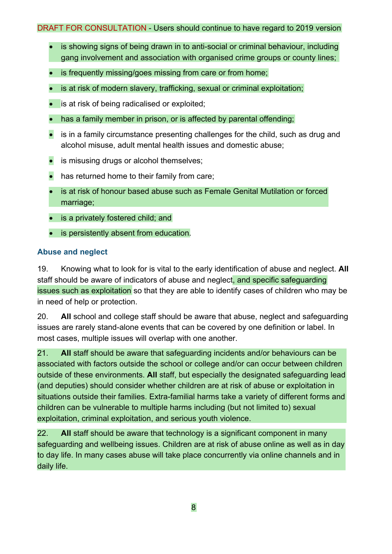- is showing signs of being drawn in to anti-social or criminal behaviour, including gang involvement and association with organised crime groups or county lines;
- is frequently missing/goes missing from care or from home;
- is at risk of modern slavery, trafficking, sexual or criminal exploitation;
- is at risk of being radicalised or exploited;
- has a family member in prison, or is affected by parental offending;
- is in a family circumstance presenting challenges for the child, such as drug and alcohol misuse, adult mental health issues and domestic abuse;
- is misusing drugs or alcohol themselves;
- has returned home to their family from care;
- is at risk of honour based abuse such as Female Genital Mutilation or forced marriage;
- is a privately fostered child; and
- is persistently absent from education.

## **Abuse and neglect**

19. Knowing what to look for is vital to the early identification of abuse and neglect. **All**  staff should be aware of indicators of abuse and neglect, and specific safeguarding issues such as exploitation so that they are able to identify cases of children who may be in need of help or protection.

20. **All** school and college staff should be aware that abuse, neglect and safeguarding issues are rarely stand-alone events that can be covered by one definition or label. In most cases, multiple issues will overlap with one another.

21. **All** staff should be aware that safeguarding incidents and/or behaviours can be associated with factors outside the school or college and/or can occur between children outside of these environments. **All** staff, but especially the designated safeguarding lead (and deputies) should consider whether children are at risk of abuse or exploitation in situations outside their families. Extra-familial harms take a variety of different forms and children can be vulnerable to multiple harms including (but not limited to) sexual exploitation, criminal exploitation, and serious youth violence.

22. **All** staff should be aware that technology is a significant component in many safeguarding and wellbeing issues. Children are at risk of abuse online as well as in day to day life. In many cases abuse will take place concurrently via online channels and in daily life.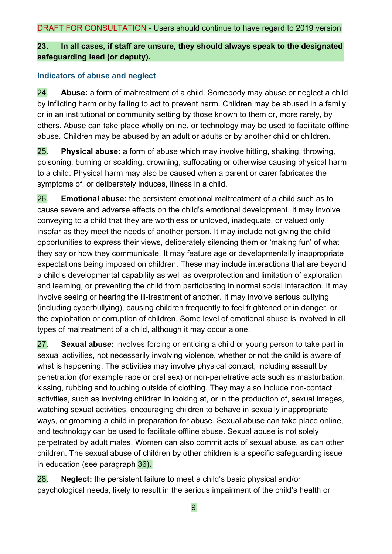# **23. In all cases, if staff are unsure, they should always speak to the designated safeguarding lead (or deputy).**

# **Indicators of abuse and neglect**

24. **Abuse:** a form of maltreatment of a child. Somebody may abuse or neglect a child by inflicting harm or by failing to act to prevent harm. Children may be abused in a family or in an institutional or community setting by those known to them or, more rarely, by others. Abuse can take place wholly online, or technology may be used to facilitate offline abuse. Children may be abused by an adult or adults or by another child or children.

25. **Physical abuse:** a form of abuse which may involve hitting, shaking, throwing, poisoning, burning or scalding, drowning, suffocating or otherwise causing physical harm to a child. Physical harm may also be caused when a parent or carer fabricates the symptoms of, or deliberately induces, illness in a child.

26. **Emotional abuse:** the persistent emotional maltreatment of a child such as to cause severe and adverse effects on the child's emotional development. It may involve conveying to a child that they are worthless or unloved, inadequate, or valued only insofar as they meet the needs of another person. It may include not giving the child opportunities to express their views, deliberately silencing them or 'making fun' of what they say or how they communicate. It may feature age or developmentally inappropriate expectations being imposed on children. These may include interactions that are beyond a child's developmental capability as well as overprotection and limitation of exploration and learning, or preventing the child from participating in normal social interaction. It may involve seeing or hearing the ill-treatment of another. It may involve serious bullying (including cyberbullying), causing children frequently to feel frightened or in danger, or the exploitation or corruption of children. Some level of emotional abuse is involved in all types of maltreatment of a child, although it may occur alone.

27. **Sexual abuse:** involves forcing or enticing a child or young person to take part in sexual activities, not necessarily involving violence, whether or not the child is aware of what is happening. The activities may involve physical contact, including assault by penetration (for example rape or oral sex) or non-penetrative acts such as masturbation, kissing, rubbing and touching outside of clothing. They may also include non-contact activities, such as involving children in looking at, or in the production of, sexual images, watching sexual activities, encouraging children to behave in sexually inappropriate ways, or grooming a child in preparation for abuse. Sexual abuse can take place online, and technology can be used to facilitate offline abuse. Sexual abuse is not solely perpetrated by adult males. Women can also commit acts of sexual abuse, as can other children. The sexual abuse of children by other children is a specific safeguarding issue in education (see paragraph 36).

28. **Neglect:** the persistent failure to meet a child's basic physical and/or psychological needs, likely to result in the serious impairment of the child's health or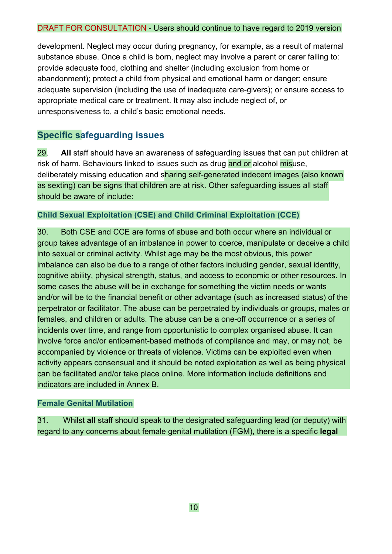development. Neglect may occur during pregnancy, for example, as a result of maternal substance abuse. Once a child is born, neglect may involve a parent or carer failing to: provide adequate food, clothing and shelter (including exclusion from home or abandonment); protect a child from physical and emotional harm or danger; ensure adequate supervision (including the use of inadequate care-givers); or ensure access to appropriate medical care or treatment. It may also include neglect of, or unresponsiveness to, a child's basic emotional needs.

# **Specific safeguarding issues**

29. **All** staff should have an awareness of safeguarding issues that can put children at risk of harm. Behaviours linked to issues such as drug and or alcohol misuse. deliberately missing education and sharing self-generated indecent images (also known as sexting) can be signs that children are at risk. Other safeguarding issues all staff should be aware of include:

## **Child Sexual Exploitation (CSE) and Child Criminal Exploitation (CCE)**

30. Both CSE and CCE are forms of abuse and both occur where an individual or group takes advantage of an imbalance in power to coerce, manipulate or deceive a child into sexual or criminal activity. Whilst age may be the most obvious, this power imbalance can also be due to a range of other factors including gender, sexual identity, cognitive ability, physical strength, status, and access to economic or other resources. In some cases the abuse will be in exchange for something the victim needs or wants and/or will be to the financial benefit or other advantage (such as increased status) of the perpetrator or facilitator. The abuse can be perpetrated by individuals or groups, males or females, and children or adults. The abuse can be a one-off occurrence or a series of incidents over time, and range from opportunistic to complex organised abuse. It can involve force and/or enticement-based methods of compliance and may, or may not, be accompanied by violence or threats of violence. Victims can be exploited even when activity appears consensual and it should be noted exploitation as well as being physical can be facilitated and/or take place online. More information include definitions and indicators are included in Annex B.

## **Female Genital Mutilation**

31. Whilst **all** staff should speak to the designated safeguarding lead (or deputy) with regard to any concerns about female genital mutilation (FGM), there is a specific **legal**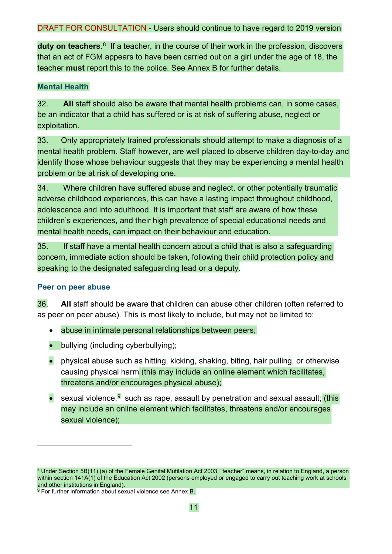**duty on teachers**.<sup>8</sup> If a teacher, in the course of their work in the profession, discovers that an act of FGM appears to have been carried out on a girl under the age of 18, the teacher **must** report this to the police. See Annex B for further details.

## **Mental Health**

32. **All** staff should also be aware that mental health problems can, in some cases, be an indicator that a child has suffered or is at risk of suffering abuse, neglect or exploitation.

33. Only appropriately trained professionals should attempt to make a diagnosis of a mental health problem. Staff however, are well placed to observe children day-to-day and identify those whose behaviour suggests that they may be experiencing a mental health problem or be at risk of developing one.

34. Where children have suffered abuse and neglect, or other potentially traumatic adverse childhood experiences, this can have a lasting impact throughout childhood, adolescence and into adulthood. It is important that staff are aware of how these children's experiences, and their high prevalence of special educational needs and mental health needs, can impact on their behaviour and education.

35. If staff have a mental health concern about a child that is also a safeguarding concern, immediate action should be taken, following their child protection policy and speaking to the designated safeguarding lead or a deputy.

#### **Peer on peer abuse**

36. **All** staff should be aware that children can abuse other children (often referred to as peer on peer abuse). This is most likely to include, but may not be limited to:

- abuse in intimate personal relationships between peers;
- bullying (including cyberbullying);
- physical abuse such as hitting, kicking, shaking, biting, hair pulling, or otherwise causing physical harm (this may include an online element which facilitates, threatens and/or encourages physical abuse);
- sexual violence,<sup>[9](#page-10-1)</sup> such as rape, assault by penetration and sexual assault; (this may include an online element which facilitates, threatens and/or encourages sexual violence);

<span id="page-10-0"></span><sup>&</sup>lt;sup>8</sup> Under Section 5B(11) (a) of the Female Genital Mutilation Act 2003, "teacher" means, in relation to England, a person within section 141A(1) of the Education Act 2002 (persons employed or engaged to carry out teaching work at schools and other institutions in England).<br><sup>9</sup> For further information about sexual violence see Annex B.

<span id="page-10-1"></span>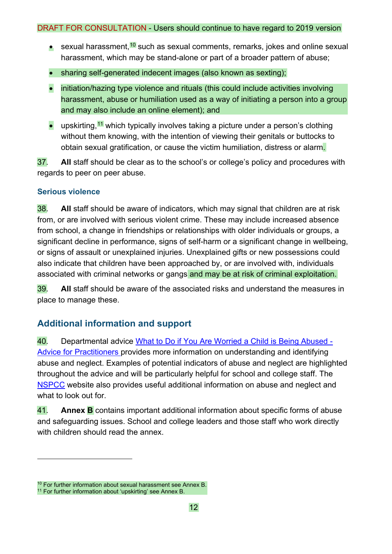- sexual harassment,<sup>[10](#page-11-0)</sup> such as sexual comments, remarks, jokes and online sexual harassment, which may be stand-alone or part of a broader pattern of abuse;
- sharing self-generated indecent images (also known as sexting);
- initiation/hazing type violence and rituals (this could include activities involving harassment, abuse or humiliation used as a way of initiating a person into a group and may also include an online element); and
- upskirting,<sup>[11](#page-11-1)</sup> which typically involves taking a picture under a person's clothing without them knowing, with the intention of viewing their genitals or buttocks to obtain sexual gratification, or cause the victim humiliation, distress or alarm.

37. **All** staff should be clear as to the school's or college's policy and procedures with regards to peer on peer abuse.

# **Serious violence**

38. **All** staff should be aware of indicators, which may signal that children are at risk from, or are involved with serious violent crime. These may include increased absence from school, a change in friendships or relationships with older individuals or groups, a significant decline in performance, signs of self-harm or a significant change in wellbeing, or signs of assault or unexplained injuries. Unexplained gifts or new possessions could also indicate that children have been approached by, or are involved with, individuals associated with criminal networks or gangs and may be at risk of criminal exploitation.

39. **All** staff should be aware of the associated risks and understand the measures in place to manage these.

# **Additional information and support**

40. Departmental advice [What to Do if You Are Worried a Child is Being Abused -](https://www.gov.uk/government/publications/what-to-do-if-youre-worried-a-child-is-being-abused--2) [Advice for Practitioners](https://www.gov.uk/government/publications/what-to-do-if-youre-worried-a-child-is-being-abused--2) provides more information on understanding and identifying abuse and neglect. Examples of potential indicators of abuse and neglect are highlighted throughout the advice and will be particularly helpful for school and college staff. The [NSPCC](https://www.nspcc.org.uk/preventing-abuse/child-abuse-and-neglect/) website also provides useful additional information on abuse and neglect and what to look out for.

41. **Annex B** contains important additional information about specific forms of abuse and safeguarding issues. School and college leaders and those staff who work directly with children should read the annex.

<sup>&</sup>lt;sup>10</sup> For further information about sexual harassment see Annex B.

<span id="page-11-1"></span><span id="page-11-0"></span><sup>&</sup>lt;sup>11</sup> For further information about 'upskirting' see Annex B.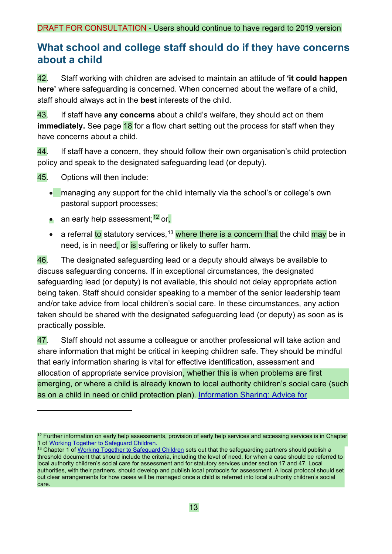# <span id="page-12-0"></span>**What school and college staff should do if they have concerns about a child**

42. Staff working with children are advised to maintain an attitude of **'it could happen here'** where safeguarding is concerned. When concerned about the welfare of a child, staff should always act in the **best** interests of the child.

43. If staff have **any concerns** about a child's welfare, they should act on them **immediately.** See page 18 for a flow chart setting out the process for staff when they have concerns about a child.

44. If staff have a concern, they should follow their own organisation's child protection policy and speak to the designated safeguarding lead (or deputy).

45. Options will then include:

- managing any support for the child internally via the school's or college's own pastoral support processes;
- an early help assessment: $\frac{12}{2}$  $\frac{12}{2}$  $\frac{12}{2}$  or,
- a referral to statutory services.<sup>[13](#page-12-2)</sup> where there is a concern that the child may be in need, is in need, or is suffering or likely to suffer harm.

46. The designated safeguarding lead or a deputy should always be available to discuss safeguarding concerns. If in exceptional circumstances, the designated safeguarding lead (or deputy) is not available, this should not delay appropriate action being taken. Staff should consider speaking to a member of the senior leadership team and/or take advice from local children's social care. In these circumstances, any action taken should be shared with the designated safeguarding lead (or deputy) as soon as is practically possible.

47. Staff should not assume a colleague or another professional will take action and share information that might be critical in keeping children safe. They should be mindful that early information sharing is vital for effective identification, assessment and allocation of appropriate service provision, whether this is when problems are first emerging, or where a child is already known to local authority children's social care (such as on a child in need or child protection plan). [Information Sharing: Advice for](https://www.gov.uk/government/publications/safeguarding-practitioners-information-sharing-advice) 

<span id="page-12-1"></span> $12$  Further information on early help assessments, provision of early help services and accessing services is in Chapter 1 of [Working Together to Safeguard Children.](https://www.gov.uk/government/publications/working-together-to-safeguard-children--2)

<span id="page-12-2"></span><sup>&</sup>lt;sup>13</sup> Chapter 1 of [Working Together to Safeguard Children](https://www.gov.uk/government/publications/working-together-to-safeguard-children--2) sets out that the safeguarding partners should publish a threshold document that should include the criteria, including the level of need, for when a case should be referred to local authority children's social care for assessment and for statutory services under section 17 and 47. Local authorities, with their partners, should develop and publish local protocols for assessment. A local protocol should set out clear arrangements for how cases will be managed once a child is referred into local authority children's social care.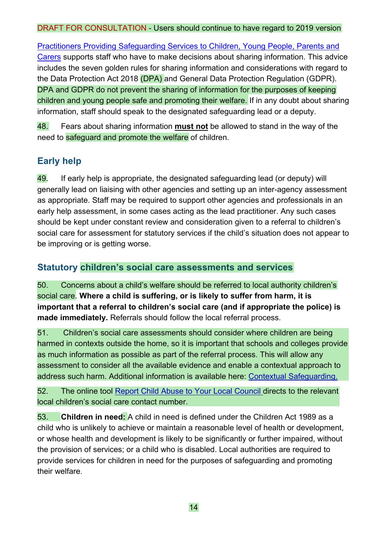[Practitioners Providing Safeguarding Services to Children, Young People, Parents and](https://www.gov.uk/government/publications/safeguarding-practitioners-information-sharing-advice)  [Carers](https://www.gov.uk/government/publications/safeguarding-practitioners-information-sharing-advice) supports staff who have to make decisions about sharing information. This advice includes the seven golden rules for sharing information and considerations with regard to the Data Protection Act 2018 (DPA) and General Data Protection Regulation (GDPR). DPA and GDPR do not prevent the sharing of information for the purposes of keeping children and young people safe and promoting their welfare. If in any doubt about sharing information, staff should speak to the designated safeguarding lead or a deputy.

48. Fears about sharing information **must not** be allowed to stand in the way of the need to safeguard and promote the welfare of children.

# **Early help**

49. If early help is appropriate, the designated safeguarding lead (or deputy) will generally lead on liaising with other agencies and setting up an inter-agency assessment as appropriate. Staff may be required to support other agencies and professionals in an early help assessment, in some cases acting as the lead practitioner. Any such cases should be kept under constant review and consideration given to a referral to children's social care for assessment for statutory services if the child's situation does not appear to be improving or is getting worse.

# **Statutory children's social care assessments and services**

50. Concerns about a child's welfare should be referred to local authority children's social care. **Where a child is suffering, or is likely to suffer from harm, it is important that a referral to children's social care (and if appropriate the police) is made immediately.** Referrals should follow the local referral process.

51. Children's social care assessments should consider where children are being harmed in contexts outside the home, so it is important that schools and colleges provide as much information as possible as part of the referral process. This will allow any assessment to consider all the available evidence and enable a contextual approach to address such harm. Additional information is available here: [Contextual Safeguarding.](https://contextualsafeguarding.org.uk/about/what-is-contextual-safeguarding)

52. The online tool [Report Child Abuse to Your Local Council](https://www.gov.uk/report-child-abuse-to-local-council) directs to the relevant local children's social care contact number.

53. **Children in need:** A child in need is defined under the Children Act 1989 as a child who is unlikely to achieve or maintain a reasonable level of health or development, or whose health and development is likely to be significantly or further impaired, without the provision of services; or a child who is disabled. Local authorities are required to provide services for children in need for the purposes of safeguarding and promoting their welfare.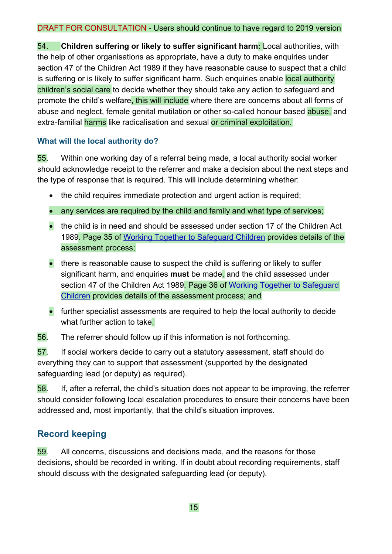54. **Children suffering or likely to suffer significant harm:** Local authorities, with the help of other organisations as appropriate, have a duty to make enquiries under section 47 of the Children Act 1989 if they have reasonable cause to suspect that a child is suffering or is likely to suffer significant harm. Such enquiries enable local authority children's social care to decide whether they should take any action to safeguard and promote the child's welfare, this will include where there are concerns about all forms of abuse and neglect, female genital mutilation or other so-called honour based abuse, and extra-familial harms like radicalisation and sexual or criminal exploitation.

# **What will the local authority do?**

55. Within one working day of a referral being made, a local authority social worker should acknowledge receipt to the referrer and make a decision about the next steps and the type of response that is required. This will include determining whether:

- the child requires immediate protection and urgent action is required;
- any services are required by the child and family and what type of services;
- the child is in need and should be assessed under section 17 of the Children Act 1989. Page 35 of [Working Together to Safeguard Children](https://www.gov.uk/government/publications/working-together-to-safeguard-children--2) provides details of the assessment process;
- there is reasonable cause to suspect the child is suffering or likely to suffer significant harm, and enquiries **must** be made, and the child assessed under section 47 of the Children Act 1989. Page 36 of Working Together to Safeguard [Children](https://www.gov.uk/government/publications/working-together-to-safeguard-children--2) provides details of the assessment process; and
- further specialist assessments are required to help the local authority to decide what further action to take.

56. The referrer should follow up if this information is not forthcoming.

57. If social workers decide to carry out a statutory assessment, staff should do everything they can to support that assessment (supported by the designated safeguarding lead (or deputy) as required).

58. If, after a referral, the child's situation does not appear to be improving, the referrer should consider following local escalation procedures to ensure their concerns have been addressed and, most importantly, that the child's situation improves.

# **Record keeping**

59. All concerns, discussions and decisions made, and the reasons for those decisions, should be recorded in writing. If in doubt about recording requirements, staff should discuss with the designated safeguarding lead (or deputy).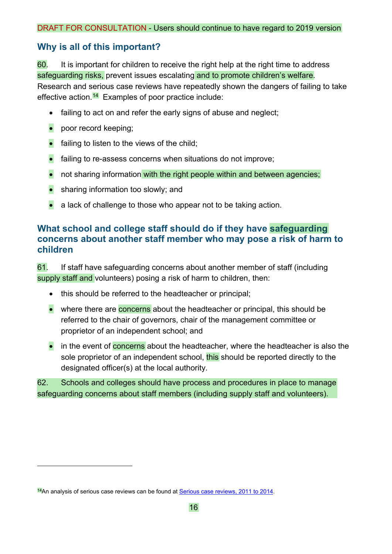# **Why is all of this important?**

60. It is important for children to receive the right help at the right time to address safeguarding risks, prevent issues escalating and to promote children's welfare. Research and serious case reviews have repeatedly shown the dangers of failing to take effective action.<sup>14</sup> Examples of poor practice include:

- failing to act on and refer the early signs of abuse and neglect;
- poor record keeping;
- failing to listen to the views of the child:
- failing to re-assess concerns when situations do not improve:
- not sharing information with the right people within and between agencies;
- sharing information too slowly; and
- a lack of challenge to those who appear not to be taking action.

# **What school and college staff should do if they have safeguarding concerns about another staff member who may pose a risk of harm to children**

61. If staff have safeguarding concerns about another member of staff (including supply staff and volunteers) posing a risk of harm to children, then:

- this should be referred to the headteacher or principal;
- where there are **concerns** about the headteacher or principal, this should be referred to the chair of governors, chair of the management committee or proprietor of an independent school; and
- in the event of concerns about the headteacher, where the headteacher is also the sole proprietor of an independent school, this should be reported directly to the designated officer(s) at the local authority.

62. Schools and colleges should have process and procedures in place to manage safeguarding concerns about staff members (including supply staff and volunteers).

<span id="page-15-0"></span><sup>14</sup>An analysis of serious case reviews can be found at [Serious case reviews, 2011 to 2014.](https://www.gov.uk/government/publications/analysis-of-serious-case-reviews-2011-to-2014)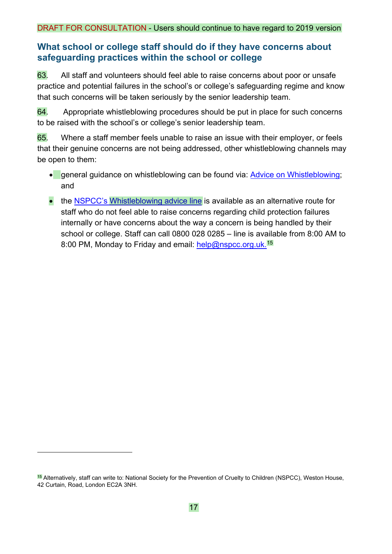# **What school or college staff should do if they have concerns about safeguarding practices within the school or college**

63. All staff and volunteers should feel able to raise concerns about poor or unsafe practice and potential failures in the school's or college's safeguarding regime and know that such concerns will be taken seriously by the senior leadership team.

64. Appropriate whistleblowing procedures should be put in place for such concerns to be raised with the school's or college's senior leadership team.

65. Where a staff member feels unable to raise an issue with their employer, or feels that their genuine concerns are not being addressed, other whistleblowing channels may be open to them:

- general guidance on whistleblowing can be found via: [Advice on Whistleblowing;](https://www.gov.uk/whistleblowing) and
- the [NSPCC's Whistleblowing advice line](https://www.nspcc.org.uk/what-you-can-do/report-abuse/dedicated-helplines/whistleblowing-advice-line/) is available as an alternative route for staff who do not feel able to raise concerns regarding child protection failures internally or have concerns about the way a concern is being handled by their school or college. Staff can call 0800 028 0285 – line is available from 8:00 AM to 8:00 PM, Monday to Friday and email: <u>help@nspcc.org.uk.</u><sup>[15](#page-16-0)</sup>

<span id="page-16-0"></span><sup>15</sup> Alternatively, staff can write to: National Society for the Prevention of Cruelty to Children (NSPCC), Weston House, 42 Curtain, Road, London EC2A 3NH.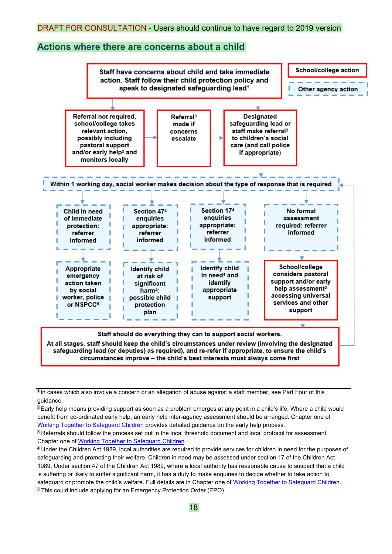#### <span id="page-17-0"></span>**Actions where there are concerns about a child**



<sup>&</sup>lt;sup>1</sup> In cases which also involve a concern or an allegation of abuse against a staff member, see Part Four of this guidance.

 $2$  Early help means providing support as soon as a problem emerges at any point in a child's life. Where a child would benefit from co-ordinated early help, an early help inter-agency assessment should be arranged. Chapter one of [Working Together to Safeguard Children](https://www.gov.uk/government/publications/working-together-to-safeguard-children--2) provides detailed guidance on the early help process.

<sup>&</sup>lt;sup>3</sup> Referrals should follow the process set out in the local threshold document and local protocol for assessment. Chapter one o[f Working Together to Safeguard Children.](https://www.gov.uk/government/publications/working-together-to-safeguard-children--2)

<sup>&</sup>lt;sup>4</sup> Under the Children Act 1989, local authorities are required to provide services for children in need for the purposes of safeguarding and promoting their welfare. Children in need may be assessed under section 17 of the Children Act 1989. Under section 47 of the Children Act 1989, where a local authority has reasonable cause to suspect that a child is suffering or likely to suffer significant harm, it has a duty to make enquiries to decide whether to take action to safeguard or promote the child's welfare. Full details are in Chapter one of [Working Together to Safeguard Children.](https://www.gov.uk/government/publications/working-together-to-safeguard-children--2) 5 This could include applying for an Emergency Protection Order (EPO).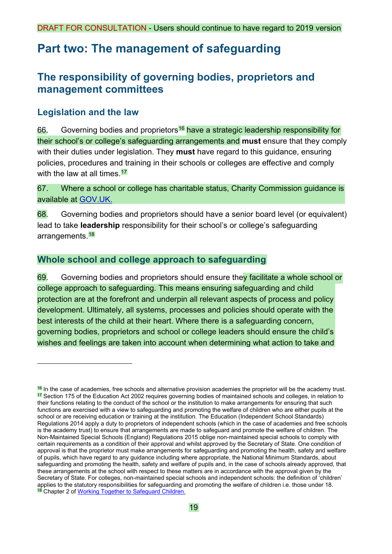# <span id="page-18-0"></span>**Part two: The management of safeguarding**

# <span id="page-18-1"></span>**The responsibility of governing bodies, proprietors and management committees**

# **Legislation and the law**

66. Governing bodies and proprietors<sup>[16](#page-18-2)</sup> have a strategic leadership responsibility for their school's or college's safeguarding arrangements and **must** ensure that they comply with their duties under legislation. They **must** have regard to this guidance, ensuring policies, procedures and training in their schools or colleges are effective and comply with the law at all times. $17$ 

67. Where a school or college has charitable status, Charity Commission guidance is available at [GOV.UK.](https://www.gov.uk/guidance/safeguarding-duties-for-charity-trustees)

68. Governing bodies and proprietors should have a senior board level (or equivalent) lead to take **leadership** responsibility for their school's or college's safeguarding arrangements.<sup>[18](#page-18-4)</sup>

# **Whole school and college approach to safeguarding**

69. Governing bodies and proprietors should ensure they facilitate a whole school or college approach to safeguarding. This means ensuring safeguarding and child protection are at the forefront and underpin all relevant aspects of process and policy development. Ultimately, all systems, processes and policies should operate with the best interests of the child at their heart. Where there is a safeguarding concern, governing bodies, proprietors and school or college leaders should ensure the child's wishes and feelings are taken into account when determining what action to take and

<span id="page-18-4"></span><span id="page-18-3"></span><span id="page-18-2"></span><sup>16</sup> In the case of academies, free schools and alternative provision academies the proprietor will be the academy trust. <sup>17</sup> Section 175 of the Education Act 2002 requires governing bodies of maintained schools and colleges, in relation to their functions relating to the conduct of the school or the institution to make arrangements for ensuring that such functions are exercised with a view to safeguarding and promoting the welfare of children who are either pupils at the school or are receiving education or training at the institution. The Education (Independent School Standards) Regulations 2014 apply a duty to proprietors of independent schools (which in the case of academies and free schools is the academy trust) to ensure that arrangements are made to safeguard and promote the welfare of children. The Non-Maintained Special Schools (England) Regulations 2015 oblige non-maintained special schools to comply with certain requirements as a condition of their approval and whilst approved by the Secretary of State. One condition of approval is that the proprietor must make arrangements for safeguarding and promoting the health, safety and welfare of pupils, which have regard to any guidance including where appropriate, the National Minimum Standards, about safeguarding and promoting the health, safety and welfare of pupils and, in the case of schools already approved, that these arrangements at the school with respect to these matters are in accordance with the approval given by the Secretary of State. For colleges, non-maintained special schools and independent schools: the definition of 'children' applies to the statutory responsibilities for safeguarding and promoting the welfare of children i.e. those under 18. 18 Chapter 2 of [Working Together to Safeguard Children.](https://www.gov.uk/government/publications/working-together-to-safeguard-children--2)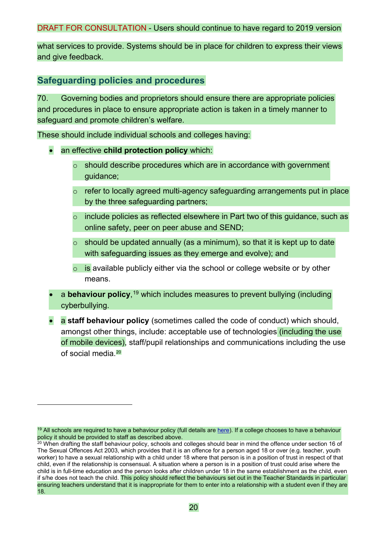what services to provide. Systems should be in place for children to express their views and give feedback.

# **Safeguarding policies and procedures**

70. Governing bodies and proprietors should ensure there are appropriate policies and procedures in place to ensure appropriate action is taken in a timely manner to safeguard and promote children's welfare.

These should include individual schools and colleges having:

- an effective **child protection policy** which:
	- $\circ$  should describe procedures which are in accordance with government guidance;
	- o refer to locally agreed multi-agency safeguarding arrangements put in place by the three safeguarding partners;
	- $\circ$  include policies as reflected elsewhere in Part two of this guidance, such as online safety, peer on peer abuse and SEND;
	- $\circ$  should be updated annually (as a minimum), so that it is kept up to date with safeguarding issues as they emerge and evolve); and
	- $\circ$  is available publicly either via the school or college website or by other means.
- a **behaviour policy**,<sup>[19](#page-19-0)</sup> which includes measures to prevent bullying (including cyberbullying.
- **a** staff behaviour policy (sometimes called the code of conduct) which should, amongst other things, include: acceptable use of technologies (including the use of mobile devices), staff/pupil relationships and communications including the use of social media.<sup>[20](#page-19-1)</sup>

<span id="page-19-0"></span> $19$  All schools are required to have a behaviour policy (full details are [here\)](https://www.gov.uk/government/publications/behaviour-and-discipline-in-schools). If a college chooses to have a behaviour policy it should be provided to staff as described above.

<span id="page-19-1"></span><sup>&</sup>lt;sup>20</sup> When drafting the staff behaviour policy, schools and colleges should bear in mind the offence under section 16 of The Sexual Offences Act 2003, which provides that it is an offence for a person aged 18 or over (e.g. teacher, youth worker) to have a sexual relationship with a child under 18 where that person is in a position of trust in respect of that child, even if the relationship is consensual. A situation where a person is in a position of trust could arise where the child is in full-time education and the person looks after children under 18 in the same establishment as the child, even if s/he does not teach the child. This policy should reflect the behaviours set out in the Teacher Standards in particular ensuring teachers understand that it is inappropriate for them to enter into a relationship with a student even if they are 18.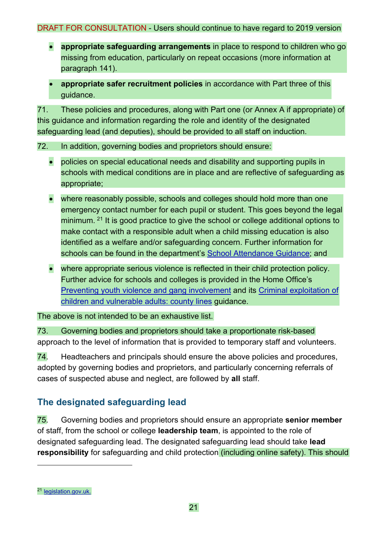- **appropriate safeguarding arrangements** in place to respond to children who go missing from education, particularly on repeat occasions (more information at paragraph 141).
- **appropriate safer recruitment policies** in accordance with Part three of this guidance.

71. These policies and procedures, along with Part one (or Annex A if appropriate) of this guidance and information regarding the role and identity of the designated safeguarding lead (and deputies), should be provided to all staff on induction.

## 72. In addition, governing bodies and proprietors should ensure:

- policies on special educational needs and disability and supporting pupils in schools with medical conditions are in place and are reflective of safeguarding as appropriate;
- where reasonably possible, schools and colleges should hold more than one emergency contact number for each pupil or student. This goes beyond the legal minimum. <sup>[21](#page-20-0)</sup> It is good practice to give the school or college additional options to make contact with a responsible adult when a child missing education is also identified as a welfare and/or safeguarding concern. Further information for schools can be found in the department's [School Attendance Guidance;](https://www.gov.uk/government/publications/school-attendance) and
- where appropriate serious violence is reflected in their child protection policy. Further advice for schools and colleges is provided in the Home Office's [Preventing youth violence and gang involvement](https://www.gov.uk/government/publications/advice-to-schools-and-colleges-on-gangs-and-youth-violence) and its [Criminal exploitation of](https://www.gov.uk/government/publications/criminal-exploitation-of-children-and-vulnerable-adults-county-lines)  [children and vulnerable adults:](https://www.gov.uk/government/publications/criminal-exploitation-of-children-and-vulnerable-adults-county-lines) county lines guidance.

The above is not intended to be an exhaustive list.

73. Governing bodies and proprietors should take a proportionate risk-based approach to the level of information that is provided to temporary staff and volunteers.

74. Headteachers and principals should ensure the above policies and procedures, adopted by governing bodies and proprietors, and particularly concerning referrals of cases of suspected abuse and neglect, are followed by **all** staff.

# **The designated safeguarding lead**

75. Governing bodies and proprietors should ensure an appropriate **senior member** of staff, from the school or college **leadership team**, is appointed to the role of designated safeguarding lead. The designated safeguarding lead should take **lead responsibility** for safeguarding and child protection *(including online safety)*. This should

<span id="page-20-0"></span><sup>&</sup>lt;sup>21</sup> [legislation.gov.uk.](http://www.legislation.gov.uk/uksi/2006/1751/contents/made)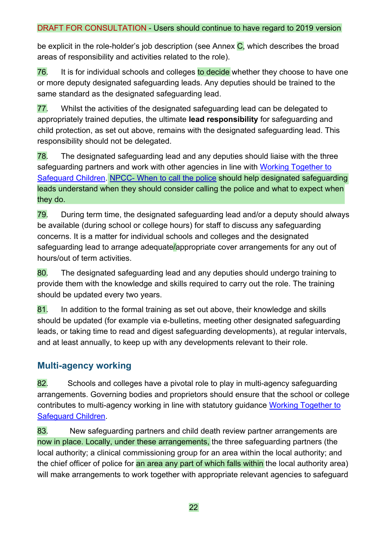be explicit in the role-holder's job description (see Annex  $C$ , which describes the broad areas of responsibility and activities related to the role).

76. It is for individual schools and colleges to decide whether they choose to have one or more deputy designated safeguarding leads. Any deputies should be trained to the same standard as the designated safeguarding lead.

77. Whilst the activities of the designated safeguarding lead can be delegated to appropriately trained deputies, the ultimate **lead responsibility** for safeguarding and child protection, as set out above, remains with the designated safeguarding lead. This responsibility should not be delegated.

78. The designated safeguarding lead and any deputies should liaise with the three safeguarding partners and work with other agencies in line with [Working Together to](https://www.gov.uk/government/publications/working-together-to-safeguard-children--2)  [Safeguard Children.](https://www.gov.uk/government/publications/working-together-to-safeguard-children--2) NPCC- [When to call the police](https://www.npcc.police.uk/documents/Children%20and%20Young%20people/When%20to%20call%20the%20police%20guidance%20for%20schools%20and%20colleges.pdf) should help designated safeguarding leads understand when they should consider calling the police and what to expect when they do.

79. During term time, the designated safeguarding lead and/or a deputy should always be available (during school or college hours) for staff to discuss any safeguarding concerns. It is a matter for individual schools and colleges and the designated safeguarding lead to arrange adequate/appropriate cover arrangements for any out of hours/out of term activities.

80. The designated safeguarding lead and any deputies should undergo training to provide them with the knowledge and skills required to carry out the role. The training should be updated every two years.

81. In addition to the formal training as set out above, their knowledge and skills should be updated (for example via e-bulletins, meeting other designated safeguarding leads, or taking time to read and digest safeguarding developments), at regular intervals, and at least annually, to keep up with any developments relevant to their role.

# **Multi-agency working**

82. Schools and colleges have a pivotal role to play in multi-agency safeguarding arrangements. Governing bodies and proprietors should ensure that the school or college contributes to multi-agency working in line with statutory guidance [Working Together to](https://www.gov.uk/government/publications/working-together-to-safeguard-children--2)  **[Safeguard Children.](https://www.gov.uk/government/publications/working-together-to-safeguard-children--2)** 

83. New safeguarding partners and child death review partner arrangements are now in place. Locally, under these arrangements, the three safeguarding partners (the local authority; a clinical commissioning group for an area within the local authority; and the chief officer of police for an area any part of which falls within the local authority area) will make arrangements to work together with appropriate relevant agencies to safeguard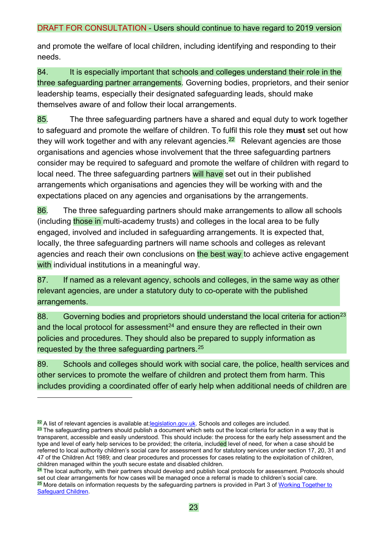and promote the welfare of local children, including identifying and responding to their needs.

84. It is especially important that schools and colleges understand their role in the three safeguarding partner arrangements. Governing bodies, proprietors, and their senior leadership teams, especially their designated safeguarding leads, should make themselves aware of and follow their local arrangements.

85. The three safeguarding partners have a shared and equal duty to work together to safeguard and promote the welfare of children. To fulfil this role they **must** set out how they will work together and with any relevant agencies.<sup>[22](#page-22-0)</sup> Relevant agencies are those organisations and agencies whose involvement that the three safeguarding partners consider may be required to safeguard and promote the welfare of children with regard to local need. The three safeguarding partners will have set out in their published arrangements which organisations and agencies they will be working with and the expectations placed on any agencies and organisations by the arrangements.

86. The three safeguarding partners should make arrangements to allow all schools (including those in multi-academy trusts) and colleges in the local area to be fully engaged, involved and included in safeguarding arrangements. It is expected that, locally, the three safeguarding partners will name schools and colleges as relevant agencies and reach their own conclusions on the best way to achieve active engagement with individual institutions in a meaningful way.

87. If named as a relevant agency, schools and colleges, in the same way as other relevant agencies, are under a statutory duty to co-operate with the published arrangements.

88. Governing bodies and proprietors should understand the local criteria for action<sup>[23](#page-22-1)</sup> and the local protocol for assessment $24$  and ensure they are reflected in their own policies and procedures. They should also be prepared to supply information as requested by the three safeguarding partners.<sup>[25](#page-22-3)</sup>

89. Schools and colleges should work with social care, the police, health services and other services to promote the welfare of children and protect them from harm. This includes providing a coordinated offer of early help when additional needs of children are

<span id="page-22-0"></span><sup>&</sup>lt;sup>22</sup> A list of relevant agencies is available at[:legislation.gov.uk.](http://www.legislation.gov.uk/uksi/2018/789/schedule/made) Schools and colleges are included.

<span id="page-22-1"></span><sup>&</sup>lt;sup>23</sup> The safeguarding partners should publish a document which sets out the local criteria for action in a way that is transparent, accessible and easily understood. This should include: the process for the early help assessment and the type and level of early help services to be provided; the criteria, included level of need, for when a case should be referred to local authority children's social care for assessment and for statutory services under section 17, 20, 31 and 47 of the Children Act 1989; and clear procedures and processes for cases relating to the exploitation of children, children managed within the youth secure estate and disabled children.

<span id="page-22-3"></span><span id="page-22-2"></span><sup>&</sup>lt;sup>24</sup> The local authority, with their partners should develop and publish local protocols for assessment. Protocols should set out clear arrangements for how cases will be managed once a referral is made to children's social care. 25 More details on information requests by the safeguarding partners is provided in Part 3 of Working Together to [Safeguard Children.](https://www.gov.uk/government/publications/working-together-to-safeguard-children--2)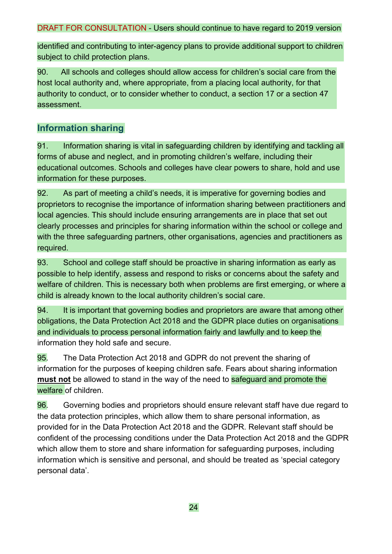identified and contributing to inter-agency plans to provide additional support to children subject to child protection plans.

90. All schools and colleges should allow access for children's social care from the host local authority and, where appropriate, from a placing local authority, for that authority to conduct, or to consider whether to conduct, a section 17 or a section 47 assessment.

# **Information sharing**

91. Information sharing is vital in safeguarding children by identifying and tackling all forms of abuse and neglect, and in promoting children's welfare, including their educational outcomes. Schools and colleges have clear powers to share, hold and use information for these purposes.

92. As part of meeting a child's needs, it is imperative for governing bodies and proprietors to recognise the importance of information sharing between practitioners and local agencies. This should include ensuring arrangements are in place that set out clearly processes and principles for sharing information within the school or college and with the three safeguarding partners, other organisations, agencies and practitioners as required.

93. School and college staff should be proactive in sharing information as early as possible to help identify, assess and respond to risks or concerns about the safety and welfare of children. This is necessary both when problems are first emerging, or where a child is already known to the local authority children's social care.

94. It is important that governing bodies and proprietors are aware that among other obligations, the Data Protection Act 2018 and the GDPR place duties on organisations and individuals to process personal information fairly and lawfully and to keep the information they hold safe and secure.

95. The Data Protection Act 2018 and GDPR do not prevent the sharing of information for the purposes of keeping children safe. Fears about sharing information **must not** be allowed to stand in the way of the need to **safeguard and promote the** welfare of children.

96. Governing bodies and proprietors should ensure relevant staff have due regard to the data protection principles, which allow them to share personal information, as provided for in the Data Protection Act 2018 and the GDPR. Relevant staff should be confident of the processing conditions under the Data Protection Act 2018 and the GDPR which allow them to store and share information for safeguarding purposes, including information which is sensitive and personal, and should be treated as 'special category personal data'.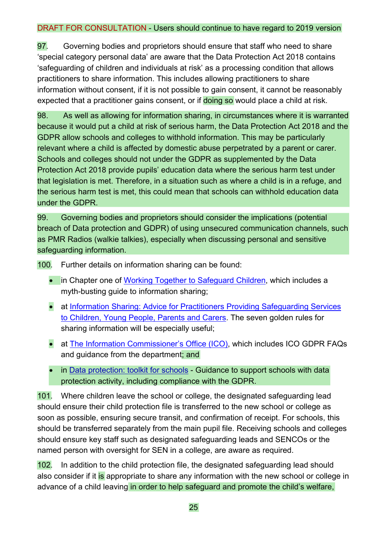97. Governing bodies and proprietors should ensure that staff who need to share 'special category personal data' are aware that the Data Protection Act 2018 contains 'safeguarding of children and individuals at risk' as a processing condition that allows practitioners to share information. This includes allowing practitioners to share information without consent, if it is not possible to gain consent, it cannot be reasonably expected that a practitioner gains consent, or if doing so would place a child at risk.

98. As well as allowing for information sharing, in circumstances where it is warranted because it would put a child at risk of serious harm, the Data Protection Act 2018 and the GDPR allow schools and colleges to withhold information. This may be particularly relevant where a child is affected by domestic abuse perpetrated by a parent or carer. Schools and colleges should not under the GDPR as supplemented by the Data Protection Act 2018 provide pupils' education data where the serious harm test under that legislation is met. Therefore, in a situation such as where a child is in a refuge, and the serious harm test is met, this could mean that schools can withhold education data under the GDPR.

99. Governing bodies and proprietors should consider the implications (potential breach of Data protection and GDPR) of using unsecured communication channels, such as PMR Radios (walkie talkies), especially when discussing personal and sensitive safeguarding information.

100. Further details on information sharing can be found:

- in Chapter one of [Working Together to Safeguard Children,](https://www.gov.uk/government/publications/working-together-to-safeguard-children--2) which includes a myth-busting guide to information sharing;
- at Information Sharing: Advice for Practitioners Providing Safeguarding Services [to Children, Young People, Parents and Carers.](https://www.gov.uk/government/publications/safeguarding-practitioners-information-sharing-advice) The seven golden rules for sharing information will be especially useful;
- at [The Information Commissioner's Office](https://ico.org.uk/for-organisations/education/) (ICO), which includes ICO GDPR FAQs and guidance from the department; and
- in [Data protection: toolkit for schools](https://www.gov.uk/government/publications/data-protection-toolkit-for-schools) Guidance to support schools with data protection activity, including compliance with the GDPR.

101. Where children leave the school or college, the designated safeguarding lead should ensure their child protection file is transferred to the new school or college as soon as possible, ensuring secure transit, and confirmation of receipt. For schools, this should be transferred separately from the main pupil file. Receiving schools and colleges should ensure key staff such as designated safeguarding leads and SENCOs or the named person with oversight for SEN in a college, are aware as required.

102. In addition to the child protection file, the designated safeguarding lead should also consider if it is appropriate to share any information with the new school or college in advance of a child leaving in order to help safeguard and promote the child's welfare,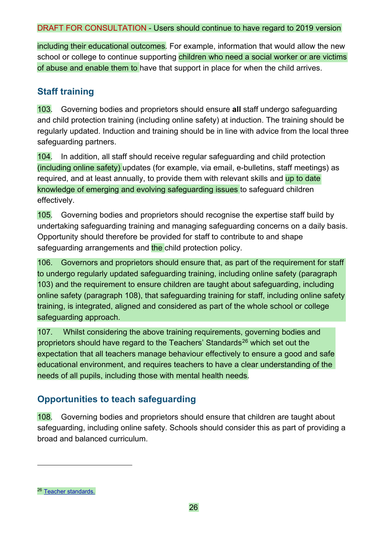including their educational outcomes. For example, information that would allow the new school or college to continue supporting children who need a social worker or are victims of abuse and enable them to have that support in place for when the child arrives.

# **Staff training**

103. Governing bodies and proprietors should ensure **all** staff undergo safeguarding and child protection training (including online safety) at induction. The training should be regularly updated. Induction and training should be in line with advice from the local three safeguarding partners.

104. In addition, all staff should receive regular safeguarding and child protection (including online safety) updates (for example, via email, e-bulletins, staff meetings) as required, and at least annually, to provide them with relevant skills and up to date knowledge of emerging and evolving safeguarding issues to safeguard children effectively.

105. Governing bodies and proprietors should recognise the expertise staff build by undertaking safeguarding training and managing safeguarding concerns on a daily basis. Opportunity should therefore be provided for staff to contribute to and shape safeguarding arrangements and the child protection policy.

106. Governors and proprietors should ensure that, as part of the requirement for staff to undergo regularly updated safeguarding training, including online safety (paragraph 103) and the requirement to ensure children are taught about safeguarding, including online safety (paragraph 108), that safeguarding training for staff, including online safety training, is integrated, aligned and considered as part of the whole school or college safeguarding approach.

107. Whilst considering the above training requirements, governing bodies and proprietors should have regard to the Teachers' Standards<sup>[26](#page-25-0)</sup> which set out the expectation that all teachers manage behaviour effectively to ensure a good and safe educational environment, and requires teachers to have a clear understanding of the needs of all pupils, including those with mental health needs.

# **Opportunities to teach safeguarding**

108. Governing bodies and proprietors should ensure that children are taught about safeguarding, including online safety. Schools should consider this as part of providing a broad and balanced curriculum.

<span id="page-25-0"></span><sup>&</sup>lt;sup>26</sup> [Teacher standards.](https://www.gov.uk/government/publications/teachers-standards)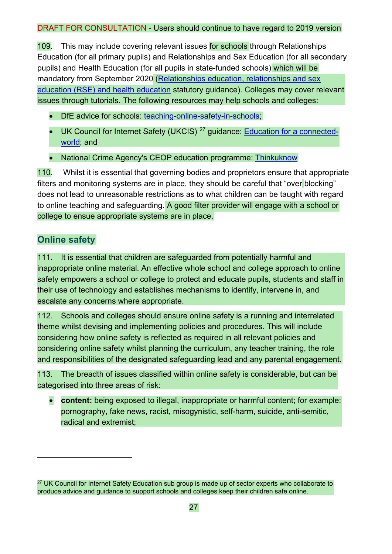109. This may include covering relevant issues for schools through Relationships Education (for all primary pupils) and Relationships and Sex Education (for all secondary pupils) and Health Education (for all pupils in state-funded schools) which will be mandatory from September 2020 [\(Relationships education, relationships and sex](https://www.gov.uk/government/publications/relationships-education-relationships-and-sex-education-rse-and-health-education)  [education \(RSE\) and health education](https://www.gov.uk/government/publications/relationships-education-relationships-and-sex-education-rse-and-health-education) statutory guidance). Colleges may cover relevant issues through tutorials. The following resources may help schools and colleges:

- DfE advice for schools: [teaching-online-safety-in-schools;](https://www.gov.uk/government/publications/teaching-online-safety-in-schools)
- UK Council for Internet Safety (UKCIS) [27](#page-26-0) guidance: [Education for a connected](https://www.gov.uk/government/publications/education-for-a-connected-world)[world;](https://www.gov.uk/government/publications/education-for-a-connected-world) and
- National Crime Agency's CEOP education programme: [Thinkuknow](https://www.thinkuknow.co.uk/)

110. Whilst it is essential that governing bodies and proprietors ensure that appropriate filters and monitoring systems are in place, they should be careful that "over blocking" does not lead to unreasonable restrictions as to what children can be taught with regard to online teaching and safeguarding. A good filter provider will engage with a school or college to ensue appropriate systems are in place.

# **Online safety**

111. It is essential that children are safeguarded from potentially harmful and inappropriate online material. An effective whole school and college approach to online safety empowers a school or college to protect and educate pupils, students and staff in their use of technology and establishes mechanisms to identify, intervene in, and escalate any concerns where appropriate.

112. Schools and colleges should ensure online safety is a running and interrelated theme whilst devising and implementing policies and procedures. This will include considering how online safety is reflected as required in all relevant policies and considering online safety whilst planning the curriculum, any teacher training, the role and responsibilities of the designated safeguarding lead and any parental engagement.

113. The breadth of issues classified within online safety is considerable, but can be categorised into three areas of risk:

• **content:** being exposed to illegal, inappropriate or harmful content; for example: pornography, fake news, racist, misogynistic, self-harm, suicide, anti-semitic, radical and extremist;

<span id="page-26-0"></span><sup>&</sup>lt;sup>27</sup> UK Council for Internet Safety Education sub group is made up of sector experts who collaborate to produce advice and guidance to support schools and colleges keep their children safe online.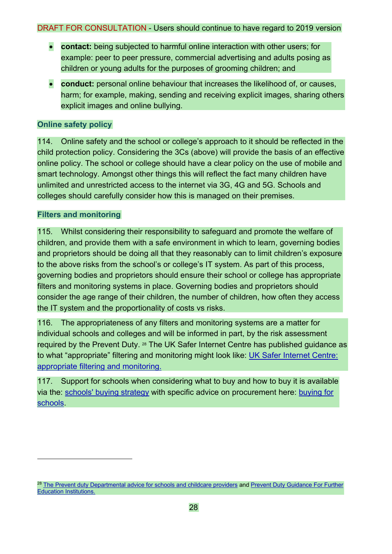- **contact:** being subjected to harmful online interaction with other users; for example: peer to peer pressure, commercial advertising and adults posing as children or young adults for the purposes of grooming children; and
- **conduct:** personal online behaviour that increases the likelihood of, or causes, harm; for example, making, sending and receiving explicit images, sharing others explicit images and online bullying.

## **Online safety policy**

114. Online safety and the school or college's approach to it should be reflected in the child protection policy. Considering the 3Cs (above) will provide the basis of an effective online policy. The school or college should have a clear policy on the use of mobile and smart technology. Amongst other things this will reflect the fact many children have unlimited and unrestricted access to the internet via 3G, 4G and 5G. Schools and colleges should carefully consider how this is managed on their premises.

#### **Filters and monitoring**

115. Whilst considering their responsibility to safeguard and promote the welfare of children, and provide them with a safe environment in which to learn, governing bodies and proprietors should be doing all that they reasonably can to limit children's exposure to the above risks from the school's or college's IT system. As part of this process, governing bodies and proprietors should ensure their school or college has appropriate filters and monitoring systems in place. Governing bodies and proprietors should consider the age range of their children, the number of children, how often they access the IT system and the proportionality of costs vs risks.

116. The appropriateness of any filters and monitoring systems are a matter for individual schools and colleges and will be informed in part, by the risk assessment required by the Prevent Duty. [28](#page-27-0) The UK Safer Internet Centre has published guidance as to what "appropriate" filtering and monitoring might look like: [UK Safer Internet Centre:](https://www.saferinternet.org.uk/advice-centre/teachers-and-school-staff/appropriate-filtering-and-monitoring)  [appropriate filtering and monitoring.](https://www.saferinternet.org.uk/advice-centre/teachers-and-school-staff/appropriate-filtering-and-monitoring)

117. Support for schools when considering what to buy and how to buy it is available via the: [schools' buying strategy](https://www.gov.uk/government/publications/schools-buying-strategy) with specific advice on procurement here: [buying for](https://www.gov.uk/government/collections/buying-for-schools)  [schools.](https://www.gov.uk/government/collections/buying-for-schools)

<span id="page-27-0"></span><sup>&</sup>lt;sup>28</sup> [The Prevent duty Departmental advice for schools and childcare providers](https://www.gov.uk/government/uploads/system/uploads/attachment_data/file/439598/prevent-duty-departmental-advice-v6.pdf) and Prevent Duty Guidance For Further [Education Institutions.](https://assets.publishing.service.gov.uk/government/uploads/system/uploads/attachment_data/file/445915/Prevent_Duty_Guidance_For_Further_Education__England__Wales_-Interactive.pdf)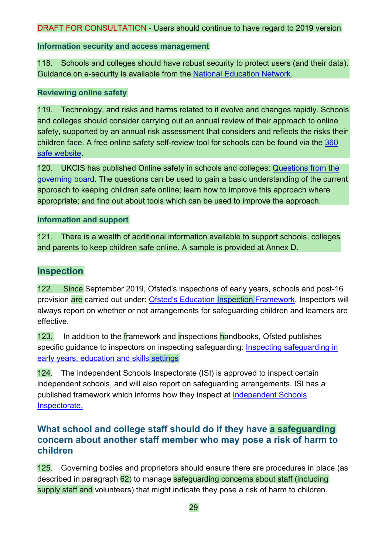#### **Information security and access management**

118. Schools and colleges should have robust security to protect users (and their data). Guidance on e-security is available from the [National Education Network.](http://www.nen.gov.uk/)

#### **Reviewing online safety**

119. Technology, and risks and harms related to it evolve and changes rapidly. Schools and colleges should consider carrying out an annual review of their approach to online safety, supported by an annual risk assessment that considers and reflects the risks their children face. A free online safety self-review tool for schools can be found via the [360](https://360safe.org.uk/)  [safe website.](https://360safe.org.uk/)

120. UKCIS has published Online safety in schools and colleges: [Questions from the](https://www.gov.uk/government/publications/online-safety-in-schools-and-colleges-questions-from-the-governing-board)  [governing board.](https://www.gov.uk/government/publications/online-safety-in-schools-and-colleges-questions-from-the-governing-board) The questions can be used to gain a basic understanding of the current approach to keeping children safe online; learn how to improve this approach where appropriate; and find out about tools which can be used to improve the approach.

#### **Information and support**

121. There is a wealth of additional information available to support schools, colleges and parents to keep children safe online. A sample is provided at Annex D.

## **Inspection**

122. Since September 2019, Ofsted's inspections of early years, schools and post-16 provision are carried out under: [Ofsted's Education Inspection Framework.](https://www.gov.uk/government/publications/education-inspection-framework) Inspectors will always report on whether or not arrangements for safeguarding children and learners are effective.

123. In addition to the framework and inspections handbooks, Ofsted publishes specific guidance to inspectors on inspecting safeguarding: Inspecting safeguarding in [early years, education and skills settings](https://www.gov.uk/government/publications/inspecting-safeguarding-in-early-years-education-and-skills-from-september-2015)

124. The Independent Schools Inspectorate (ISI) is approved to inspect certain independent schools, and will also report on safeguarding arrangements. ISI has a published framework which informs how they inspect at [Independent Schools](https://www.isi.net/)  [Inspectorate.](https://www.isi.net/)

# **What school and college staff should do if they have a safeguarding concern about another staff member who may pose a risk of harm to children**

125. Governing bodies and proprietors should ensure there are procedures in place (as described in paragraph 62) to manage safeguarding concerns about staff (including supply staff and volunteers) that might indicate they pose a risk of harm to children.

29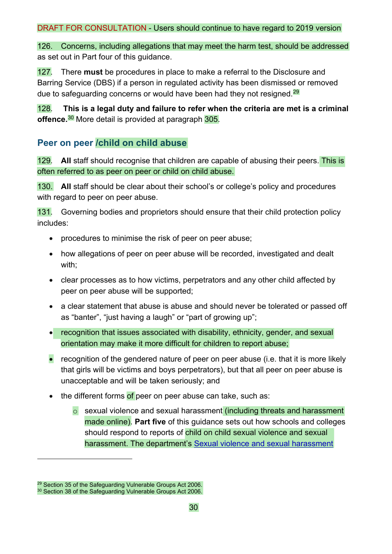126. Concerns, including allegations that may meet the harm test, should be addressed as set out in Part four of this guidance.

127. There **must** be procedures in place to make a referral to the Disclosure and Barring Service (DBS) if a person in regulated activity has been dismissed or removed due to safeguarding concerns or would have been had they not resigned.<sup>[29](#page-29-0)</sup>

128. **This is a legal duty and failure to refer when the criteria are met is a criminal offence.**[30](#page-29-1) More detail is provided at paragraph 305.

# **Peer on peer /child on child abuse**

129. **All** staff should recognise that children are capable of abusing their peers. This is often referred to as peer on peer or child on child abuse.

130. **All** staff should be clear about their school's or college's policy and procedures with regard to peer on peer abuse.

131. Governing bodies and proprietors should ensure that their child protection policy includes:

- procedures to minimise the risk of peer on peer abuse;
- how allegations of peer on peer abuse will be recorded, investigated and dealt with;
- clear processes as to how victims, perpetrators and any other child affected by peer on peer abuse will be supported;
- a clear statement that abuse is abuse and should never be tolerated or passed off as "banter", "just having a laugh" or "part of growing up";
- recognition that issues associated with disability, ethnicity, gender, and sexual orientation may make it more difficult for children to report abuse;
- recognition of the gendered nature of peer on peer abuse (i.e. that it is more likely that girls will be victims and boys perpetrators), but that all peer on peer abuse is unacceptable and will be taken seriously; and
- the different forms of peer on peer abuse can take, such as:
	- sexual violence and sexual harassment (including threats and harassment made online). **Part five** of this guidance sets out how schools and colleges should respond to reports of child on child sexual violence and sexual harassment. The department's [Sexual violence and sexual harassment](https://www.gov.uk/government/publications/sexual-violence-and-sexual-harassment-between-children-in-schools-and-colleges)

<span id="page-29-0"></span> $^{29}$  Section 35 of the Safeguarding Vulnerable Groups Act 2006.  $^{30}$  Section 38 of the Safeguarding Vulnerable Groups Act 2006.

<span id="page-29-1"></span>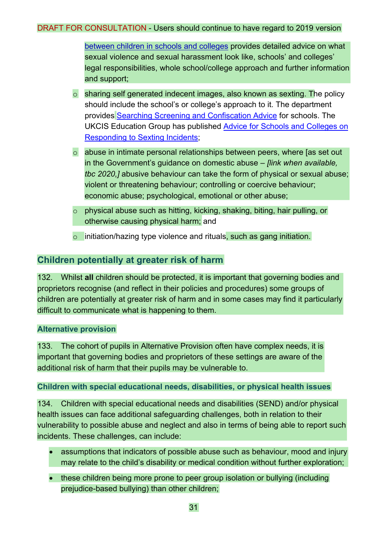[between children in schools and colleges](https://www.gov.uk/government/publications/sexual-violence-and-sexual-harassment-between-children-in-schools-and-colleges) provides detailed advice on what sexual violence and sexual harassment look like, schools' and colleges' legal responsibilities, whole school/college approach and further information and support;

- o sharing self generated indecent images, also known as sexting. The policy should include the school's or college's approach to it. The department provides [Searching Screening and Confiscation Advice](https://www.gov.uk/government/publications/searching-screening-and-confiscation) for schools. The UKCIS Education Group has published [Advice for Schools and Colleges on](https://www.gov.uk/government/groups/uk-council-for-child-internet-safety-ukccis)  [Responding to Sexting Incidents;](https://www.gov.uk/government/groups/uk-council-for-child-internet-safety-ukccis)
- o abuse in intimate personal relationships between peers, where [as set out in the Government's guidance on domestic abuse – *[link when available, tbc 2020,]* abusive behaviour can take the form of physical or sexual abuse; violent or threatening behaviour; controlling or coercive behaviour; economic abuse; psychological, emotional or other abuse;
- o physical abuse such as hitting, kicking, shaking, biting, hair pulling, or otherwise causing physical harm; and
- o initiation/hazing type violence and rituals, such as gang initiation.

# **Children potentially at greater risk of harm**

132. Whilst **all** children should be protected, it is important that governing bodies and proprietors recognise (and reflect in their policies and procedures) some groups of children are potentially at greater risk of harm and in some cases may find it particularly difficult to communicate what is happening to them.

#### **Alternative provision**

133. The cohort of pupils in Alternative Provision often have complex needs, it is important that governing bodies and proprietors of these settings are aware of the additional risk of harm that their pupils may be vulnerable to.

## **Children with special educational needs, disabilities, or physical health issues**

134. Children with special educational needs and disabilities (SEND) and/or physical health issues can face additional safeguarding challenges, both in relation to their vulnerability to possible abuse and neglect and also in terms of being able to report such incidents. These challenges, can include:

- assumptions that indicators of possible abuse such as behaviour, mood and injury may relate to the child's disability or medical condition without further exploration;
- these children being more prone to peer group isolation or bullying (including prejudice-based bullying) than other children;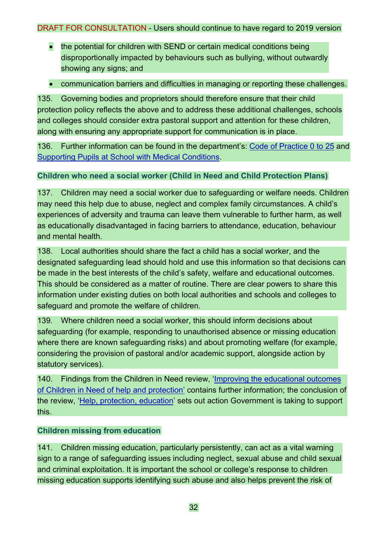- the potential for children with SEND or certain medical conditions being disproportionally impacted by behaviours such as bullying, without outwardly showing any signs; and
- communication barriers and difficulties in managing or reporting these challenges.

135. Governing bodies and proprietors should therefore ensure that their child protection policy reflects the above and to address these additional challenges, schools and colleges should consider extra pastoral support and attention for these children, along with ensuring any appropriate support for communication is in place.

136. Further information can be found in the department's: [Code of Practice 0 to 25](https://www.gov.uk/government/publications/send-code-of-practice-0-to-25) and [Supporting Pupils at School with Medical Conditions.](https://www.gov.uk/government/publications/supporting-pupils-at-school-with-medical-conditions--3)

#### **Children who need a social worker (Child in Need and Child Protection Plans)**

137. Children may need a social worker due to safeguarding or welfare needs. Children may need this help due to abuse, neglect and complex family circumstances. A child's experiences of adversity and trauma can leave them vulnerable to further harm, as well as educationally disadvantaged in facing barriers to attendance, education, behaviour and mental health.

138. Local authorities should share the fact a child has a social worker, and the designated safeguarding lead should hold and use this information so that decisions can be made in the best interests of the child's safety, welfare and educational outcomes. This should be considered as a matter of routine. There are clear powers to share this information under existing duties on both local authorities and schools and colleges to safeguard and promote the welfare of children.

139. Where children need a social worker, this should inform decisions about safeguarding (for example, responding to unauthorised absence or missing education where there are known safeguarding risks) and about promoting welfare (for example, considering the provision of pastoral and/or academic support, alongside action by statutory services).

140. Findings from the Children in Need review, 'Improving the educational outcomes of Children in Need of help and protection' contains further information; the conclusion of the review, ['Help, protection, education'](https://assets.publishing.service.gov.uk/government/uploads/system/uploads/attachment_data/file/809236/190614_CHILDREN_IN_NEED_PUBLICATION_FINAL.pdf) sets out action Government is taking to support this.

#### **Children missing from education**

141. Children missing education, particularly persistently, can act as a vital warning sign to a range of safeguarding issues including neglect, sexual abuse and child sexual and criminal exploitation. It is important the school or college's response to children missing education supports identifying such abuse and also helps prevent the risk of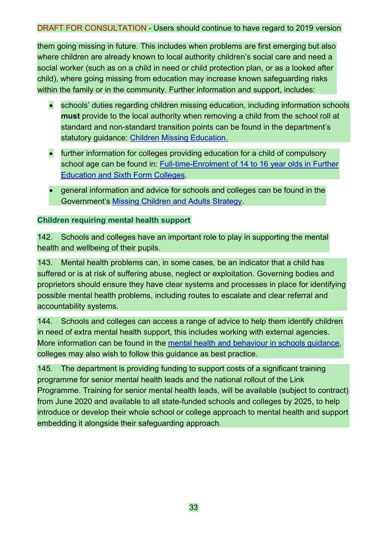them going missing in future. This includes when problems are first emerging but also where children are already known to local authority children's social care and need a social worker (such as on a child in need or child protection plan, or as a looked after child), where going missing from education may increase known safeguarding risks within the family or in the community. Further information and support, includes:

- schools' duties regarding children missing education, including information schools **must** provide to the local authority when removing a child from the school roll at standard and non-standard transition points can be found in the department's statutory guidance: [Children Missing Education.](https://www.gov.uk/government/publications/children-missing-education)
- further information for colleges providing education for a child of compulsory school age can be found in: [Full-time-Enrolment of 14 to 16 year olds in Further](https://www.gov.uk/guidance/full-time-enrolment-of-14-to-16-year-olds-in-further-education-and-sixth-form-colleges)  [Education and Sixth Form Colleges.](https://www.gov.uk/guidance/full-time-enrolment-of-14-to-16-year-olds-in-further-education-and-sixth-form-colleges)
- general information and advice for schools and colleges can be found in the Government's [Missing Children and Adults Strategy.](https://www.gov.uk/government/publications/missing-children-and-adults-strategy)

#### **Children requiring mental health support**

142. Schools and colleges have an important role to play in supporting the mental health and wellbeing of their pupils.

143. Mental health problems can, in some cases, be an indicator that a child has suffered or is at risk of suffering abuse, neglect or exploitation. Governing bodies and proprietors should ensure they have clear systems and processes in place for identifying possible mental health problems, including routes to escalate and clear referral and accountability systems.

144. Schools and colleges can access a range of advice to help them identify children in need of extra mental health support, this includes working with external agencies. More information can be found in the [mental health and behaviour in schools guidance,](https://www.gov.uk/government/publications/mental-health-and-behaviour-in-schools--2) colleges may also wish to follow this guidance as best practice.

145. The department is providing funding to support costs of a significant training programme for senior mental health leads and the national rollout of the Link Programme. Training for senior mental health leads, will be available (subject to contract) from June 2020 and available to all state-funded schools and colleges by 2025, to help introduce or develop their whole school or college approach to mental health and support embedding it alongside their safeguarding approach.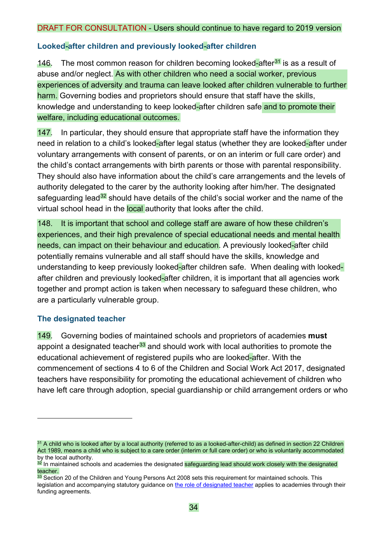## **Looked-after children and previously looked-after children**

146. The most common reason for children becoming looked-after<sup>[31](#page-33-0)</sup> is as a result of abuse and/or neglect. As with other children who need a social worker, previous experiences of adversity and trauma can leave looked after children vulnerable to further harm. Governing bodies and proprietors should ensure that staff have the skills, knowledge and understanding to keep looked-after children safe and to promote their welfare, including educational outcomes.

147. In particular, they should ensure that appropriate staff have the information they need in relation to a child's looked-after legal status (whether they are looked-after under voluntary arrangements with consent of parents, or on an interim or full care order) and the child's contact arrangements with birth parents or those with parental responsibility. They should also have information about the child's care arrangements and the levels of authority delegated to the carer by the authority looking after him/her. The designated safeguarding lead<sup>[32](#page-33-1)</sup> should have details of the child's social worker and the name of the virtual school head in the **local** authority that looks after the child.

148. It is important that school and college staff are aware of how these children's experiences, and their high prevalence of special educational needs and mental health needs, can impact on their behaviour and education. A previously looked-after child potentially remains vulnerable and all staff should have the skills, knowledge and understanding to keep previously looked-after children safe. When dealing with lookedafter children and previously looked-after children, it is important that all agencies work together and prompt action is taken when necessary to safeguard these children, who are a particularly vulnerable group.

#### **The designated teacher**

149. Governing bodies of maintained schools and proprietors of academies **must** appoint a designated teacher $33$  and should work with local authorities to promote the educational achievement of registered pupils who are looked-after. With the commencement of sections 4 to 6 of the Children and Social Work Act 2017, designated teachers have responsibility for promoting the educational achievement of children who have left care through adoption, special guardianship or child arrangement orders or who

<span id="page-33-0"></span> $31$  A child who is looked after by a local authority (referred to as a looked-after-child) as defined in section 22 Children Act 1989, means a child who is subject to a care order (interim or full care order) or who is voluntarily accommodated by the local authority.

<span id="page-33-1"></span><sup>&</sup>lt;sup>32</sup> In maintained schools and academies the designated safeguarding lead should work closely with the designated teacher.

<span id="page-33-2"></span><sup>33</sup> Section 20 of the Children and Young Persons Act 2008 sets this requirement for maintained schools. This legislation and accompanying statutory guidance on [the role of designated teacher](https://www.gov.uk/government/publications/designated-teacher-for-looked-after-children) applies to academies through their funding agreements.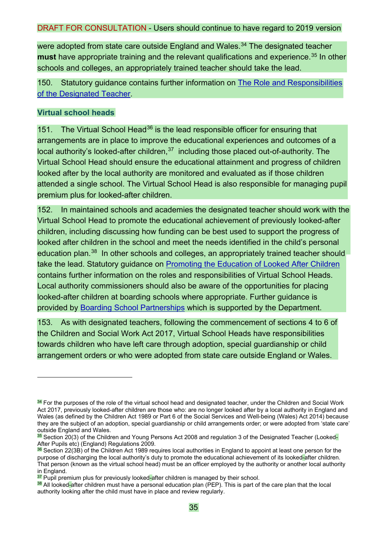were adopted from state care outside England and Wales.<sup>[34](#page-34-0)</sup> The designated teacher **must** have appropriate training and the relevant qualifications and experience.<sup>[35](#page-34-1)</sup> In other schools and colleges, an appropriately trained teacher should take the lead.

150. Statutory guidance contains further information on [The Role and Responsibilities](https://www.gov.uk/government/publications/designated-teacher-for-looked-after-children)  [of the Designated Teacher.](https://www.gov.uk/government/publications/designated-teacher-for-looked-after-children)

#### **Virtual school heads**

151. The Virtual School Head<sup>[36](#page-34-2)</sup> is the lead responsible officer for ensuring that arrangements are in place to improve the educational experiences and outcomes of a local authority's looked-after children,  $37$  including those placed out-of-authority. The Virtual School Head should ensure the educational attainment and progress of children looked after by the local authority are monitored and evaluated as if those children attended a single school. The Virtual School Head is also responsible for managing pupil premium plus for looked-after children.

152. In maintained schools and academies the designated teacher should work with the Virtual School Head to promote the educational achievement of previously looked-after children, including discussing how funding can be best used to support the progress of looked after children in the school and meet the needs identified in the child's personal education plan.<sup>[38](#page-34-4)</sup> In other schools and colleges, an appropriately trained teacher should take the lead. Statutory guidance on [Promoting the Education of Looked After Children](https://www.gov.uk/government/publications/promoting-the-education-of-looked-after-children) contains further information on the roles and responsibilities of Virtual School Heads. Local authority commissioners should also be aware of the opportunities for placing looked-after children at boarding schools where appropriate. Further guidance is provided by [Boarding School Partnerships](https://www.boardingschoolpartnerships.org.uk/) which is supported by the Department.

153. As with designated teachers, following the commencement of sections 4 to 6 of the Children and Social Work Act 2017, Virtual School Heads have responsibilities towards children who have left care through adoption, special guardianship or child arrangement orders or who were adopted from state care outside England or Wales.

<span id="page-34-0"></span><sup>34</sup> For the purposes of the role of the virtual school head and designated teacher, under the Children and Social Work Act 2017, previously looked-after children are those who: are no longer looked after by a local authority in England and Wales (as defined by the Children Act 1989 or Part 6 of the Social Services and Well-being (Wales) Act 2014) because they are the subject of an adoption, special guardianship or child arrangements order; or were adopted from 'state care' outside England and Wales.

<span id="page-34-1"></span><sup>35</sup> Section 20(3) of the Children and Young Persons Act 2008 and regulation 3 of the Designated Teacher (Looked-After Pupils etc) (England) Regulations 2009.

<span id="page-34-2"></span><sup>36</sup> Section 22(3B) of the Children Act 1989 requires local authorities in England to appoint at least one person for the purpose of discharging the local authority's duty to promote the educational achievement of its looked-after children. That person (known as the virtual school head) must be an officer employed by the authority or another local authority in England.

<span id="page-34-3"></span><sup>&</sup>lt;sup>37</sup> Pupil premium plus for previously looked-after children is managed by their school.

<span id="page-34-4"></span><sup>38</sup> All looked-after children must have a personal education plan (PEP). This is part of the care plan that the local authority looking after the child must have in place and review regularly.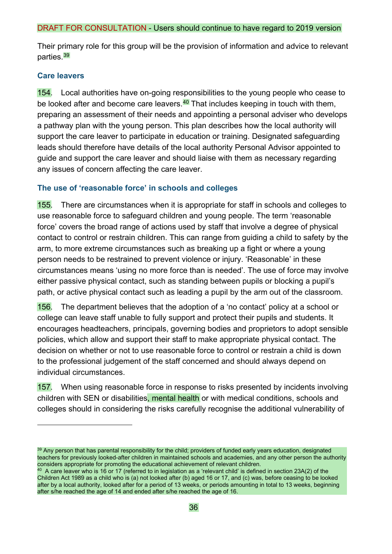Their primary role for this group will be the provision of information and advice to relevant parties.<sup>[39](#page-35-0)</sup>

#### **Care leavers**

154. Local authorities have on-going responsibilities to the young people who cease to be looked after and become care leavers.<sup>[40](#page-35-1)</sup> That includes keeping in touch with them, preparing an assessment of their needs and appointing a personal adviser who develops a pathway plan with the young person. This plan describes how the local authority will support the care leaver to participate in education or training. Designated safeguarding leads should therefore have details of the local authority Personal Advisor appointed to guide and support the care leaver and should liaise with them as necessary regarding any issues of concern affecting the care leaver.

## **The use of 'reasonable force' in schools and colleges**

155. There are circumstances when it is appropriate for staff in schools and colleges to use reasonable force to safeguard children and young people. The term 'reasonable force' covers the broad range of actions used by staff that involve a degree of physical contact to control or restrain children. This can range from guiding a child to safety by the arm, to more extreme circumstances such as breaking up a fight or where a young person needs to be restrained to prevent violence or injury. 'Reasonable' in these circumstances means 'using no more force than is needed'. The use of force may involve either passive physical contact, such as standing between pupils or blocking a pupil's path, or active physical contact such as leading a pupil by the arm out of the classroom.

156. The department believes that the adoption of a 'no contact' policy at a school or college can leave staff unable to fully support and protect their pupils and students. It encourages headteachers, principals, governing bodies and proprietors to adopt sensible policies, which allow and support their staff to make appropriate physical contact. The decision on whether or not to use reasonable force to control or restrain a child is down to the professional judgement of the staff concerned and should always depend on individual circumstances.

157. When using reasonable force in response to risks presented by incidents involving children with SEN or disabilities, mental health or with medical conditions, schools and colleges should in considering the risks carefully recognise the additional vulnerability of

<span id="page-35-0"></span><sup>&</sup>lt;sup>39</sup> Any person that has parental responsibility for the child; providers of funded early years education, designated teachers for previously looked-after children in maintained schools and academies, and any other person the authority considers appropriate for promoting the educational achievement of relevant children.

<span id="page-35-1"></span> $40$  A care leaver who is 16 or 17 (referred to in legislation as a 'relevant child' is defined in section 23A(2) of the Children Act 1989 as a child who is (a) not looked after (b) aged 16 or 17, and (c) was, before ceasing to be looked after by a local authority, looked after for a period of 13 weeks, or periods amounting in total to 13 weeks, beginning after s/he reached the age of 14 and ended after s/he reached the age of 16.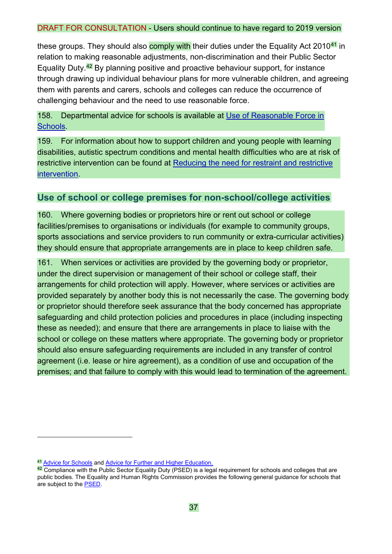these groups. They should also comply with their duties under the Equality Act 2010<sup>[41](#page-36-0)</sup> in relation to making reasonable adjustments, non-discrimination and their Public Sector Equality Duty.[42](#page-36-1) By planning positive and proactive behaviour support, for instance through drawing up individual behaviour plans for more vulnerable children, and agreeing them with parents and carers, schools and colleges can reduce the occurrence of challenging behaviour and the need to use reasonable force.

158. Departmental advice for schools is available at [Use of Reasonable Force in](https://www.gov.uk/government/publications/use-of-reasonable-force-in-schools)  [Schools.](https://www.gov.uk/government/publications/use-of-reasonable-force-in-schools)

159. For information about how to support children and young people with learning disabilities, autistic spectrum conditions and mental health difficulties who are at risk of restrictive intervention can be found at [Reducing the need for restraint and restrictive](https://www.gov.uk/government/publications/reducing-the-need-for-restraint-and-restrictive-intervention)  [intervention.](https://www.gov.uk/government/publications/reducing-the-need-for-restraint-and-restrictive-intervention)

### **Use of school or college premises for non-school/college activities**

160. Where governing bodies or proprietors hire or rent out school or college facilities/premises to organisations or individuals (for example to community groups, sports associations and service providers to run community or extra-curricular activities) they should ensure that appropriate arrangements are in place to keep children safe.

161. When services or activities are provided by the governing body or proprietor, under the direct supervision or management of their school or college staff, their arrangements for child protection will apply. However, where services or activities are provided separately by another body this is not necessarily the case. The governing body or proprietor should therefore seek assurance that the body concerned has appropriate safeguarding and child protection policies and procedures in place (including inspecting these as needed); and ensure that there are arrangements in place to liaise with the school or college on these matters where appropriate. The governing body or proprietor should also ensure safeguarding requirements are included in any transfer of control agreement (i.e. lease or hire agreement), as a condition of use and occupation of the premises; and that failure to comply with this would lead to termination of the agreement.

<span id="page-36-0"></span><sup>41</sup> [Advice for Schools](https://www.gov.uk/government/publications/equality-act-2010-advice-for-schools) and [Advice for Further and Higher Education.](https://www.equalityhumanrights.com/en/publication-download/what-equality-law-means-you-education-provider-%E2%80%93-further-and-higher-education)

<span id="page-36-1"></span> $42$  Compliance with the Public Sector Equality Duty (PSED) is a legal requirement for schools and colleges that are public bodies. The Equality and Human Rights Commission provides the following general guidance for schools that are subject to the [PSED.](https://www.equalityhumanrights.com/en/publication-download/public-sector-equality-duty-guidance-schools-england)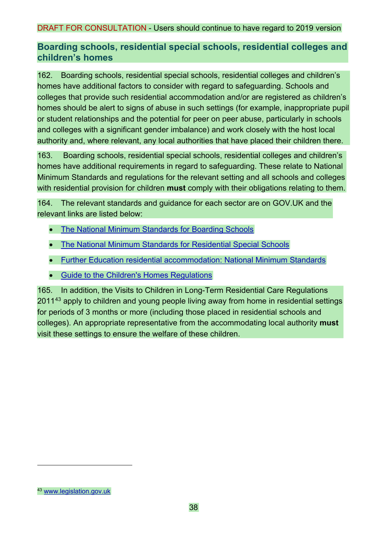### **Boarding schools, residential special schools, residential colleges and children's homes**

162. Boarding schools, residential special schools, residential colleges and children's homes have additional factors to consider with regard to safeguarding. Schools and colleges that provide such residential accommodation and/or are registered as children's homes should be alert to signs of abuse in such settings (for example, inappropriate pupil or student relationships and the potential for peer on peer abuse, particularly in schools and colleges with a significant gender imbalance) and work closely with the host local authority and, where relevant, any local authorities that have placed their children there.

163. Boarding schools, residential special schools, residential colleges and children's homes have additional requirements in regard to safeguarding. These relate to National Minimum Standards and regulations for the relevant setting and all schools and colleges with residential provision for children **must** comply with their obligations relating to them.

164. The relevant standards and guidance for each sector are on GOV.UK and the relevant links are listed below:

- [The National Minimum Standards for Boarding Schools](https://www.gov.uk/government/publications/boarding-schools-national-minimum-standards)
- [The National Minimum Standards for Residential Special Schools](https://www.gov.uk/government/publications/residential-special-schools-national-minimum-standards)
- [Further Education residential accommodation: National Minimum Standards](https://www.gov.uk/government/publications/further-education-residential-accommodation-national-minimum-standards)
- [Guide to the Children's Homes Regulations](https://www.gov.uk/government/publications/childrens-homes-regulations-including-quality-standards-guide)

165. In addition, the Visits to Children in Long-Term Residential Care Regulations 2011<sup>[43](#page-37-0)</sup> apply to children and young people living away from home in residential settings for periods of 3 months or more (including those placed in residential schools and colleges). An appropriate representative from the accommodating local authority **must** visit these settings to ensure the welfare of these children.

<span id="page-37-0"></span><sup>43</sup> [www.legislation.gov.uk](http://www.legislation.gov.uk/uksi/2011/1010/contents/made)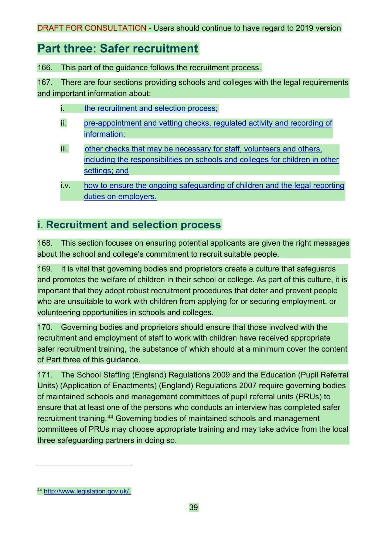# **Part three: Safer recruitment**

166. This part of the guidance follows the recruitment process.

167. There are four sections providing schools and colleges with the legal requirements and important information about:

- i. [the recruitment and selection process;](#page-38-0)
- ii. [pre-appointment and vetting checks, regulated activity and recording of](#page-42-0)  [information;](#page-42-0)
- iii. other checks that may be necessary for staff, volunteers and others, [including the responsibilities on schools and colleges for children in other](#page-56-0)  [settings; and](#page-56-0)
- i.v. [how to ensure the ongoing safeguarding of children and the legal reporting](#page-65-0)  [duties on employers.](#page-65-0)

# <span id="page-38-0"></span>**i. Recruitment and selection process**

168. This section focuses on ensuring potential applicants are given the right messages about the school and college's commitment to recruit suitable people.

169. It is vital that governing bodies and proprietors create a culture that safeguards and promotes the welfare of children in their school or college. As part of this culture, it is important that they adopt robust recruitment procedures that deter and prevent people who are unsuitable to work with children from applying for or securing employment, or volunteering opportunities in schools and colleges.

170. Governing bodies and proprietors should ensure that those involved with the recruitment and employment of staff to work with children have received appropriate safer recruitment training, the substance of which should at a minimum cover the content of Part three of this guidance.

171. The School Staffing (England) Regulations 2009 and the Education (Pupil Referral Units) (Application of Enactments) (England) Regulations 2007 require governing bodies of maintained schools and management committees of pupil referral units (PRUs) to ensure that at least one of the persons who conducts an interview has completed safer recruitment training.[44](#page-38-1) Governing bodies of maintained schools and management committees of PRUs may choose appropriate training and may take advice from the local three safeguarding partners in doing so.

<span id="page-38-1"></span><sup>44</sup> [http://www.legislation.gov.uk/.](http://www.legislation.gov.uk/)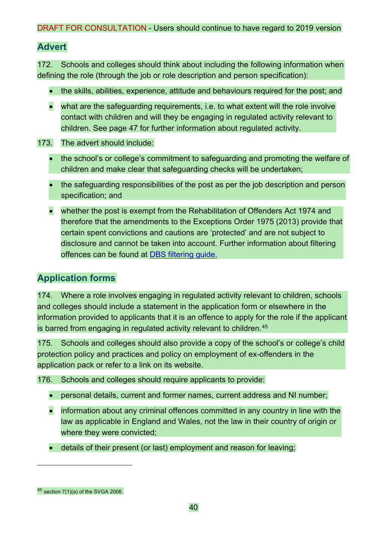### **Advert**

172. Schools and colleges should think about including the following information when defining the role (through the job or role description and person specification):

- the skills, abilities, experience, attitude and behaviours required for the post; and
- what are the safeguarding requirements, i.e. to what extent will the role involve contact with children and will they be engaging in regulated activity relevant to children. See page 47 for further information about regulated activity.
- 173. The advert should include:
	- the school's or college's commitment to safeguarding and promoting the welfare of children and make clear that safeguarding checks will be undertaken;
	- the safeguarding responsibilities of the post as per the job description and person specification; and
	- whether the post is exempt from the Rehabilitation of Offenders Act 1974 and therefore that the amendments to the Exceptions Order 1975 (2013) provide that certain spent convictions and cautions are 'protected' and are not subject to disclosure and cannot be taken into account. Further information about filtering offences can be found at [DBS filtering guide.](https://www.gov.uk/government/publications/dbs-filtering-guidance)

## **Application forms**

174. Where a role involves engaging in regulated activity relevant to children, schools and colleges should include a statement in the application form or elsewhere in the information provided to applicants that it is an offence to apply for the role if the applicant is barred from engaging in regulated activity relevant to children.<sup>[45](#page-39-0)</sup>

175. Schools and colleges should also provide a copy of the school's or college's child protection policy and practices and policy on employment of ex-offenders in the application pack or refer to a link on its website.

176. Schools and colleges should require applicants to provide:

- personal details, current and former names, current address and NI number;
- information about any criminal offences committed in any country in line with the law as applicable in England and Wales, not the law in their country of origin or where they were convicted;
- details of their present (or last) employment and reason for leaving;

<span id="page-39-0"></span> $45$  section  $7(1)(a)$  of the SVGA 2006.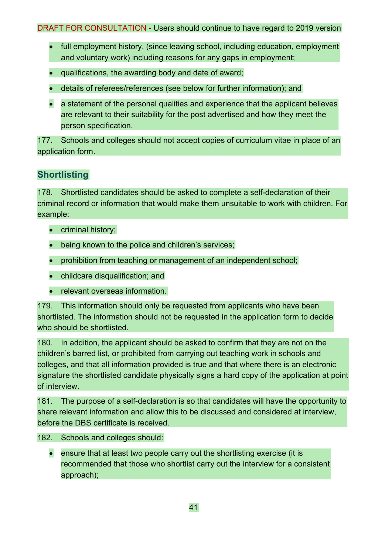- full employment history, (since leaving school, including education, employment and voluntary work) including reasons for any gaps in employment;
- qualifications, the awarding body and date of award;
- details of referees/references (see below for further information); and
- a statement of the personal qualities and experience that the applicant believes are relevant to their suitability for the post advertised and how they meet the person specification.

177. Schools and colleges should not accept copies of curriculum vitae in place of an application form.

## **Shortlisting**

178. Shortlisted candidates should be asked to complete a self-declaration of their criminal record or information that would make them unsuitable to work with children. For example:

- criminal history;
- being known to the police and children's services;
- prohibition from teaching or management of an independent school;
- childcare disqualification; and
- relevant overseas information.

179. This information should only be requested from applicants who have been shortlisted. The information should not be requested in the application form to decide who should be shortlisted.

180. In addition, the applicant should be asked to confirm that they are not on the children's barred list, or prohibited from carrying out teaching work in schools and colleges, and that all information provided is true and that where there is an electronic signature the shortlisted candidate physically signs a hard copy of the application at point of interview.

181. The purpose of a self-declaration is so that candidates will have the opportunity to share relevant information and allow this to be discussed and considered at interview, before the DBS certificate is received.

182. Schools and colleges should:

• ensure that at least two people carry out the shortlisting exercise (it is recommended that those who shortlist carry out the interview for a consistent approach);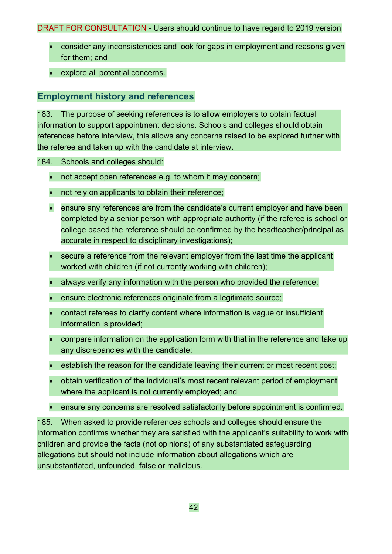- consider any inconsistencies and look for gaps in employment and reasons given for them; and
- explore all potential concerns.

### **Employment history and references**

183. The purpose of seeking references is to allow employers to obtain factual information to support appointment decisions. Schools and colleges should obtain references before interview, this allows any concerns raised to be explored further with the referee and taken up with the candidate at interview.

184. Schools and colleges should:

- not accept open references e.g. to whom it may concern;
- not rely on applicants to obtain their reference;
- ensure any references are from the candidate's current employer and have been completed by a senior person with appropriate authority (if the referee is school or college based the reference should be confirmed by the headteacher/principal as accurate in respect to disciplinary investigations);
- secure a reference from the relevant employer from the last time the applicant worked with children (if not currently working with children);
- always verify any information with the person who provided the reference;
- ensure electronic references originate from a legitimate source;
- contact referees to clarify content where information is vague or insufficient information is provided;
- compare information on the application form with that in the reference and take up any discrepancies with the candidate;
- establish the reason for the candidate leaving their current or most recent post;
- obtain verification of the individual's most recent relevant period of employment where the applicant is not currently employed; and
- ensure any concerns are resolved satisfactorily before appointment is confirmed.

185. When asked to provide references schools and colleges should ensure the information confirms whether they are satisfied with the applicant's suitability to work with children and provide the facts (not opinions) of any substantiated safeguarding allegations but should not include information about allegations which are unsubstantiated, unfounded, false or malicious.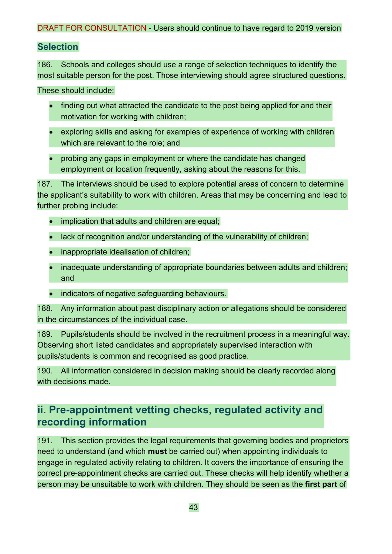### **Selection**

186. Schools and colleges should use a range of selection techniques to identify the most suitable person for the post. Those interviewing should agree structured questions.

These should include:

- finding out what attracted the candidate to the post being applied for and their motivation for working with children;
- exploring skills and asking for examples of experience of working with children which are relevant to the role; and
- probing any gaps in employment or where the candidate has changed employment or location frequently, asking about the reasons for this.

187. The interviews should be used to explore potential areas of concern to determine the applicant's suitability to work with children. Areas that may be concerning and lead to further probing include:

- implication that adults and children are equal;
- lack of recognition and/or understanding of the vulnerability of children;
- inappropriate idealisation of children;
- inadequate understanding of appropriate boundaries between adults and children; and
- indicators of negative safeguarding behaviours.

188. Any information about past disciplinary action or allegations should be considered in the circumstances of the individual case.

189. Pupils/students should be involved in the recruitment process in a meaningful way. Observing short listed candidates and appropriately supervised interaction with pupils/students is common and recognised as good practice.

190. All information considered in decision making should be clearly recorded along with decisions made.

## <span id="page-42-0"></span>**ii. Pre-appointment vetting checks, regulated activity and recording information**

191. This section provides the legal requirements that governing bodies and proprietors need to understand (and which **must** be carried out) when appointing individuals to engage in regulated activity relating to children. It covers the importance of ensuring the correct pre-appointment checks are carried out. These checks will help identify whether a person may be unsuitable to work with children. They should be seen as the **first part** of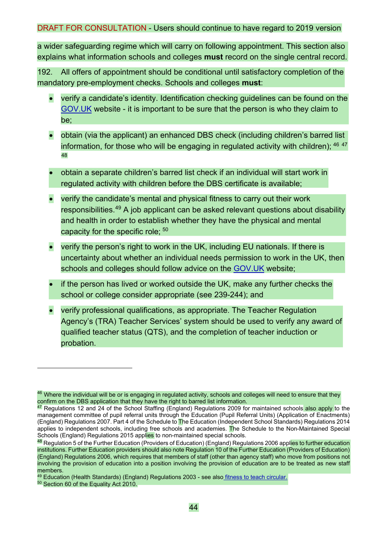a wider safeguarding regime which will carry on following appointment. This section also explains what information schools and colleges **must** record on the single central record.

192. All offers of appointment should be conditional until satisfactory completion of the mandatory pre-employment checks. Schools and colleges **must**:

- verify a candidate's identity. Identification checking guidelines can be found on the [GOV.UK](https://www.gov.uk/government/publications/identity-proofing-and-verification-of-an-individual/identity-proofing-and-verification-of-an-individual) website - it is important to be sure that the person is who they claim to be;
- obtain (via the applicant) an enhanced DBS check (including children's barred list information, for those who will be engaging in regulated activity with children);  $46\frac{47}{10}$  $46\frac{47}{10}$  $46\frac{47}{10}$  $46\frac{47}{10}$ [48](#page-43-2)
- obtain a separate children's barred list check if an individual will start work in regulated activity with children before the DBS certificate is available;
- verify the candidate's mental and physical fitness to carry out their work responsibilities.[49](#page-43-3) A job applicant can be asked relevant questions about disability and health in order to establish whether they have the physical and mental capacity for the specific role;  $50$
- verify the person's right to work in the UK, including EU nationals. If there is uncertainty about whether an individual needs permission to work in the UK, then schools and colleges should follow advice on the [GOV.UK](https://www.gov.uk/check-job-applicant-right-to-work) website;
- if the person has lived or worked outside the UK, make any further checks the school or college consider appropriate (see 239-244); and
- verify professional qualifications, as appropriate. The Teacher Regulation Agency's (TRA) Teacher Services' system should be used to verify any award of qualified teacher status (QTS), and the completion of teacher induction or probation.

<span id="page-43-0"></span> $46$  Where the individual will be or is engaging in regulated activity, schools and colleges will need to ensure that they confirm on the DBS application that they have the right to barred list information.

<span id="page-43-1"></span><sup>&</sup>lt;sup>47</sup> Regulations 12 and 24 of the School Staffing (England) Regulations 2009 for maintained schools also apply to the management committee of pupil referral units through the Education (Pupil Referral Units) (Application of Enactments) (England) Regulations 2007. Part 4 of the Schedule to The Education (Independent School Standards) Regulations 2014 applies to independent schools, including free schools and academies. The Schedule to the Non-Maintained Special Schools (England) Regulations 2015 applies to non-maintained special schools.

<span id="page-43-2"></span><sup>48</sup> Regulation 5 of the Further Education (Providers of Education) (England) Regulations 2006 applies to further education institutions. Further Education providers should also note Regulation 10 of the Further Education (Providers of Education) (England) Regulations 2006, which requires that members of staff (other than agency staff) who move from positions not involving the provision of education into a position involving the provision of education are to be treated as new staff members.

<span id="page-43-3"></span> $49$  Education (Health Standards) (England) Regulations 2003 - see also [fitness to teach circular.](https://www.epm.co.uk/wp-content/uploads/2016/06/239_Physical-and-Mental-Fitness-to-Teach-Circ499.pdf)  $50$  Section 60 of the Equality Act 2010.

<span id="page-43-4"></span>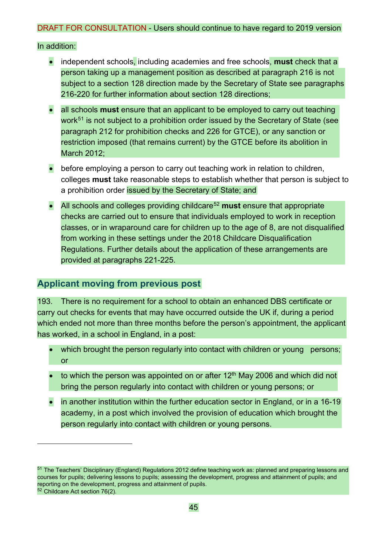#### In addition:

- independent schools, including academies and free schools, **must** check that a person taking up a management position as described at paragraph 216 is not subject to a section 128 direction made by the Secretary of State see paragraphs 216-220 for further information about section 128 directions;
- all schools **must** ensure that an applicant to be employed to carry out teaching work<sup>[51](#page-44-0)</sup> is not subiect to a prohibition order issued by the Secretary of State (see paragraph 212 for prohibition checks and 226 for GTCE), or any sanction or restriction imposed (that remains current) by the GTCE before its abolition in March 2012;
- before employing a person to carry out teaching work in relation to children, colleges **must** take reasonable steps to establish whether that person is subject to a prohibition order **issued by the Secretary of State; and**
- All schools and colleges providing childcare[52](#page-44-1) **must** ensure that appropriate checks are carried out to ensure that individuals employed to work in reception classes, or in wraparound care for children up to the age of 8, are not disqualified from working in these settings under the 2018 Childcare Disqualification Regulations. Further details about the application of these arrangements are provided at paragraphs 221-225.

### **Applicant moving from previous post**

193. There is no requirement for a school to obtain an enhanced DBS certificate or carry out checks for events that may have occurred outside the UK if, during a period which ended not more than three months before the person's appointment, the applicant has worked, in a school in England, in a post:

- which brought the person regularly into contact with children or young persons; or
- to which the person was appointed on or after  $12<sup>th</sup>$  May 2006 and which did not bring the person regularly into contact with children or young persons; or
- in another institution within the further education sector in England, or in a 16-19 academy, in a post which involved the provision of education which brought the person regularly into contact with children or young persons.

<span id="page-44-1"></span><sup>52</sup> Childcare Act section 76(2).

<span id="page-44-0"></span><sup>&</sup>lt;sup>51</sup> The Teachers' Disciplinary (England) Regulations 2012 define teaching work as: planned and preparing lessons and courses for pupils; delivering lessons to pupils; assessing the development, progress and attainment of pupils; and reporting on the development, progress and attainment of pupils.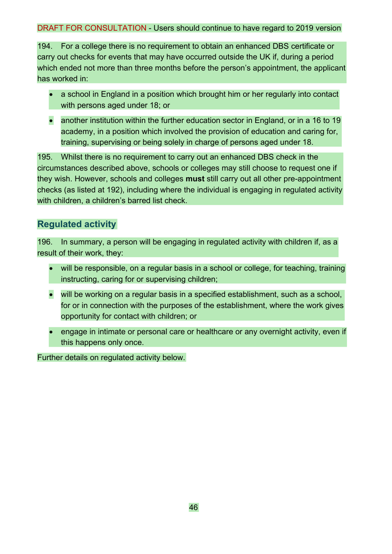194. For a college there is no requirement to obtain an enhanced DBS certificate or carry out checks for events that may have occurred outside the UK if, during a period which ended not more than three months before the person's appointment, the applicant has worked in:

- a school in England in a position which brought him or her regularly into contact with persons aged under 18; or
- another institution within the further education sector in England, or in a 16 to 19 academy, in a position which involved the provision of education and caring for, training, supervising or being solely in charge of persons aged under 18.

195. Whilst there is no requirement to carry out an enhanced DBS check in the circumstances described above, schools or colleges may still choose to request one if they wish. However, schools and colleges **must** still carry out all other pre-appointment checks (as listed at 192), including where the individual is engaging in regulated activity with children, a children's barred list check.

### **Regulated activity**

196. In summary, a person will be engaging in regulated activity with children if, as a result of their work, they:

- will be responsible, on a regular basis in a school or college, for teaching, training instructing, caring for or supervising children;
- will be working on a regular basis in a specified establishment, such as a school, for or in connection with the purposes of the establishment, where the work gives opportunity for contact with children; or
- engage in intimate or personal care or healthcare or any overnight activity, even if this happens only once.

Further details on regulated activity below.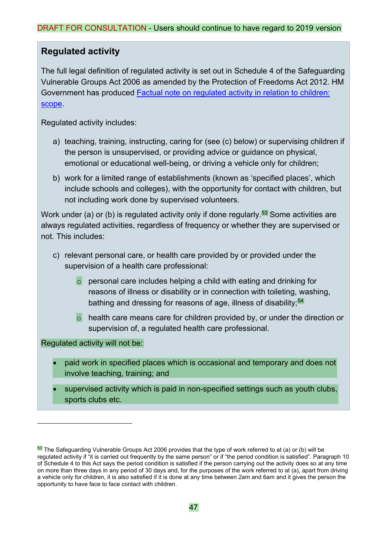## **Regulated activity**

The full legal definition of regulated activity is set out in Schedule 4 of the Safeguarding Vulnerable Groups Act 2006 as amended by the Protection of Freedoms Act 2012. HM Government has produced [Factual note on regulated activity in relation to children:](https://assets.publishing.service.gov.uk/government/uploads/system/uploads/attachment_data/file/550197/Regulated_activity_in_relation_to_children.pdf)  [scope.](https://assets.publishing.service.gov.uk/government/uploads/system/uploads/attachment_data/file/550197/Regulated_activity_in_relation_to_children.pdf)

Regulated activity includes:

- a) teaching, training, instructing, caring for (see (c) below) or supervising children if the person is unsupervised, or providing advice or guidance on physical, emotional or educational well-being, or driving a vehicle only for children;
- b) work for a limited range of establishments (known as 'specified places', which include schools and colleges), with the opportunity for contact with children, but not including work done by supervised volunteers.

Work under (a) or (b) is regulated activity only if done regularly.<sup>[53](#page-46-0)</sup> Some activities are always regulated activities, regardless of frequency or whether they are supervised or not. This includes:

- c) relevant personal care, or health care provided by or provided under the supervision of a health care professional:
	- o personal care includes helping a child with eating and drinking for reasons of illness or disability or in connection with toileting, washing, bathing and dressing for reasons of age, illness of disability;<sup>[54](#page-46-1)</sup>
	- o health care means care for children provided by, or under the direction or supervision of, a regulated health care professional.

### Regulated activity will not be:

- paid work in specified places which is occasional and temporary and does not involve teaching, training; and
- <span id="page-46-1"></span>• supervised activity which is paid in non-specified settings such as youth clubs, sports clubs etc.

<span id="page-46-0"></span><sup>53</sup> The Safeguarding Vulnerable Groups Act 2006 provides that the type of work referred to at (a) or (b) will be regulated activity if "it is carried out frequently by the same person" or if "the period condition is satisfied". Paragraph 10 of Schedule 4 to this Act says the period condition is satisfied if the person carrying out the activity does so at any time on more than three days in any period of 30 days and, for the purposes of the work referred to at (a), apart from driving a vehicle only for children, it is also satisfied if it is done at any time between 2am and 6am and it gives the person the opportunity to have face to face contact with children.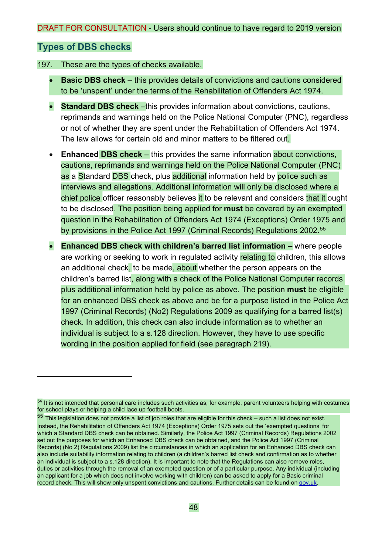### **Types of DBS checks**

- 197. These are the types of checks available.
	- **Basic DBS check** this provides details of convictions and cautions considered to be 'unspent' under the terms of the Rehabilitation of Offenders Act 1974.
	- **Standard DBS check** –this provides information about convictions, cautions, reprimands and warnings held on the Police National Computer (PNC), regardless or not of whether they are spent under the Rehabilitation of Offenders Act 1974. The law allows for certain old and minor matters to be filtered out.
	- **Enhanced DBS check** this provides the same information about convictions, cautions, reprimands and warnings held on the Police National Computer (PNC) as a Standard DBS check, plus additional information held by police such as interviews and allegations. Additional information will only be disclosed where a chief police officer reasonably believes it to be relevant and considers that it ought to be disclosed. The position being applied for **must** be covered by an exempted question in the Rehabilitation of Offenders Act 1974 (Exceptions) Order 1975 and by provisions in the Police Act 1997 (Criminal Records) Regulations 2002.<sup>[55](#page-47-0)</sup>
	- **Enhanced DBS check with children's barred list information** where people are working or seeking to work in regulated activity relating to children, this allows an additional check, to be made, about whether the person appears on the children's barred list, along with a check of the Police National Computer records plus additional information held by police as above. The position **must** be eligible for an enhanced DBS check as above and be for a purpose listed in the Police Act 1997 (Criminal Records) (No2) Regulations 2009 as qualifying for a barred list(s) check. In addition, this check can also include information as to whether an individual is subject to a s.128 direction. However, they have to use specific wording in the position applied for field (see paragraph 219).

<sup>&</sup>lt;sup>54</sup> It is not intended that personal care includes such activities as, for example, parent volunteers helping with costumes for school plays or helping a child lace up football boots.

<span id="page-47-0"></span> $55$  This legislation does not provide a list of job roles that are eligible for this check – such a list does not exist. Instead, the Rehabilitation of Offenders Act 1974 (Exceptions) Order 1975 sets out the 'exempted questions' for which a Standard DBS check can be obtained. Similarly, the Police Act 1997 (Criminal Records) Regulations 2002 set out the purposes for which an Enhanced DBS check can be obtained, and the Police Act 1997 (Criminal Records) (No 2) Regulations 2009) list the circumstances in which an application for an Enhanced DBS check can also include suitability information relating to children (a children's barred list check and confirmation as to whether an individual is subject to a s.128 direction). It is important to note that the Regulations can also remove roles, duties or activities through the removal of an exempted question or of a particular purpose. Any individual (including an applicant for a job which does not involve working with children) can be asked to apply for a Basic criminal record check. This will show only unspent convictions and cautions. Further details can be found o[n gov.uk.](https://www.gov.uk/request-copy-criminal-record)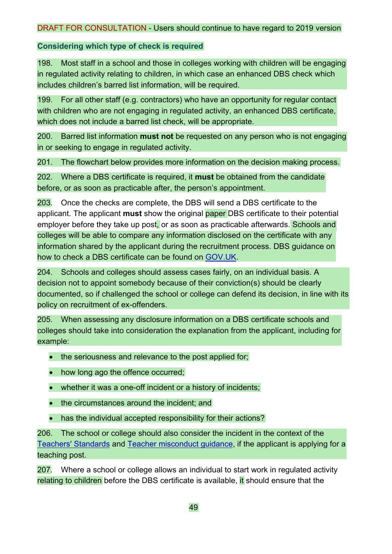### **Considering which type of check is required**

198. Most staff in a school and those in colleges working with children will be engaging in regulated activity relating to children, in which case an enhanced DBS check which includes children's barred list information, will be required.

199. For all other staff (e.g. contractors) who have an opportunity for regular contact with children who are not engaging in regulated activity, an enhanced DBS certificate, which does not include a barred list check, will be appropriate.

200. Barred list information **must not** be requested on any person who is not engaging in or seeking to engage in regulated activity.

201. The flowchart below provides more information on the decision making process.

202. Where a DBS certificate is required, it **must** be obtained from the candidate before, or as soon as practicable after, the person's appointment.

203. Once the checks are complete, the DBS will send a DBS certificate to the applicant. The applicant **must** show the original paper DBS certificate to their potential employer before they take up post, or as soon as practicable afterwards. Schools and colleges will be able to compare any information disclosed on the certificate with any information shared by the applicant during the recruitment process. DBS guidance on how to check a DBS certificate can be found on [GOV.UK.](https://www.gov.uk/guidance/dbs-check-requests-guidance-for-employers)

204. Schools and colleges should assess cases fairly, on an individual basis. A decision not to appoint somebody because of their conviction(s) should be clearly documented, so if challenged the school or college can defend its decision, in line with its policy on recruitment of ex-offenders.

205. When assessing any disclosure information on a DBS certificate schools and colleges should take into consideration the explanation from the applicant, including for example:

- the seriousness and relevance to the post applied for;
- how long ago the offence occurred;
- whether it was a one-off incident or a history of incidents;
- the circumstances around the incident; and
- has the individual accepted responsibility for their actions?

206. The school or college should also consider the incident in the context of the [Teachers' Standards](https://www.gov.uk/government/publications/teachers-standards) and [Teacher misconduct guidance,](https://www.gov.uk/guidance/teacher-misconduct-regulating-the-teaching-profession) if the applicant is applying for a teaching post.

207. Where a school or college allows an individual to start work in regulated activity relating to children before the DBS certificate is available, it should ensure that the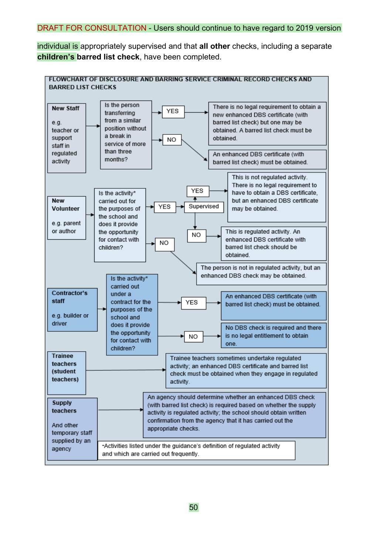individual is appropriately supervised and that **all other** checks, including a separate **children's barred list check**, have been completed.

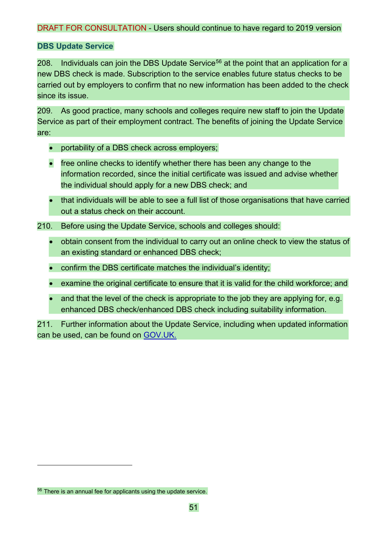### **DBS Update Service**

208. Individuals can join the DBS Update Service<sup>[56](#page-50-0)</sup> at the point that an application for a new DBS check is made. Subscription to the service enables future status checks to be carried out by employers to confirm that no new information has been added to the check since its issue.

209. As good practice, many schools and colleges require new staff to join the Update Service as part of their employment contract. The benefits of joining the Update Service are:

- portability of a DBS check across employers;
- free online checks to identify whether there has been any change to the information recorded, since the initial certificate was issued and advise whether the individual should apply for a new DBS check; and
- that individuals will be able to see a full list of those organisations that have carried out a status check on their account.

210. Before using the Update Service, schools and colleges should:

- obtain consent from the individual to carry out an online check to view the status of an existing standard or enhanced DBS check;
- confirm the DBS certificate matches the individual's identity;
- examine the original certificate to ensure that it is valid for the child workforce; and
- and that the level of the check is appropriate to the job they are applying for, e.g. enhanced DBS check/enhanced DBS check including suitability information.

211. Further information about the Update Service, including when updated information can be used, can be found on [GOV.UK.](https://www.gov.uk/dbs-update-service)

<span id="page-50-0"></span> $56$  There is an annual fee for applicants using the update service.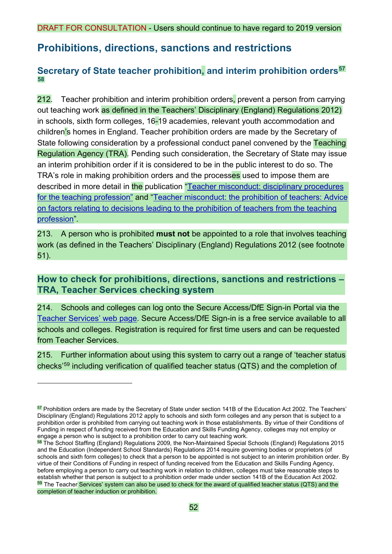## **Prohibitions, directions, sanctions and restrictions**

### **Secretary of State teacher prohibition, and interim prohibition orders[57](#page-51-0) [58](#page-51-1)**

212. Teacher prohibition and interim prohibition orders, prevent a person from carrying out teaching work as defined in the Teachers' Disciplinary (England) Regulations 2012) in schools, sixth form colleges, 16-19 academies, relevant youth accommodation and children's homes in England. Teacher prohibition orders are made by the Secretary of State following consideration by a professional conduct panel convened by the Teaching Regulation Agency (TRA). Pending such consideration, the Secretary of State may issue an interim prohibition order if it is considered to be in the public interest to do so. The TRA's role in making prohibition orders and the processes used to impose them are described in more detail in the publication ["Teacher misconduct: disciplinary procedures](https://assets.publishing.service.gov.uk/government/uploads/system/uploads/attachment_data/file/776859/Disciplinary_procedures_for_the_teaching__profession.pdf)  [for the teaching profession"](https://assets.publishing.service.gov.uk/government/uploads/system/uploads/attachment_data/file/776859/Disciplinary_procedures_for_the_teaching__profession.pdf) and ["Teacher misconduct: the prohibition of teachers:](https://www.gov.uk/government/publications/teacher-misconduct-the-prohibition-of-teachers--3) Advice [on factors relating to decisions leading to the prohibition of teachers from the teaching](https://www.gov.uk/government/publications/teacher-misconduct-the-prohibition-of-teachers--3)  [profession"](https://www.gov.uk/government/publications/teacher-misconduct-the-prohibition-of-teachers--3).

213. A person who is prohibited **must not** be appointed to a role that involves teaching work (as defined in the Teachers' Disciplinary (England) Regulations 2012 (see footnote 51).

## **How to check for prohibitions, directions, sanctions and restrictions – TRA, Teacher Services checking system**

214. Schools and colleges can log onto the Secure Access/DfE Sign-in Portal via the [Teacher Services' web page.](https://teacherservices.education.gov.uk/SelfService/Login) Secure Access/DfE Sign-in is a free service available to all schools and colleges. Registration is required for first time users and can be requested from Teacher Services.

215. Further information about using this system to carry out a range of 'teacher status checks'[59](#page-51-2) including verification of qualified teacher status (QTS) and the completion of

<span id="page-51-0"></span><sup>57</sup> Prohibition orders are made by the Secretary of State under section 141B of the Education Act 2002. The Teachers' Disciplinary (England) Regulations 2012 apply to schools and sixth form colleges and any person that is subject to a prohibition order is prohibited from carrying out teaching work in those establishments. By virtue of their Conditions of Funding in respect of funding received from the Education and Skills Funding Agency, colleges may not employ or engage a person who is subject to a prohibition order to carry out teaching work.

<span id="page-51-2"></span><span id="page-51-1"></span><sup>58</sup> The School Staffing (England) Regulations 2009, the Non-Maintained Special Schools (England) Regulations 2015 and the Education (Independent School Standards) Regulations 2014 require governing bodies or proprietors (of schools and sixth form colleges) to check that a person to be appointed is not subject to an interim prohibition order. By virtue of their Conditions of Funding in respect of funding received from the Education and Skills Funding Agency, before employing a person to carry out teaching work in relation to children, colleges must take reasonable steps to establish whether that person is subject to a prohibition order made under section 141B of the Education Act 2002. 59 The Teacher Services' system can also be used to check for the award of qualified teacher status (QTS) and the completion of teacher induction or prohibition.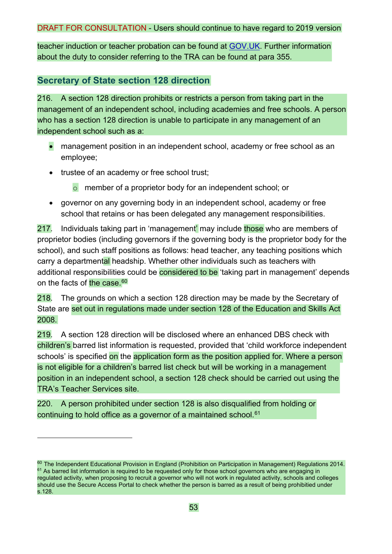teacher induction or teacher probation can be found at [GOV.UK.](https://teacherservices.education.gov.uk/SelfService/Login) Further information about the duty to consider referring to the TRA can be found at para 355.

## **Secretary of State section 128 direction**

216. A section 128 direction prohibits or restricts a person from taking part in the management of an independent school, including academies and free schools. A person who has a section 128 direction is unable to participate in any management of an independent school such as a:

- management position in an independent school, academy or free school as an employee;
- trustee of an academy or free school trust;
	- o member of a proprietor body for an independent school; or
- governor on any governing body in an independent school, academy or free school that retains or has been delegated any management responsibilities.

217. Individuals taking part in 'management' may include those who are members of proprietor bodies (including governors if the governing body is the proprietor body for the school), and such staff positions as follows: head teacher, any teaching positions which carry a departmental headship. Whether other individuals such as teachers with additional responsibilities could be **considered to be** 'taking part in management' depends on the facts of the case.<sup>[60](#page-52-0)</sup>

218. The grounds on which a section 128 direction may be made by the Secretary of State are set out in regulations made under section 128 of the Education and Skills Act 2008.

219. A section 128 direction will be disclosed where an enhanced DBS check with children's barred list information is requested, provided that 'child workforce independent schools' is specified on the application form as the position applied for. Where a person is not eligible for a children's barred list check but will be working in a management position in an independent school, a section 128 check should be carried out using the TRA's Teacher Services site.

220. A person prohibited under section 128 is also disqualified from holding or continuing to hold office as a governor of a maintained school.<sup>[61](#page-52-1)</sup>

<span id="page-52-1"></span><span id="page-52-0"></span><sup>60</sup> The Independent Educational Provision in England (Prohibition on Participation in Management) Regulations 2014.  $61$  As barred list information is required to be requested only for those school governors who are engaging in regulated activity, when proposing to recruit a governor who will not work in regulated activity, schools and colleges should use the Secure Access Portal to check whether the person is barred as a result of being prohibitied under s.128.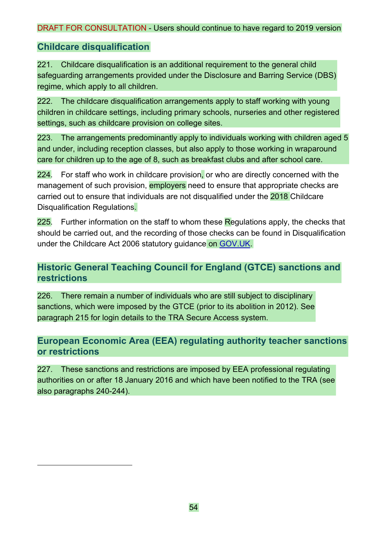## **Childcare disqualification**

221. Childcare disqualification is an additional requirement to the general child safeguarding arrangements provided under the Disclosure and Barring Service (DBS) regime, which apply to all children.

222. The childcare disqualification arrangements apply to staff working with young children in childcare settings, including primary schools, nurseries and other registered settings, such as childcare provision on college sites.

223. The arrangements predominantly apply to individuals working with children aged 5 and under, including reception classes, but also apply to those working in wraparound care for children up to the age of 8, such as breakfast clubs and after school care.

224. For staff who work in childcare provision, or who are directly concerned with the management of such provision, employers need to ensure that appropriate checks are carried out to ensure that individuals are not disqualified under the 2018 Childcare Disqualification Regulations.

225. Further information on the staff to whom these Regulations apply, the checks that should be carried out, and the recording of those checks can be found in Disqualification under the Childcare Act 2006 statutory guidance on [GOV.UK.](https://www.gov.uk/government/publications/disqualification-under-the-childcare-act-2006/disqualification-under-the-childcare-act-2006)

## **Historic General Teaching Council for England (GTCE) sanctions and restrictions**

226. There remain a number of individuals who are still subject to disciplinary sanctions, which were imposed by the GTCE (prior to its abolition in 2012). See paragraph 215 for login details to the TRA Secure Access system.

### **European Economic Area (EEA) regulating authority teacher sanctions or restrictions**

227. These sanctions and restrictions are imposed by EEA professional regulating authorities on or after 18 January 2016 and which have been notified to the TRA (see also paragraphs 240-244).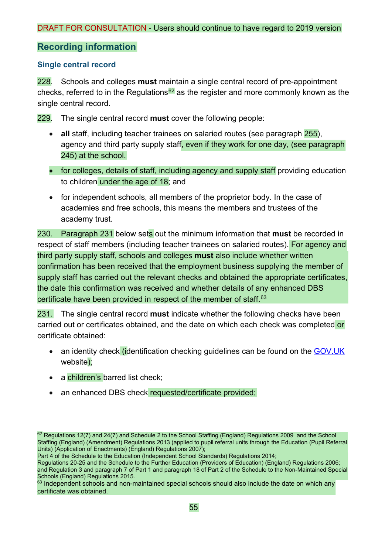## **Recording information**

### **Single central record**

228. Schools and colleges **must** maintain a single central record of pre-appointment checks, referred to in the Regulations $62$  as the register and more commonly known as the single central record.

229. The single central record **must** cover the following people:

- **all** staff, including teacher trainees on salaried routes (see paragraph 255). agency and third party supply staff, even if they work for one day, (see paragraph 245) at the school.
- for colleges, details of staff, including agency and supply staff providing education to children under the age of 18; and
- for independent schools, all members of the proprietor body. In the case of academies and free schools, this means the members and trustees of the academy trust.

230. Paragraph 231 below sets out the minimum information that **must** be recorded in respect of staff members (including teacher trainees on salaried routes). For agency and third party supply staff, schools and colleges **must** also include whether written confirmation has been received that the employment business supplying the member of supply staff has carried out the relevant checks and obtained the appropriate certificates, the date this confirmation was received and whether details of any enhanced DBS certificate have been provided in respect of the member of staff.<sup>[63](#page-54-1)</sup>

231. The single central record **must** indicate whether the following checks have been carried out or certificates obtained, and the date on which each check was completed or certificate obtained:

- an identity check *(identification checking quidelines can be found on the [GOV.UK](https://www.gov.uk/government/publications/identity-proofing-and-verification-of-an-individual)* website);
- a children's barred list check:
- an enhanced DBS check requested/certificate provided;

Part 4 of the Schedule to the Education (Independent School Standards) Regulations 2014;

<span id="page-54-0"></span> $62$  Regulations 12(7) and 24(7) and Schedule 2 to the School Staffing (England) Regulations 2009 and the School Staffing (England) (Amendment) Regulations 2013 (applied to pupil referral units through the Education (Pupil Referral Units) (Application of Enactments) (England) Regulations 2007);

Regulations 20-25 and the Schedule to the Further Education (Providers of Education) (England) Regulations 2006; and Regulation 3 and paragraph 7 of Part 1 and paragraph 18 of Part 2 of the Schedule to the Non-Maintained Special Schools (England) Regulations 2015.

<span id="page-54-1"></span> $63$  Independent schools and non-maintained special schools should also include the date on which any certificate was obtained.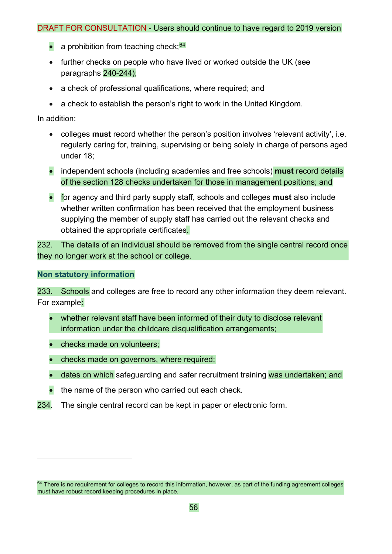- a prohibition from teaching check;<sup>[64](#page-55-0)</sup>
- further checks on people who have lived or worked outside the UK (see paragraphs 240-244);
- a check of professional qualifications, where required; and
- a check to establish the person's right to work in the United Kingdom.

In addition:

- colleges **must** record whether the person's position involves 'relevant activity', i.e. regularly caring for, training, supervising or being solely in charge of persons aged under 18;
- independent schools (including academies and free schools) **must** record details of the section 128 checks undertaken for those in management positions; and
- for agency and third party supply staff, schools and colleges **must** also include whether written confirmation has been received that the employment business supplying the member of supply staff has carried out the relevant checks and obtained the appropriate certificates.

232. The details of an individual should be removed from the single central record once they no longer work at the school or college.

### **Non statutory information**

233. Schools and colleges are free to record any other information they deem relevant. For example:

- whether relevant staff have been informed of their duty to disclose relevant information under the childcare disqualification arrangements;
- checks made on volunteers;
- checks made on governors, where required:
- dates on which safeguarding and safer recruitment training was undertaken; and
- the name of the person who carried out each check.
- 234. The single central record can be kept in paper or electronic form.

<span id="page-55-0"></span> $64$  There is no requirement for colleges to record this information, however, as part of the funding agreement colleges must have robust record keeping procedures in place.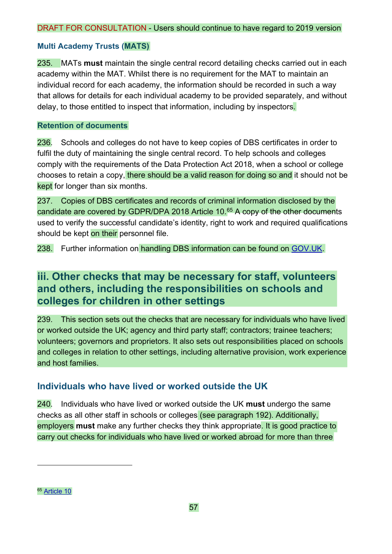### **Multi Academy Trusts (MATS)**

235. MATs **must** maintain the single central record detailing checks carried out in each academy within the MAT. Whilst there is no requirement for the MAT to maintain an individual record for each academy, the information should be recorded in such a way that allows for details for each individual academy to be provided separately, and without delay, to those entitled to inspect that information, including by inspectors.

### **Retention of documents**

236. Schools and colleges do not have to keep copies of DBS certificates in order to fulfil the duty of maintaining the single central record. To help schools and colleges comply with the requirements of the Data Protection Act 2018, when a school or college chooses to retain a copy, there should be a valid reason for doing so and it should not be kept for longer than six months.

237. Copies of DBS certificates and records of criminal information disclosed by the candidate are covered by GDPR/DPA 2018 Article 10.<sup>[65](#page-56-1)</sup> A copy of the other documents used to verify the successful candidate's identity, right to work and required qualifications should be kept on their personnel file.

238. Further information on handling DBS information can be found on [GOV.UK.](https://www.gov.uk/government/publications/handling-of-dbs-certificate-information)

## <span id="page-56-0"></span>**iii. Other checks that may be necessary for staff, volunteers and others, including the responsibilities on schools and colleges for children in other settings**

239. This section sets out the checks that are necessary for individuals who have lived or worked outside the UK; agency and third party staff; contractors; trainee teachers; volunteers; governors and proprietors. It also sets out responsibilities placed on schools and colleges in relation to other settings, including alternative provision, work experience and host families.

## **Individuals who have lived or worked outside the UK**

<span id="page-56-1"></span>240. Individuals who have lived or worked outside the UK **must** undergo the same checks as all other staff in schools or colleges (see paragraph 192). Additionally, employers **must** make any further checks they think appropriate. It is good practice to carry out checks for individuals who have lived or worked abroad for more than three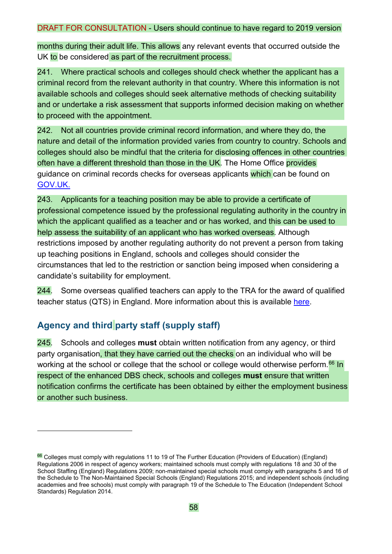months during their adult life. This allows any relevant events that occurred outside the UK to be considered as part of the recruitment process.

241. Where practical schools and colleges should check whether the applicant has a criminal record from the relevant authority in that country. Where this information is not available schools and colleges should seek alternative methods of checking suitability and or undertake a risk assessment that supports informed decision making on whether to proceed with the appointment.

242. Not all countries provide criminal record information, and where they do, the nature and detail of the information provided varies from country to country. Schools and colleges should also be mindful that the criteria for disclosing offences in other countries often have a different threshold than those in the UK. The Home Office provides guidance on criminal records checks for overseas applicants which can be found on [GOV.UK.](https://www.gov.uk/government/publications/criminal-records-checks-for-overseas-applicants)

243. Applicants for a teaching position may be able to provide a certificate of professional competence issued by the professional regulating authority in the country in which the applicant qualified as a teacher and or has worked, and this can be used to help assess the suitability of an applicant who has worked overseas. Although restrictions imposed by another regulating authority do not prevent a person from taking up teaching positions in England, schools and colleges should consider the circumstances that led to the restriction or sanction being imposed when considering a candidate's suitability for employment.

244. Some overseas qualified teachers can apply to the TRA for the award of qualified teacher status (QTS) in England. More information about this is available [here.](https://www.gov.uk/guidance/qualified-teacher-status-qts)

## **Agency and third party staff (supply staff)**

245. Schools and colleges **must** obtain written notification from any agency, or third party organisation, that they have carried out the checks on an individual who will be working at the school or college that the school or college would otherwise perform.<sup>[66](#page-57-0)</sup> In respect of the enhanced DBS check, schools and colleges **must** ensure that written notification confirms the certificate has been obtained by either the employment business or another such business.

<span id="page-57-0"></span><sup>66</sup> Colleges must comply with regulations 11 to 19 of The Further Education (Providers of Education) (England) Regulations 2006 in respect of agency workers; maintained schools must comply with regulations 18 and 30 of the School Staffing (England) Regulations 2009; non-maintained special schools must comply with paragraphs 5 and 16 of the Schedule to The Non-Maintained Special Schools (England) Regulations 2015; and independent schools (including academies and free schools) must comply with paragraph 19 of the Schedule to The Education (Independent School Standards) Regulation 2014.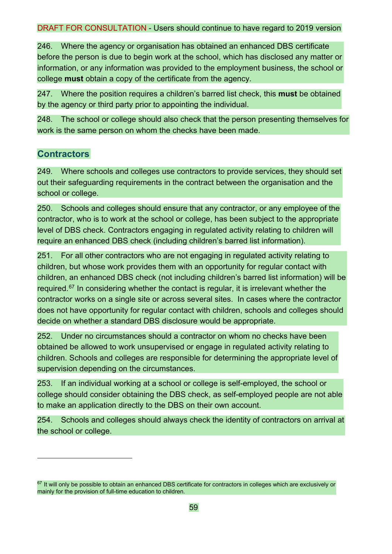246. Where the agency or organisation has obtained an enhanced DBS certificate before the person is due to begin work at the school, which has disclosed any matter or information, or any information was provided to the employment business, the school or college **must** obtain a copy of the certificate from the agency.

247. Where the position requires a children's barred list check, this **must** be obtained by the agency or third party prior to appointing the individual.

248. The school or college should also check that the person presenting themselves for work is the same person on whom the checks have been made.

### **Contractors**

249. Where schools and colleges use contractors to provide services, they should set out their safeguarding requirements in the contract between the organisation and the school or college.

250. Schools and colleges should ensure that any contractor, or any employee of the contractor, who is to work at the school or college, has been subject to the appropriate level of DBS check. Contractors engaging in regulated activity relating to children will require an enhanced DBS check (including children's barred list information).

251. For all other contractors who are not engaging in regulated activity relating to children, but whose work provides them with an opportunity for regular contact with children, an enhanced DBS check (not including children's barred list information) will be required.<sup>[67](#page-58-0)</sup> In considering whether the contact is regular, it is irrelevant whether the contractor works on a single site or across several sites. In cases where the contractor does not have opportunity for regular contact with children, schools and colleges should decide on whether a standard DBS disclosure would be appropriate.

252. Under no circumstances should a contractor on whom no checks have been obtained be allowed to work unsupervised or engage in regulated activity relating to children. Schools and colleges are responsible for determining the appropriate level of supervision depending on the circumstances.

253. If an individual working at a school or college is self-employed, the school or college should consider obtaining the DBS check, as self-employed people are not able to make an application directly to the DBS on their own account.

254. Schools and colleges should always check the identity of contractors on arrival at the school or college.

<span id="page-58-0"></span> $67$  It will only be possible to obtain an enhanced DBS certificate for contractors in colleges which are exclusively or mainly for the provision of full-time education to children.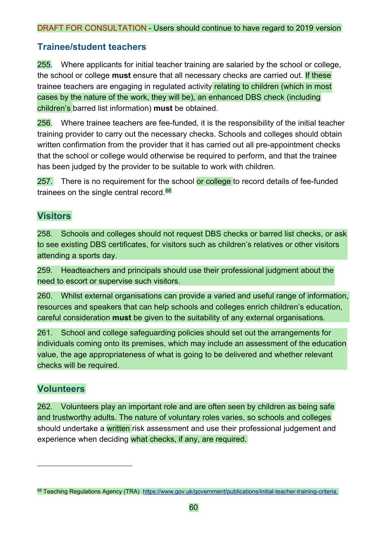## **Trainee/student teachers**

255. Where applicants for initial teacher training are salaried by the school or college, the school or college **must** ensure that all necessary checks are carried out. If these trainee teachers are engaging in regulated activity relating to children (which in most cases by the nature of the work, they will be), an enhanced DBS check (including children's barred list information) **must** be obtained.

256. Where trainee teachers are fee-funded, it is the responsibility of the initial teacher training provider to carry out the necessary checks. Schools and colleges should obtain written confirmation from the provider that it has carried out all pre-appointment checks that the school or college would otherwise be required to perform, and that the trainee has been judged by the provider to be suitable to work with children.

257. There is no requirement for the school or college to record details of fee-funded trainees on the single central record. $68$ 

## **Visitors**

258. Schools and colleges should not request DBS checks or barred list checks, or ask to see existing DBS certificates, for visitors such as children's relatives or other visitors attending a sports day.

259. Headteachers and principals should use their professional judgment about the need to escort or supervise such visitors.

260. Whilst external organisations can provide a varied and useful range of information, resources and speakers that can help schools and colleges enrich children's education, careful consideration **must** be given to the suitability of any external organisations.

261. School and college safeguarding policies should set out the arrangements for individuals coming onto its premises, which may include an assessment of the education value, the age appropriateness of what is going to be delivered and whether relevant checks will be required.

## **Volunteers**

262. Volunteers play an important role and are often seen by children as being safe and trustworthy adults. The nature of voluntary roles varies, so schools and colleges should undertake a written risk assessment and use their professional judgement and experience when deciding what checks, if any, are required.

<span id="page-59-0"></span><sup>68</sup> Teaching Regulations Agency (TRA) [https://www.gov.uk/government/publications/initial-teacher-training-criteria.](https://www.gov.uk/government/publications/initial-teacher-training-criteria)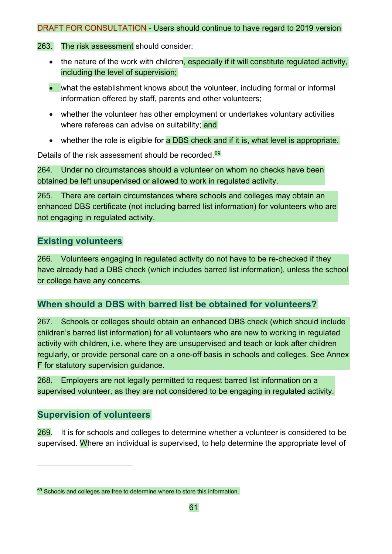### 263. The risk assessment should consider:

- the nature of the work with children, especially if it will constitute regulated activity, including the level of supervision;
- what the establishment knows about the volunteer, including formal or informal information offered by staff, parents and other volunteers;
- whether the volunteer has other employment or undertakes voluntary activities where referees can advise on suitability; and
- whether the role is eligible for a DBS check and if it is, what level is appropriate.

Details of the risk assessment should be recorded.<sup>[69](#page-60-0)</sup>

264. Under no circumstances should a volunteer on whom no checks have been obtained be left unsupervised or allowed to work in regulated activity.

265. There are certain circumstances where schools and colleges may obtain an enhanced DBS certificate (not including barred list information) for volunteers who are not engaging in regulated activity.

### **Existing volunteers**

266. Volunteers engaging in regulated activity do not have to be re-checked if they have already had a DBS check (which includes barred list information), unless the school or college have any concerns.

## **When should a DBS with barred list be obtained for volunteers?**

267. Schools or colleges should obtain an enhanced DBS check (which should include children's barred list information) for all volunteers who are new to working in regulated activity with children, i.e. where they are unsupervised and teach or look after children regularly, or provide personal care on a one-off basis in schools and colleges. See Annex F for statutory supervision guidance.

268. Employers are not legally permitted to request barred list information on a supervised volunteer, as they are not considered to be engaging in regulated activity.

## **Supervision of volunteers**

269. It is for schools and colleges to determine whether a volunteer is considered to be supervised. Where an individual is supervised, to help determine the appropriate level of

<span id="page-60-0"></span> $69$  Schools and colleges are free to determine where to store this information.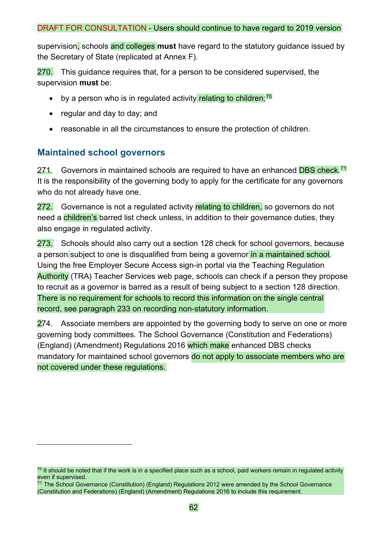supervision, schools and colleges **must** have regard to the statutory guidance issued by the Secretary of State (replicated at Annex F).

270. This quidance requires that, for a person to be considered supervised, the supervision **must** be:

- by a person who is in regulated activity relating to children; $\frac{70}{2}$  $\frac{70}{2}$  $\frac{70}{2}$
- regular and day to day; and
- reasonable in all the circumstances to ensure the protection of children.

## **Maintained school governors**

2[71](#page-61-1). Governors in maintained schools are required to have an enhanced DBS check.<sup>71</sup> It is the responsibility of the governing body to apply for the certificate for any governors who do not already have one.

272. Governance is not a regulated activity relating to children, so governors do not need a children's barred list check unless, in addition to their governance duties, they also engage in regulated activity.

273. Schools should also carry out a section 128 check for school governors, because a person subject to one is disqualified from being a governor in a maintained school. Using the free Employer Secure Access sign-in portal via the Teaching Regulation Authority (TRA) Teacher Services web page, schools can check if a person they propose to recruit as a governor is barred as a result of being subject to a section 128 direction. There is no requirement for schools to record this information on the single central record, see paragraph 233 on recording non-statutory information.

274. Associate members are appointed by the governing body to serve on one or more governing body committees. The School Governance (Constitution and Federations) (England) (Amendment) Regulations 2016 which make enhanced DBS checks mandatory for maintained school governors do not apply to associate members who are not covered under these regulations.

<span id="page-61-0"></span> $70$  It should be noted that if the work is in a specified place such as a school, paid workers remain in regulated activity even if supervised.

<span id="page-61-1"></span> $^{71}$  The School Governance (Constitution) (England) Regulations 2012 were amended by the School Governance (Constitution and Federations) (England) (Amendment) Regulations 2016 to include this requirement.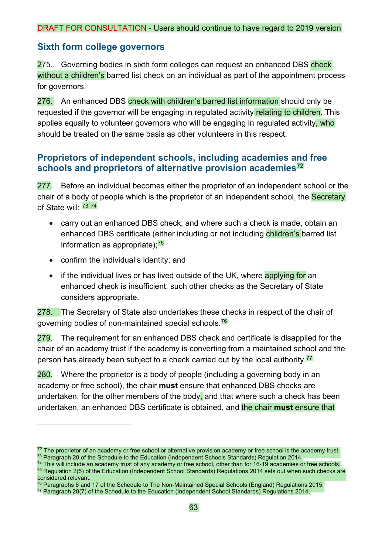## **Sixth form college governors**

275. Governing bodies in sixth form colleges can request an enhanced DBS check without a children's barred list check on an individual as part of the appointment process for governors.

276. An enhanced DBS check with children's barred list information should only be requested if the governor will be engaging in regulated activity relating to children. This applies equally to volunteer governors who will be engaging in regulated activity, who should be treated on the same basis as other volunteers in this respect.

## **Proprietors of independent schools, including academies and free schools and proprietors of alternative provision academies[72](#page-62-0)**

277. Before an individual becomes either the proprietor of an independent school or the chair of a body of people which is the proprietor of an independent school, the Secretary of State will: [73](#page-62-1) [74](#page-62-2)

- carry out an enhanced DBS check; and where such a check is made, obtain an enhanced DBS certificate (either including or not including children's barred list information as appropriate); $\frac{75}{6}$  $\frac{75}{6}$  $\frac{75}{6}$
- confirm the individual's identity; and
- if the individual lives or has lived outside of the UK, where applying for an enhanced check is insufficient, such other checks as the Secretary of State considers appropriate.

278. The Secretary of State also undertakes these checks in respect of the chair of governing bodies of non-maintained special schools.<sup>[76](#page-62-4)</sup>

279. The requirement for an enhanced DBS check and certificate is disapplied for the chair of an academy trust if the academy is converting from a maintained school and the person has already been subject to a check carried out by the local authority.<sup>[77](#page-62-5)</sup>

280. Where the proprietor is a body of people (including a governing body in an academy or free school), the chair **must** ensure that enhanced DBS checks are undertaken, for the other members of the body, and that where such a check has been undertaken, an enhanced DBS certificate is obtained, and the chair **must** ensure that

<span id="page-62-0"></span> $^{72}$  The proprietor of an academy or free school or alternative provision academy or free school is the academy trust. <sup>73</sup> Paragraph 20 of the Schedule to the Education (Independent Schools Standards) Regulation 2014.

<span id="page-62-1"></span> $74$  This will include an academy trust of any academy or free school, other than for  $16-19$  academies or free schools.

<span id="page-62-3"></span><span id="page-62-2"></span> $75$  Regulation 2(5) of the Education (Independent School Standards) Regulations 2014 sets out when such checks are considered relevant.

<span id="page-62-4"></span> $76$  Paragraphs 6 and 17 of the Schedule to The Non-Maintained Special Schools (England) Regulations 2015.

<span id="page-62-5"></span><sup>77</sup> Paragraph 20(7) of the Schedule to the Education (Independent School Standards) Regulations 2014.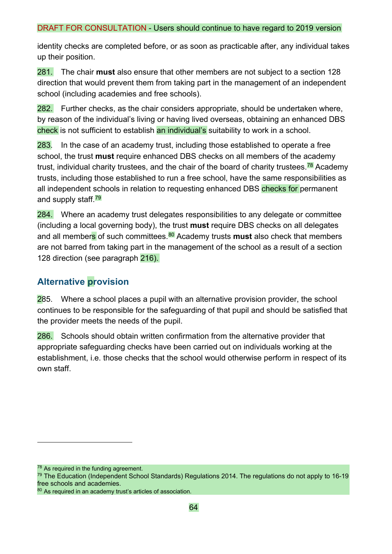identity checks are completed before, or as soon as practicable after, any individual takes up their position.

281. The chair **must** also ensure that other members are not subject to a section 128 direction that would prevent them from taking part in the management of an independent school (including academies and free schools).

282. Further checks, as the chair considers appropriate, should be undertaken where, by reason of the individual's living or having lived overseas, obtaining an enhanced DBS check is not sufficient to establish an individual's suitability to work in a school.

283. In the case of an academy trust, including those established to operate a free school, the trust **must** require enhanced DBS checks on all members of the academy trust, individual charity trustees, and the chair of the board of charity trustees.<sup>[78](#page-63-0)</sup> Academy trusts, including those established to run a free school, have the same responsibilities as all independent schools in relation to requesting enhanced DBS checks for permanent and supply staff.<sup>[79](#page-63-1)</sup>

284. Where an academy trust delegates responsibilities to any delegate or committee (including a local governing body), the trust **must** require DBS checks on all delegates and all members of such committees.<sup>[80](#page-63-2)</sup> Academy trusts **must** also check that members are not barred from taking part in the management of the school as a result of a section 128 direction (see paragraph 216).

## **Alternative provision**

285. Where a school places a pupil with an alternative provision provider, the school continues to be responsible for the safeguarding of that pupil and should be satisfied that the provider meets the needs of the pupil.

286. Schools should obtain written confirmation from the alternative provider that appropriate safeguarding checks have been carried out on individuals working at the establishment, i.e. those checks that the school would otherwise perform in respect of its own staff.

<span id="page-63-0"></span> $78$  As required in the funding agreement.

<span id="page-63-1"></span><sup>&</sup>lt;sup>79</sup> The Education (Independent School Standards) Regulations 2014. The regulations do not apply to 16-19 free schools and academies.

<span id="page-63-2"></span><sup>80</sup> As required in an academy trust's articles of association.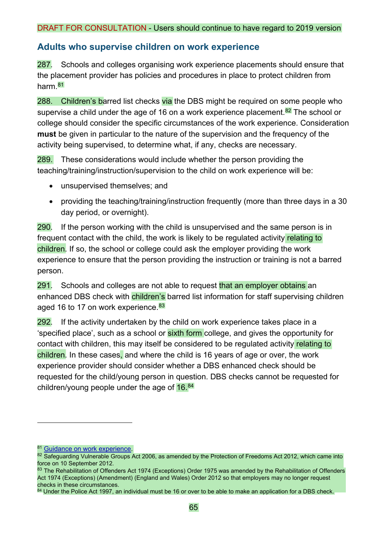### **Adults who supervise children on work experience**

287. Schools and colleges organising work experience placements should ensure that the placement provider has policies and procedures in place to protect children from harm<sup>[81](#page-64-0)</sup>

288. Children's barred list checks via the DBS might be required on some people who supervise a child under the age of 16 on a work experience placement. $82$  The school or college should consider the specific circumstances of the work experience. Consideration **must** be given in particular to the nature of the supervision and the frequency of the activity being supervised, to determine what, if any, checks are necessary.

289. These considerations would include whether the person providing the teaching/training/instruction/supervision to the child on work experience will be:

- unsupervised themselves; and
- providing the teaching/training/instruction frequently (more than three days in a 30 day period, or overnight).

290. If the person working with the child is unsupervised and the same person is in frequent contact with the child, the work is likely to be regulated activity relating to children. If so, the school or college could ask the employer providing the work experience to ensure that the person providing the instruction or training is not a barred person.

291. Schools and colleges are not able to request that an employer obtains an enhanced DBS check with children's barred list information for staff supervising children aged 16 to 17 on work experience.<sup>[83](#page-64-2)</sup>

292. If the activity undertaken by the child on work experience takes place in a 'specified place', such as a school or sixth form college, and gives the opportunity for contact with children, this may itself be considered to be regulated activity relating to children. In these cases, and where the child is 16 years of age or over, the work experience provider should consider whether a DBS enhanced check should be requested for the child/young person in question. DBS checks cannot be requested for children/young people under the age of  $16^{84}$  $16^{84}$  $16^{84}$ 

<span id="page-64-0"></span><sup>81</sup> [Guidance on work experience.](https://www.gov.uk/government/publications/16-to-19-study-programmes-guide-for-providers)

<span id="page-64-1"></span><sup>82</sup> Safeguarding Vulnerable Groups Act 2006, as amended by the Protection of Freedoms Act 2012, which came into force on 10 September 2012.

<span id="page-64-2"></span><sup>83</sup> The Rehabilitation of Offenders Act 1974 (Exceptions) Order 1975 was amended by the Rehabilitation of Offenders Act 1974 (Exceptions) (Amendment) (England and Wales) Order 2012 so that employers may no longer request checks in these circumstances.

<span id="page-64-3"></span><sup>84</sup> Under the Police Act 1997, an individual must be 16 or over to be able to make an application for a DBS check.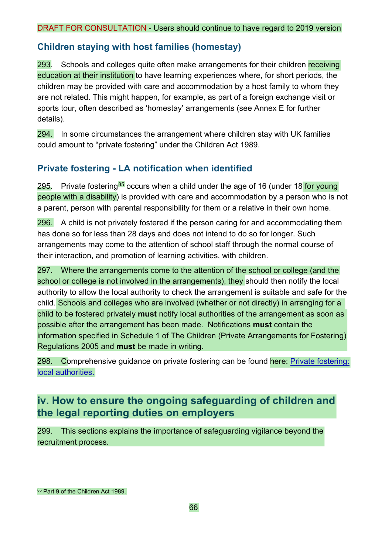## **Children staying with host families (homestay)**

293. Schools and colleges quite often make arrangements for their children receiving education at their institution to have learning experiences where, for short periods, the children may be provided with care and accommodation by a host family to whom they are not related. This might happen, for example, as part of a foreign exchange visit or sports tour, often described as 'homestay' arrangements (see Annex E for further details).

294. In some circumstances the arrangement where children stay with UK families could amount to "private fostering" under the Children Act 1989.

## **Private fostering - LA notification when identified**

295. Private fostering<sup>[85](#page-65-1)</sup> occurs when a child under the age of 16 (under 18 for young people with a disability) is provided with care and accommodation by a person who is not a parent, person with parental responsibility for them or a relative in their own home.

296. A child is not privately fostered if the person caring for and accommodating them has done so for less than 28 days and does not intend to do so for longer. Such arrangements may come to the attention of school staff through the normal course of their interaction, and promotion of learning activities, with children.

297. Where the arrangements come to the attention of the school or college (and the school or college is not involved in the arrangements), they should then notify the local authority to allow the local authority to check the arrangement is suitable and safe for the child. Schools and colleges who are involved (whether or not directly) in arranging for a child to be fostered privately **must** notify local authorities of the arrangement as soon as possible after the arrangement has been made. Notifications **must** contain the information specified in Schedule 1 of The Children (Private Arrangements for Fostering) Regulations 2005 and **must** be made in writing.

298. Comprehensive guidance on private fostering can be found here: Private fostering: [local authorities.](https://www.gov.uk/government/publications/children-act-1989-private-fostering)

## <span id="page-65-0"></span>**iv. How to ensure the ongoing safeguarding of children and the legal reporting duties on employers**

299. This sections explains the importance of safeguarding vigilance beyond the recruitment process.

<span id="page-65-1"></span>85 Part 9 of the Children Act 1989.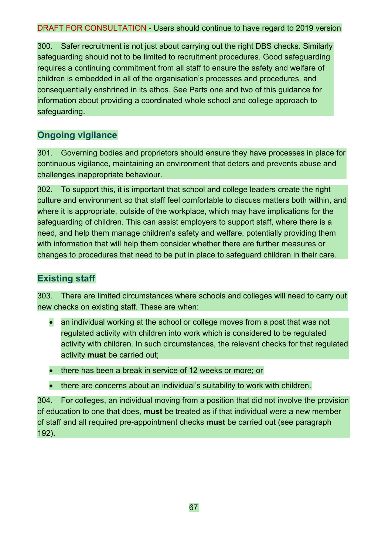300. Safer recruitment is not just about carrying out the right DBS checks. Similarly safeguarding should not to be limited to recruitment procedures. Good safeguarding requires a continuing commitment from all staff to ensure the safety and welfare of children is embedded in all of the organisation's processes and procedures, and consequentially enshrined in its ethos. See Parts one and two of this guidance for information about providing a coordinated whole school and college approach to safeguarding.

## **Ongoing vigilance**

301. Governing bodies and proprietors should ensure they have processes in place for continuous vigilance, maintaining an environment that deters and prevents abuse and challenges inappropriate behaviour.

302. To support this, it is important that school and college leaders create the right culture and environment so that staff feel comfortable to discuss matters both within, and where it is appropriate, outside of the workplace, which may have implications for the safeguarding of children. This can assist employers to support staff, where there is a need, and help them manage children's safety and welfare, potentially providing them with information that will help them consider whether there are further measures or changes to procedures that need to be put in place to safeguard children in their care.

## **Existing staff**

303. There are limited circumstances where schools and colleges will need to carry out new checks on existing staff. These are when:

- an individual working at the school or college moves from a post that was not regulated activity with children into work which is considered to be regulated activity with children. In such circumstances, the relevant checks for that regulated activity **must** be carried out;
- there has been a break in service of 12 weeks or more; or
- there are concerns about an individual's suitability to work with children.

304. For colleges, an individual moving from a position that did not involve the provision of education to one that does, **must** be treated as if that individual were a new member of staff and all required pre-appointment checks **must** be carried out (see paragraph 192).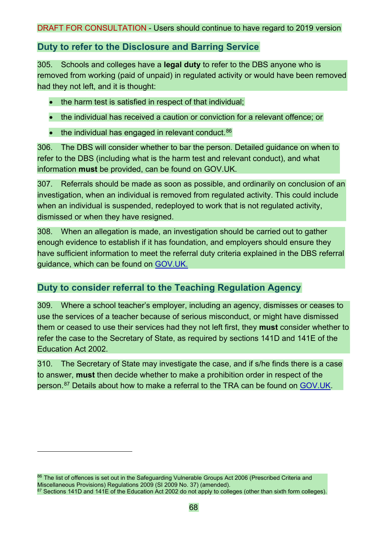## **Duty to refer to the Disclosure and Barring Service**

305. Schools and colleges have a **legal duty** to refer to the DBS anyone who is removed from working (paid of unpaid) in regulated activity or would have been removed had they not left, and it is thought:

- the harm test is satisfied in respect of that individual;
- the individual has received a caution or conviction for a relevant offence; or
- $\bullet$  the individual has engaged in relevant conduct.  $86$

306. The DBS will consider whether to bar the person. Detailed guidance on when to refer to the DBS (including what is the harm test and relevant conduct), and what information **must** be provided, can be found on GOV.UK.

307. Referrals should be made as soon as possible, and ordinarily on conclusion of an investigation, when an individual is removed from regulated activity. This could include when an individual is suspended, redeployed to work that is not regulated activity, dismissed or when they have resigned.

308. When an allegation is made, an investigation should be carried out to gather enough evidence to establish if it has foundation, and employers should ensure they have sufficient information to meet the referral duty criteria explained in the DBS referral guidance, which can be found on [GOV.UK.](https://www.gov.uk/government/collections/dbs-referrals-guidance--2)

## **Duty to consider referral to the Teaching Regulation Agency**

309. Where a school teacher's employer, including an agency, dismisses or ceases to use the services of a teacher because of serious misconduct, or might have dismissed them or ceased to use their services had they not left first, they **must** consider whether to refer the case to the Secretary of State, as required by sections 141D and 141E of the Education Act 2002.

310. The Secretary of State may investigate the case, and if s/he finds there is a case to answer, **must** then decide whether to make a prohibition order in respect of the person.<sup>[87](#page-67-1)</sup> Details about how to make a referral to the TRA can be found on [GOV.UK.](https://www.gov.uk/guidance/teacher-misconduct-referring-a-case)

<span id="page-67-0"></span><sup>86</sup> The list of offences is set out in the Safeguarding Vulnerable Groups Act 2006 (Prescribed Criteria and Miscellaneous Provisions) Regulations 2009 (SI 2009 No. 37) (amended).

<span id="page-67-1"></span><sup>87</sup> Sections 141D and 141E of the Education Act 2002 do not apply to colleges (other than sixth form colleges).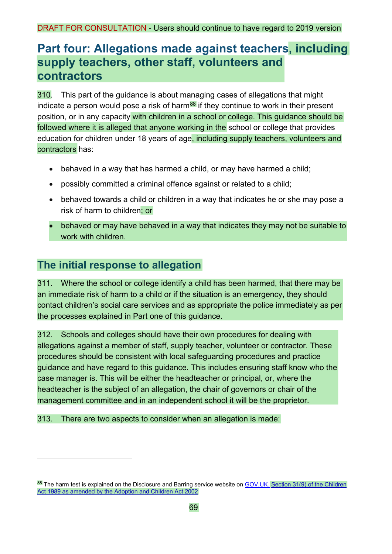# **Part four: Allegations made against teachers, including supply teachers, other staff, volunteers and contractors**

310. This part of the guidance is about managing cases of allegations that might indicate a person would pose a risk of harm $^{88}$  $^{88}$  $^{88}$  if they continue to work in their present position, or in any capacity with children in a school or college. This guidance should be followed where it is alleged that anyone working in the school or college that provides education for children under 18 years of age, including supply teachers, volunteers and contractors has:

- behaved in a way that has harmed a child, or may have harmed a child;
- possibly committed a criminal offence against or related to a child;
- behaved towards a child or children in a way that indicates he or she may pose a risk of harm to children; or
- behaved or may have behaved in a way that indicates they may not be suitable to work with children.

## **The initial response to allegation**

311. Where the school or college identify a child has been harmed, that there may be an immediate risk of harm to a child or if the situation is an emergency, they should contact children's social care services and as appropriate the police immediately as per the processes explained in Part one of this guidance.

312. Schools and colleges should have their own procedures for dealing with allegations against a member of staff, supply teacher, volunteer or contractor. These procedures should be consistent with local safeguarding procedures and practice guidance and have regard to this guidance. This includes ensuring staff know who the case manager is. This will be either the headteacher or principal, or, where the headteacher is the subject of an allegation, the chair of governors or chair of the management committee and in an independent school it will be the proprietor.

### 313. There are two aspects to consider when an allegation is made:

<span id="page-68-0"></span><sup>88</sup> The harm test is explained on the Disclosure and Barring service website on [GOV.UK.](https://www.gov.uk/guidance/making-barring-referrals-to-the-dbs) Section 31(9) of the Children Act 1989 as amended by the Adoption and Children Act 2002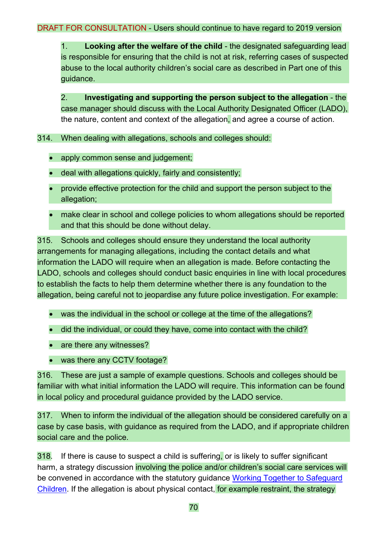1. **Looking after the welfare of the child** - the designated safeguarding lead is responsible for ensuring that the child is not at risk, referring cases of suspected abuse to the local authority children's social care as described in Part one of this guidance.

2. **Investigating and supporting the person subject to the allegation** - the case manager should discuss with the Local Authority Designated Officer (LADO), the nature, content and context of the allegation, and agree a course of action.

314. When dealing with allegations, schools and colleges should:

- apply common sense and judgement;
- deal with allegations quickly, fairly and consistently;
- provide effective protection for the child and support the person subject to the allegation;
- make clear in school and college policies to whom allegations should be reported and that this should be done without delay.

315. Schools and colleges should ensure they understand the local authority arrangements for managing allegations, including the contact details and what information the LADO will require when an allegation is made. Before contacting the LADO, schools and colleges should conduct basic enquiries in line with local procedures to establish the facts to help them determine whether there is any foundation to the allegation, being careful not to jeopardise any future police investigation. For example:

- was the individual in the school or college at the time of the allegations?
- did the individual, or could they have, come into contact with the child?
- are there any witnesses?
- was there any CCTV footage?

316. These are just a sample of example questions. Schools and colleges should be familiar with what initial information the LADO will require. This information can be found in local policy and procedural guidance provided by the LADO service.

317. When to inform the individual of the allegation should be considered carefully on a case by case basis, with guidance as required from the LADO, and if appropriate children social care and the police.

318. If there is cause to suspect a child is suffering, or is likely to suffer significant harm, a strategy discussion involving the police and/or children's social care services will be convened in accordance with the statutory guidance Working Together to Safeguard [Children.](https://www.gov.uk/government/publications/working-together-to-safeguard-children--2) If the allegation is about physical contact, for example restraint, the strategy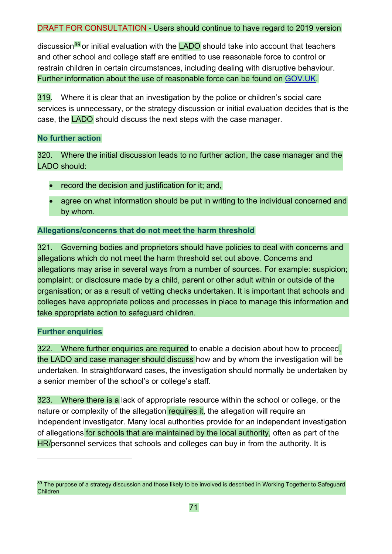discussion<sup>[89](#page-70-0)</sup> or initial evaluation with the LADO should take into account that teachers and other school and college staff are entitled to use reasonable force to control or restrain children in certain circumstances, including dealing with disruptive behaviour. Further information about the use of reasonable force can be found on [GOV.UK.](https://educationgovuk-my.sharepoint.com/personal/bev-mh_smith_education_gov_uk/Documents/Documents/KCSIE%202020/January/clean/ov.uk/government/publications/use-of-reasonable-force-in-schools)

319. Where it is clear that an investigation by the police or children's social care services is unnecessary, or the strategy discussion or initial evaluation decides that is the case, the LADO should discuss the next steps with the case manager.

### **No further action**

320. Where the initial discussion leads to no further action, the case manager and the LADO should:

- record the decision and justification for it: and.
- agree on what information should be put in writing to the individual concerned and by whom.

### **Allegations/concerns that do not meet the harm threshold**

321. Governing bodies and proprietors should have policies to deal with concerns and allegations which do not meet the harm threshold set out above. Concerns and allegations may arise in several ways from a number of sources. For example: suspicion; complaint; or disclosure made by a child, parent or other adult within or outside of the organisation; or as a result of vetting checks undertaken. It is important that schools and colleges have appropriate polices and processes in place to manage this information and take appropriate action to safeguard children.

#### **Further enquiries**

322. Where further enquiries are required to enable a decision about how to proceed, the LADO and case manager should discuss how and by whom the investigation will be undertaken. In straightforward cases, the investigation should normally be undertaken by a senior member of the school's or college's staff.

323. Where there is a lack of appropriate resource within the school or college, or the nature or complexity of the allegation requires it, the allegation will require an independent investigator. Many local authorities provide for an independent investigation of allegations for schools that are maintained by the local authority, often as part of the HR/personnel services that schools and colleges can buy in from the authority. It is

<span id="page-70-0"></span><sup>89</sup> The purpose of a strategy discussion and those likely to be involved is described in Working Together to Safeguard Children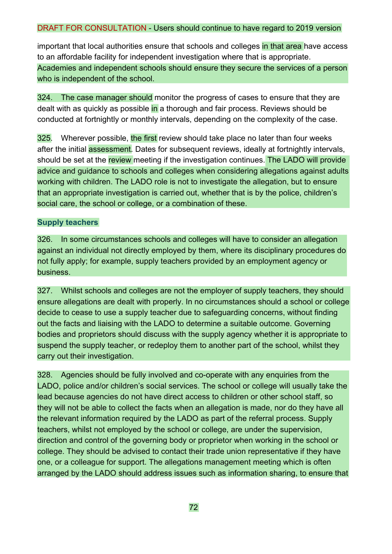important that local authorities ensure that schools and colleges in that area have access to an affordable facility for independent investigation where that is appropriate. Academies and independent schools should ensure they secure the services of a person who is independent of the school.

324. The case manager should monitor the progress of cases to ensure that they are dealt with as quickly as possible in a thorough and fair process. Reviews should be conducted at fortnightly or monthly intervals, depending on the complexity of the case.

325. Wherever possible, the first review should take place no later than four weeks after the initial **assessment**. Dates for subsequent reviews, ideally at fortnightly intervals, should be set at the review meeting if the investigation continues. The LADO will provide advice and guidance to schools and colleges when considering allegations against adults working with children. The LADO role is not to investigate the allegation, but to ensure that an appropriate investigation is carried out, whether that is by the police, children's social care, the school or college, or a combination of these.

#### **Supply teachers**

326. In some circumstances schools and colleges will have to consider an allegation against an individual not directly employed by them, where its disciplinary procedures do not fully apply; for example, supply teachers provided by an employment agency or business.

327. Whilst schools and colleges are not the employer of supply teachers, they should ensure allegations are dealt with properly. In no circumstances should a school or college decide to cease to use a supply teacher due to safeguarding concerns, without finding out the facts and liaising with the LADO to determine a suitable outcome. Governing bodies and proprietors should discuss with the supply agency whether it is appropriate to suspend the supply teacher, or redeploy them to another part of the school, whilst they carry out their investigation.

328. Agencies should be fully involved and co-operate with any enquiries from the LADO, police and/or children's social services. The school or college will usually take the lead because agencies do not have direct access to children or other school staff, so they will not be able to collect the facts when an allegation is made, nor do they have all the relevant information required by the LADO as part of the referral process. Supply teachers, whilst not employed by the school or college, are under the supervision, direction and control of the governing body or proprietor when working in the school or college. They should be advised to contact their trade union representative if they have one, or a colleague for support. The allegations management meeting which is often arranged by the LADO should address issues such as information sharing, to ensure that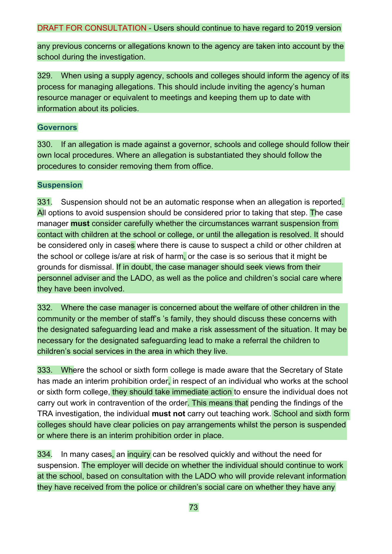any previous concerns or allegations known to the agency are taken into account by the school during the investigation.

329. When using a supply agency, schools and colleges should inform the agency of its process for managing allegations. This should include inviting the agency's human resource manager or equivalent to meetings and keeping them up to date with information about its policies.

### **Governors**

330. If an allegation is made against a governor, schools and college should follow their own local procedures. Where an allegation is substantiated they should follow the procedures to consider removing them from office.

### **Suspension**

331. Suspension should not be an automatic response when an allegation is reported. All options to avoid suspension should be considered prior to taking that step. The case manager **must** consider carefully whether the circumstances warrant suspension from contact with children at the school or college, or until the allegation is resolved. It should be considered only in cases where there is cause to suspect a child or other children at the school or college is/are at risk of harm, or the case is so serious that it might be grounds for dismissal. If in doubt, the case manager should seek views from their personnel adviser and the LADO, as well as the police and children's social care where they have been involved.

332. Where the case manager is concerned about the welfare of other children in the community or the member of staff's 's family, they should discuss these concerns with the designated safeguarding lead and make a risk assessment of the situation. It may be necessary for the designated safeguarding lead to make a referral the children to children's social services in the area in which they live.

333. Where the school or sixth form college is made aware that the Secretary of State has made an interim prohibition order, in respect of an individual who works at the school or sixth form college, they should take immediate action to ensure the individual does not carry out work in contravention of the order. This means that pending the findings of the TRA investigation, the individual **must not** carry out teaching work. School and sixth form colleges should have clear policies on pay arrangements whilst the person is suspended or where there is an interim prohibition order in place.

334. In many cases, an inquiry can be resolved quickly and without the need for suspension. The employer will decide on whether the individual should continue to work at the school, based on consultation with the LADO who will provide relevant information they have received from the police or children's social care on whether they have any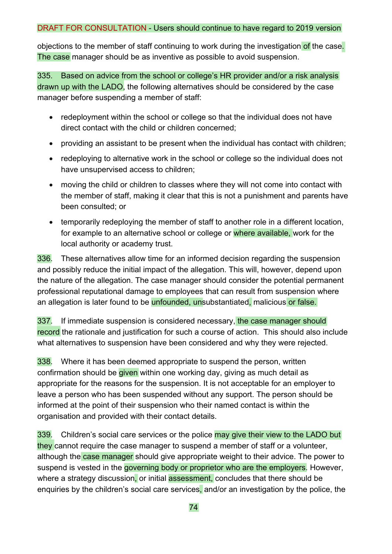objections to the member of staff continuing to work during the investigation of the case. The case manager should be as inventive as possible to avoid suspension.

335. Based on advice from the school or college's HR provider and/or a risk analysis drawn up with the LADO, the following alternatives should be considered by the case manager before suspending a member of staff:

- redeployment within the school or college so that the individual does not have direct contact with the child or children concerned;
- providing an assistant to be present when the individual has contact with children;
- redeploying to alternative work in the school or college so the individual does not have unsupervised access to children;
- moving the child or children to classes where they will not come into contact with the member of staff, making it clear that this is not a punishment and parents have been consulted; or
- temporarily redeploying the member of staff to another role in a different location, for example to an alternative school or college or where available, work for the local authority or academy trust.

336. These alternatives allow time for an informed decision regarding the suspension and possibly reduce the initial impact of the allegation. This will, however, depend upon the nature of the allegation. The case manager should consider the potential permanent professional reputational damage to employees that can result from suspension where an allegation is later found to be unfounded, unsubstantiated, malicious or false.

337. If immediate suspension is considered necessary, the case manager should record the rationale and justification for such a course of action. This should also include what alternatives to suspension have been considered and why they were rejected.

**338.** Where it has been deemed appropriate to suspend the person, written confirmation should be given within one working day, giving as much detail as appropriate for the reasons for the suspension. It is not acceptable for an employer to leave a person who has been suspended without any support. The person should be informed at the point of their suspension who their named contact is within the organisation and provided with their contact details.

339. Children's social care services or the police may give their view to the LADO but they cannot require the case manager to suspend a member of staff or a volunteer, although the case manager should give appropriate weight to their advice. The power to suspend is vested in the governing body or proprietor who are the employers. However, where a strategy discussion, or initial **assessment**, concludes that there should be enquiries by the children's social care services, and/or an investigation by the police, the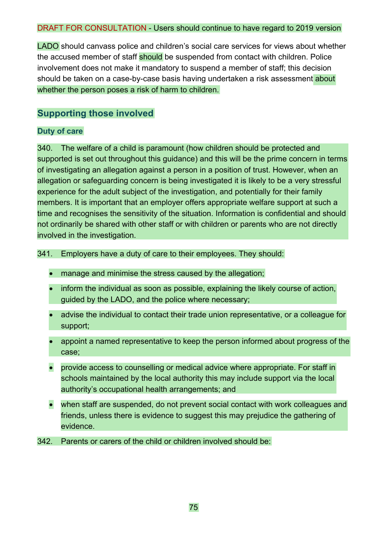LADO should canvass police and children's social care services for views about whether the accused member of staff should be suspended from contact with children. Police involvement does not make it mandatory to suspend a member of staff; this decision should be taken on a case-by-case basis having undertaken a risk assessment about whether the person poses a risk of harm to children.

### **Supporting those involved**

### **Duty of care**

340. The welfare of a child is paramount (how children should be protected and supported is set out throughout this guidance) and this will be the prime concern in terms of investigating an allegation against a person in a position of trust. However, when an allegation or safeguarding concern is being investigated it is likely to be a very stressful experience for the adult subject of the investigation, and potentially for their family members. It is important that an employer offers appropriate welfare support at such a time and recognises the sensitivity of the situation. Information is confidential and should not ordinarily be shared with other staff or with children or parents who are not directly involved in the investigation.

### 341. Employers have a duty of care to their employees. They should:

- manage and minimise the stress caused by the allegation;
- inform the individual as soon as possible, explaining the likely course of action, guided by the LADO, and the police where necessary;
- advise the individual to contact their trade union representative, or a colleague for support;
- appoint a named representative to keep the person informed about progress of the case;
- provide access to counselling or medical advice where appropriate. For staff in schools maintained by the local authority this may include support via the local authority's occupational health arrangements; and
- when staff are suspended, do not prevent social contact with work colleagues and friends, unless there is evidence to suggest this may prejudice the gathering of evidence.
- 342. Parents or carers of the child or children involved should be: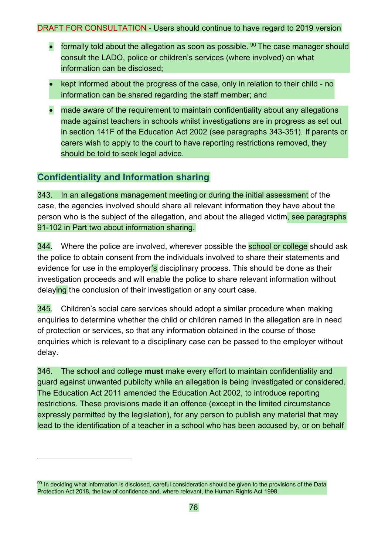- $\bullet$  formally told about the allegation as soon as possible.  $90$  The case manager should consult the LADO, police or children's services (where involved) on what information can be disclosed;
- kept informed about the progress of the case, only in relation to their child no information can be shared regarding the staff member; and
- made aware of the requirement to maintain confidentiality about any allegations made against teachers in schools whilst investigations are in progress as set out in section 141F of the Education Act 2002 (see paragraphs 343-351). If parents or carers wish to apply to the court to have reporting restrictions removed, they should be told to seek legal advice.

# **Confidentiality and Information sharing**

343. In an allegations management meeting or during the initial assessment of the case, the agencies involved should share all relevant information they have about the person who is the subject of the allegation, and about the alleged victim, see paragraphs 91-102 in Part two about information sharing.

344. Where the police are involved, wherever possible the **school or college** should ask the police to obtain consent from the individuals involved to share their statements and evidence for use in the employer's disciplinary process. This should be done as their investigation proceeds and will enable the police to share relevant information without delaying the conclusion of their investigation or any court case.

345. Children's social care services should adopt a similar procedure when making enquiries to determine whether the child or children named in the allegation are in need of protection or services, so that any information obtained in the course of those enquiries which is relevant to a disciplinary case can be passed to the employer without delay.

346. The school and college **must** make every effort to maintain confidentiality and guard against unwanted publicity while an allegation is being investigated or considered. The Education Act 2011 amended the Education Act 2002, to introduce reporting restrictions. These provisions made it an offence (except in the limited circumstance expressly permitted by the legislation), for any person to publish any material that may lead to the identification of a teacher in a school who has been accused by, or on behalf

<span id="page-75-0"></span><sup>90</sup> In deciding what information is disclosed, careful consideration should be given to the provisions of the Data Protection Act 2018, the law of confidence and, where relevant, the Human Rights Act 1998.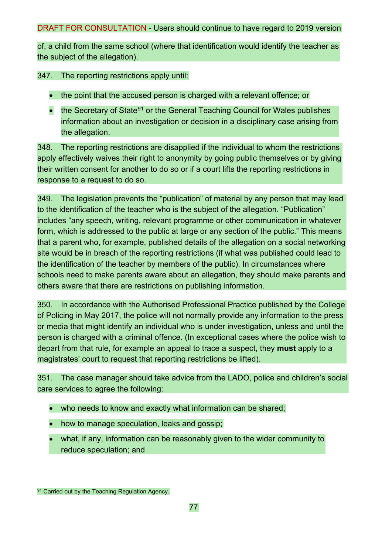of, a child from the same school (where that identification would identify the teacher as the subject of the allegation).

### 347. The reporting restrictions apply until:

- the point that the accused person is charged with a relevant offence; or
- the Secretary of State<sup>[91](#page-76-0)</sup> or the General Teaching Council for Wales publishes information about an investigation or decision in a disciplinary case arising from the allegation.

348. The reporting restrictions are disapplied if the individual to whom the restrictions apply effectively waives their right to anonymity by going public themselves or by giving their written consent for another to do so or if a court lifts the reporting restrictions in response to a request to do so.

349. The legislation prevents the "publication" of material by any person that may lead to the identification of the teacher who is the subject of the allegation. "Publication" includes "any speech, writing, relevant programme or other communication in whatever form, which is addressed to the public at large or any section of the public." This means that a parent who, for example, published details of the allegation on a social networking site would be in breach of the reporting restrictions (if what was published could lead to the identification of the teacher by members of the public). In circumstances where schools need to make parents aware about an allegation, they should make parents and others aware that there are restrictions on publishing information.

350. In accordance with the Authorised Professional Practice published by the College of Policing in May 2017, the police will not normally provide any information to the press or media that might identify an individual who is under investigation, unless and until the person is charged with a criminal offence. (In exceptional cases where the police wish to depart from that rule, for example an appeal to trace a suspect, they **must** apply to a magistrates' court to request that reporting restrictions be lifted).

351. The case manager should take advice from the LADO, police and children's social care services to agree the following:

- who needs to know and exactly what information can be shared;
- how to manage speculation, leaks and gossip;
- what, if any, information can be reasonably given to the wider community to reduce speculation; and

<span id="page-76-0"></span><sup>&</sup>lt;sup>91</sup> Carried out by the Teaching Regulation Agency.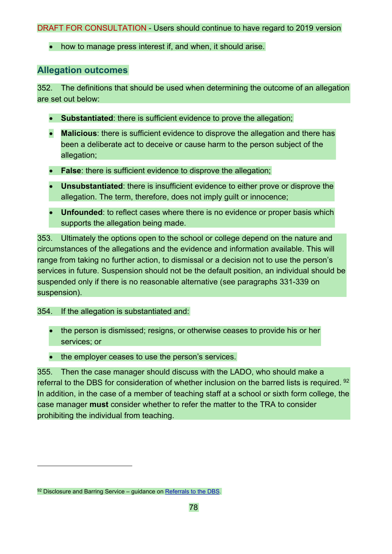• how to manage press interest if, and when, it should arise.

# **Allegation outcomes**

352. The definitions that should be used when determining the outcome of an allegation are set out below:

- **Substantiated**: there is sufficient evidence to prove the allegation;
- **Malicious**: there is sufficient evidence to disprove the allegation and there has been a deliberate act to deceive or cause harm to the person subject of the allegation;
- **False**: there is sufficient evidence to disprove the allegation;
- **Unsubstantiated**: there is insufficient evidence to either prove or disprove the allegation. The term, therefore, does not imply guilt or innocence;
- **Unfounded**: to reflect cases where there is no evidence or proper basis which supports the allegation being made.

353. Ultimately the options open to the school or college depend on the nature and circumstances of the allegations and the evidence and information available. This will range from taking no further action, to dismissal or a decision not to use the person's services in future. Suspension should not be the default position, an individual should be suspended only if there is no reasonable alternative (see paragraphs 331-339 on suspension).

### 354. If the allegation is substantiated and:

- the person is dismissed; resigns, or otherwise ceases to provide his or her services; or
- the employer ceases to use the person's services.

355. Then the case manager should discuss with the LADO, who should make a referral to the DBS for consideration of whether inclusion on the barred lists is required. <sup>[92](#page-77-0)</sup> In addition, in the case of a member of teaching staff at a school or sixth form college, the case manager **must** consider whether to refer the matter to the TRA to consider prohibiting the individual from teaching.

<span id="page-77-0"></span><sup>92</sup> Disclosure and Barring Service – guidance on [Referrals to the DBS.](https://www.gov.uk/government/publications/dbs-referrals-form-and-guidance)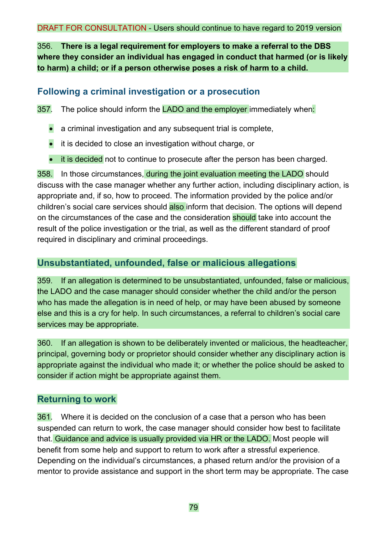356. **There is a legal requirement for employers to make a referral to the DBS where they consider an individual has engaged in conduct that harmed (or is likely to harm) a child; or if a person otherwise poses a risk of harm to a child.**

# **Following a criminal investigation or a prosecution**

357. The police should inform the LADO and the employer immediately when:

- a criminal investigation and any subsequent trial is complete,
- it is decided to close an investigation without charge, or
- it is decided not to continue to prosecute after the person has been charged.

358. In those circumstances, during the joint evaluation meeting the LADO should discuss with the case manager whether any further action, including disciplinary action, is appropriate and, if so, how to proceed. The information provided by the police and/or children's social care services should also inform that decision. The options will depend on the circumstances of the case and the consideration should take into account the result of the police investigation or the trial, as well as the different standard of proof required in disciplinary and criminal proceedings.

# **Unsubstantiated, unfounded, false or malicious allegations**

359. If an allegation is determined to be unsubstantiated, unfounded, false or malicious, the LADO and the case manager should consider whether the child and/or the person who has made the allegation is in need of help, or may have been abused by someone else and this is a cry for help. In such circumstances, a referral to children's social care services may be appropriate.

360. If an allegation is shown to be deliberately invented or malicious, the headteacher, principal, governing body or proprietor should consider whether any disciplinary action is appropriate against the individual who made it; or whether the police should be asked to consider if action might be appropriate against them.

# **Returning to work**

361. Where it is decided on the conclusion of a case that a person who has been suspended can return to work, the case manager should consider how best to facilitate that. Guidance and advice is usually provided via HR or the LADO. Most people will benefit from some help and support to return to work after a stressful experience. Depending on the individual's circumstances, a phased return and/or the provision of a mentor to provide assistance and support in the short term may be appropriate. The case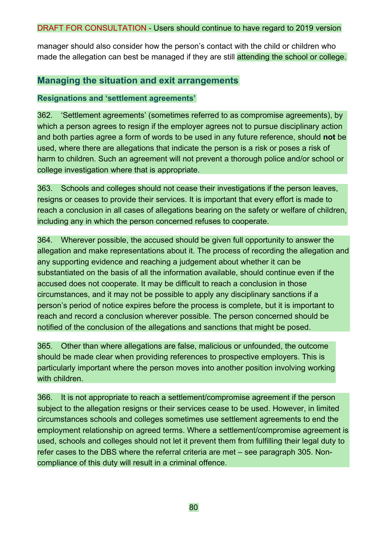manager should also consider how the person's contact with the child or children who made the allegation can best be managed if they are still attending the school or college.

## **Managing the situation and exit arrangements**

### **Resignations and 'settlement agreements'**

362. 'Settlement agreements' (sometimes referred to as compromise agreements), by which a person agrees to resign if the employer agrees not to pursue disciplinary action and both parties agree a form of words to be used in any future reference, should **not** be used, where there are allegations that indicate the person is a risk or poses a risk of harm to children. Such an agreement will not prevent a thorough police and/or school or college investigation where that is appropriate.

363. Schools and colleges should not cease their investigations if the person leaves, resigns or ceases to provide their services. It is important that every effort is made to reach a conclusion in all cases of allegations bearing on the safety or welfare of children, including any in which the person concerned refuses to cooperate.

364. Wherever possible, the accused should be given full opportunity to answer the allegation and make representations about it. The process of recording the allegation and any supporting evidence and reaching a judgement about whether it can be substantiated on the basis of all the information available, should continue even if the accused does not cooperate. It may be difficult to reach a conclusion in those circumstances, and it may not be possible to apply any disciplinary sanctions if a person's period of notice expires before the process is complete, but it is important to reach and record a conclusion wherever possible. The person concerned should be notified of the conclusion of the allegations and sanctions that might be posed.

365. Other than where allegations are false, malicious or unfounded, the outcome should be made clear when providing references to prospective employers. This is particularly important where the person moves into another position involving working with children.

366. It is not appropriate to reach a settlement/compromise agreement if the person subject to the allegation resigns or their services cease to be used. However, in limited circumstances schools and colleges sometimes use settlement agreements to end the employment relationship on agreed terms. Where a settlement/compromise agreement is used, schools and colleges should not let it prevent them from fulfilling their legal duty to refer cases to the DBS where the referral criteria are met – see paragraph 305. Noncompliance of this duty will result in a criminal offence.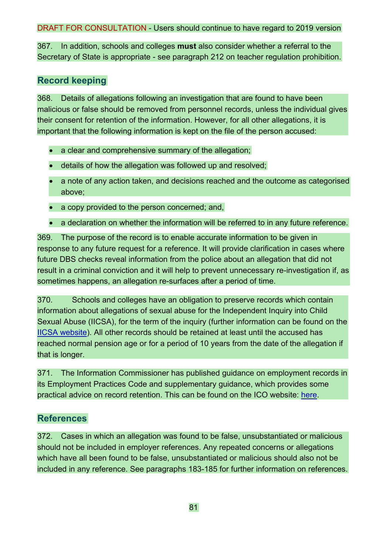367. In addition, schools and colleges **must** also consider whether a referral to the Secretary of State is appropriate - see paragraph 212 on teacher regulation prohibition.

# **Record keeping**

368. Details of allegations following an investigation that are found to have been malicious or false should be removed from personnel records, unless the individual gives their consent for retention of the information. However, for all other allegations, it is important that the following information is kept on the file of the person accused:

- a clear and comprehensive summary of the allegation;
- details of how the allegation was followed up and resolved;
- a note of any action taken, and decisions reached and the outcome as categorised above;
- a copy provided to the person concerned; and,
- a declaration on whether the information will be referred to in any future reference.

369. The purpose of the record is to enable accurate information to be given in response to any future request for a reference. It will provide clarification in cases where future DBS checks reveal information from the police about an allegation that did not result in a criminal conviction and it will help to prevent unnecessary re-investigation if, as sometimes happens, an allegation re-surfaces after a period of time.

370. Schools and colleges have an obligation to preserve records which contain information about allegations of sexual abuse for the Independent Inquiry into Child Sexual Abuse (IICSA), for the term of the inquiry (further information can be found on the [IICSA website\)](https://www.iicsa.org.uk/document/guidance-note-retention-instructions-and-data-protection-requirements). All other records should be retained at least until the accused has reached normal pension age or for a period of 10 years from the date of the allegation if that is longer.

371. The Information Commissioner has published guidance on employment records in its Employment Practices Code and supplementary guidance, which provides some practical advice on record retention. This can be found on the ICO website: [here.](https://ico.org.uk/media/for-organisations/documents/1064/the_employment_practices_code.pdf)

# **References**

372. Cases in which an allegation was found to be false, unsubstantiated or malicious should not be included in employer references. Any repeated concerns or allegations which have all been found to be false, unsubstantiated or malicious should also not be included in any reference. See paragraphs 183-185 for further information on references.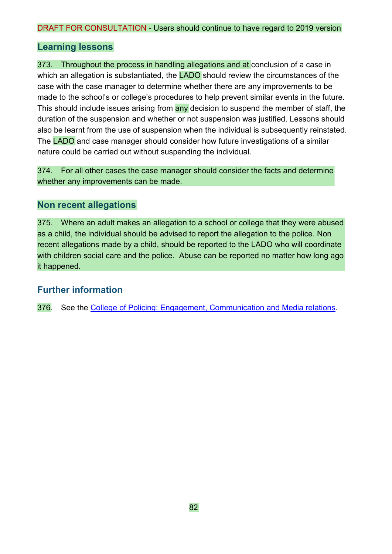### **Learning lessons**

373. Throughout the process in handling allegations and at conclusion of a case in which an allegation is substantiated, the **LADO** should review the circumstances of the case with the case manager to determine whether there are any improvements to be made to the school's or college's procedures to help prevent similar events in the future. This should include issues arising from any decision to suspend the member of staff, the duration of the suspension and whether or not suspension was justified. Lessons should also be learnt from the use of suspension when the individual is subsequently reinstated. The LADO and case manager should consider how future investigations of a similar nature could be carried out without suspending the individual.

374. For all other cases the case manager should consider the facts and determine whether any improvements can be made.

# **Non recent allegations**

375. Where an adult makes an allegation to a school or college that they were abused as a child, the individual should be advised to report the allegation to the police. Non recent allegations made by a child, should be reported to the LADO who will coordinate with children social care and the police. Abuse can be reported no matter how long ago it happened.

# **Further information**

376. See the [College of Policing: Engagement, Communication and Media relations.](https://www.app.college.police.uk/app-content/engagement-and-communication/media-relations/)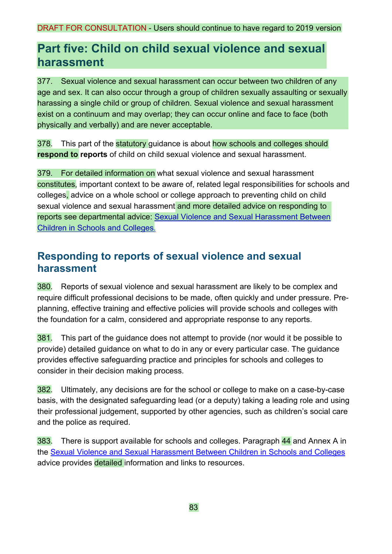# **Part five: Child on child sexual violence and sexual harassment**

377. Sexual violence and sexual harassment can occur between two children of any age and sex. It can also occur through a group of children sexually assaulting or sexually harassing a single child or group of children. Sexual violence and sexual harassment exist on a continuum and may overlap; they can occur online and face to face (both physically and verbally) and are never acceptable.

378. This part of the statutory guidance is about how schools and colleges should **respond to reports** of child on child sexual violence and sexual harassment.

379. For detailed information on what sexual violence and sexual harassment constitutes, important context to be aware of, related legal responsibilities for schools and colleges, advice on a whole school or college approach to preventing child on child sexual violence and sexual harassment and more detailed advice on responding to reports see departmental advice: [Sexual Violence and Sexual Harassment Between](https://www.gov.uk/government/publications/sexual-violence-and-sexual-harassment-between-children-in-schools-and-colleges)  [Children in Schools and Colleges.](https://www.gov.uk/government/publications/sexual-violence-and-sexual-harassment-between-children-in-schools-and-colleges)

# **Responding to reports of sexual violence and sexual harassment**

380. Reports of sexual violence and sexual harassment are likely to be complex and require difficult professional decisions to be made, often quickly and under pressure. Preplanning, effective training and effective policies will provide schools and colleges with the foundation for a calm, considered and appropriate response to any reports.

381. This part of the guidance does not attempt to provide (nor would it be possible to provide) detailed guidance on what to do in any or every particular case. The guidance provides effective safeguarding practice and principles for schools and colleges to consider in their decision making process.

382. Ultimately, any decisions are for the school or college to make on a case-by-case basis, with the designated safeguarding lead (or a deputy) taking a leading role and using their professional judgement, supported by other agencies, such as children's social care and the police as required.

383. There is support available for schools and colleges. Paragraph 44 and Annex A in the [Sexual Violence and Sexual Harassment Between Children in Schools and Colleges](https://www.gov.uk/government/publications/sexual-violence-and-sexual-harassment-between-children-in-schools-and-colleges) advice provides detailed information and links to resources.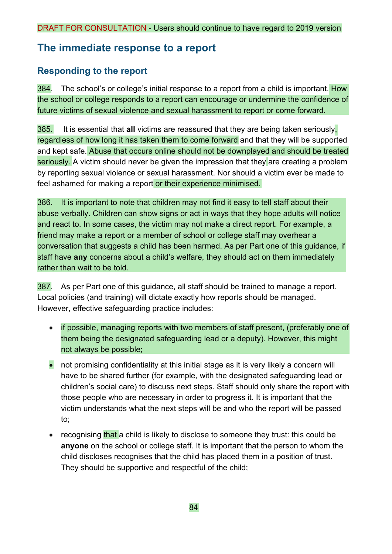# **The immediate response to a report**

# **Responding to the report**

384. The school's or college's initial response to a report from a child is important. How the school or college responds to a report can encourage or undermine the confidence of future victims of sexual violence and sexual harassment to report or come forward.

385. It is essential that **all** victims are reassured that they are being taken seriously, regardless of how long it has taken them to come forward and that they will be supported and kept safe. Abuse that occurs online should not be downplayed and should be treated seriously. A victim should never be given the impression that they are creating a problem by reporting sexual violence or sexual harassment. Nor should a victim ever be made to feel ashamed for making a report or their experience minimised.

386. It is important to note that children may not find it easy to tell staff about their abuse verbally. Children can show signs or act in ways that they hope adults will notice and react to. In some cases, the victim may not make a direct report. For example, a friend may make a report or a member of school or college staff may overhear a conversation that suggests a child has been harmed. As per Part one of this guidance, if staff have **any** concerns about a child's welfare, they should act on them immediately rather than wait to be told.

387. As per Part one of this guidance, all staff should be trained to manage a report. Local policies (and training) will dictate exactly how reports should be managed. However, effective safeguarding practice includes:

- if possible, managing reports with two members of staff present, (preferably one of them being the designated safeguarding lead or a deputy). However, this might not always be possible;
- not promising confidentiality at this initial stage as it is very likely a concern will have to be shared further (for example, with the designated safeguarding lead or children's social care) to discuss next steps. Staff should only share the report with those people who are necessary in order to progress it. It is important that the victim understands what the next steps will be and who the report will be passed to;
- recognising that a child is likely to disclose to someone they trust: this could be **anyone** on the school or college staff. It is important that the person to whom the child discloses recognises that the child has placed them in a position of trust. They should be supportive and respectful of the child;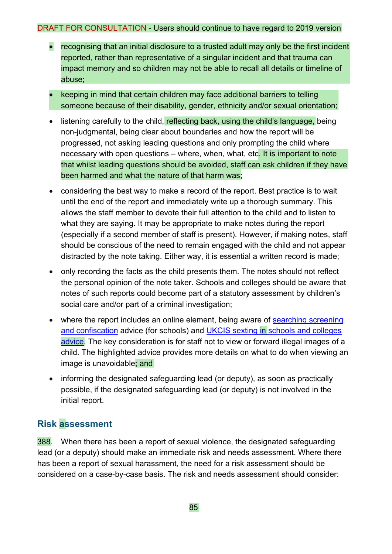- recognising that an initial disclosure to a trusted adult may only be the first incident reported, rather than representative of a singular incident and that trauma can impact memory and so children may not be able to recall all details or timeline of abuse;
- keeping in mind that certain children may face additional barriers to telling someone because of their disability, gender, ethnicity and/or sexual orientation;
- listening carefully to the child, reflecting back, using the child's language, being non-judgmental, being clear about boundaries and how the report will be progressed, not asking leading questions and only prompting the child where necessary with open questions – where, when, what, etc. It is important to note that whilst leading questions should be avoided, staff can ask children if they have been harmed and what the nature of that harm was;
- considering the best way to make a record of the report. Best practice is to wait until the end of the report and immediately write up a thorough summary. This allows the staff member to devote their full attention to the child and to listen to what they are saying. It may be appropriate to make notes during the report (especially if a second member of staff is present). However, if making notes, staff should be conscious of the need to remain engaged with the child and not appear distracted by the note taking. Either way, it is essential a written record is made;
- only recording the facts as the child presents them. The notes should not reflect the personal opinion of the note taker. Schools and colleges should be aware that notes of such reports could become part of a statutory assessment by children's social care and/or part of a criminal investigation;
- where the report includes an online element, being aware of searching screening [and confiscation](https://www.gov.uk/government/publications/searching-screening-and-confiscation) advice (for schools) and UKCIS sexting in schools and colleges [advice.](https://www.gov.uk/government/publications/sexting-in-schools-and-colleges) The key consideration is for staff not to view or forward illegal images of a child. The highlighted advice provides more details on what to do when viewing an image is unavoidable; and
- informing the designated safeguarding lead (or deputy), as soon as practically possible, if the designated safeguarding lead (or deputy) is not involved in the initial report.

# **Risk assessment**

388. When there has been a report of sexual violence, the designated safeguarding lead (or a deputy) should make an immediate risk and needs assessment. Where there has been a report of sexual harassment, the need for a risk assessment should be considered on a case-by-case basis. The risk and needs assessment should consider: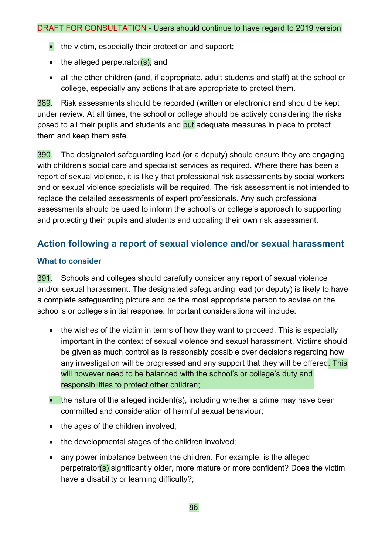- the victim, especially their protection and support;
- the alleged perpetrator $(s)$ ; and
- all the other children (and, if appropriate, adult students and staff) at the school or college, especially any actions that are appropriate to protect them.

389. Risk assessments should be recorded (written or electronic) and should be kept under review. At all times, the school or college should be actively considering the risks posed to all their pupils and students and put adequate measures in place to protect them and keep them safe.

390. The designated safeguarding lead (or a deputy) should ensure they are engaging with children's social care and specialist services as required. Where there has been a report of sexual violence, it is likely that professional risk assessments by social workers and or sexual violence specialists will be required. The risk assessment is not intended to replace the detailed assessments of expert professionals. Any such professional assessments should be used to inform the school's or college's approach to supporting and protecting their pupils and students and updating their own risk assessment.

# **Action following a report of sexual violence and/or sexual harassment**

### **What to consider**

391. Schools and colleges should carefully consider any report of sexual violence and/or sexual harassment. The designated safeguarding lead (or deputy) is likely to have a complete safeguarding picture and be the most appropriate person to advise on the school's or college's initial response. Important considerations will include:

- the wishes of the victim in terms of how they want to proceed. This is especially important in the context of sexual violence and sexual harassment. Victims should be given as much control as is reasonably possible over decisions regarding how any investigation will be progressed and any support that they will be offered. This will however need to be balanced with the school's or college's duty and responsibilities to protect other children;
- $\bullet$  the nature of the alleged incident(s), including whether a crime may have been committed and consideration of harmful sexual behaviour;
- the ages of the children involved;
- the developmental stages of the children involved;
- any power imbalance between the children. For example, is the alleged perpetrator(s) significantly older, more mature or more confident? Does the victim have a disability or learning difficulty?;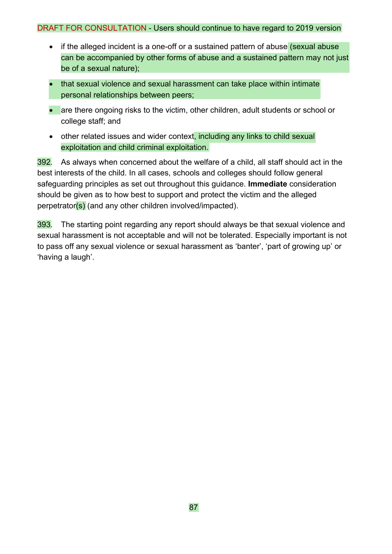- if the alleged incident is a one-off or a sustained pattern of abuse (sexual abuse can be accompanied by other forms of abuse and a sustained pattern may not just be of a sexual nature);
- that sexual violence and sexual harassment can take place within intimate personal relationships between peers;
- are there ongoing risks to the victim, other children, adult students or school or college staff; and
- other related issues and wider context, including any links to child sexual exploitation and child criminal exploitation.

392. As always when concerned about the welfare of a child, all staff should act in the best interests of the child. In all cases, schools and colleges should follow general safeguarding principles as set out throughout this guidance. **Immediate** consideration should be given as to how best to support and protect the victim and the alleged perpetrator(s) (and any other children involved/impacted).

393. The starting point regarding any report should always be that sexual violence and sexual harassment is not acceptable and will not be tolerated. Especially important is not to pass off any sexual violence or sexual harassment as 'banter', 'part of growing up' or 'having a laugh'.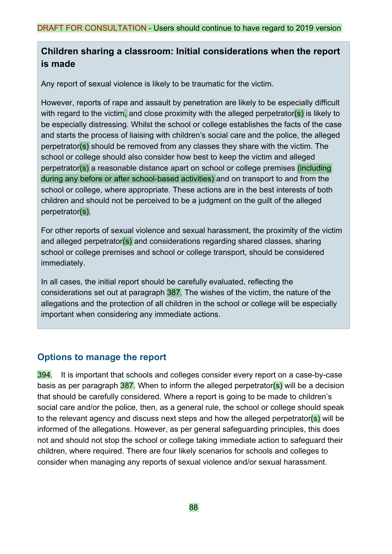# **Children sharing a classroom: Initial considerations when the report is made**

Any report of sexual violence is likely to be traumatic for the victim.

However, reports of rape and assault by penetration are likely to be especially difficult with regard to the victim, and close proximity with the alleged perpetrator(s) is likely to be especially distressing. Whilst the school or college establishes the facts of the case and starts the process of liaising with children's social care and the police, the alleged perpetrator(s) should be removed from any classes they share with the victim. The school or college should also consider how best to keep the victim and alleged perpetrator(s) a reasonable distance apart on school or college premises (including during any before or after school-based activities) and on transport to and from the school or college, where appropriate. These actions are in the best interests of both children and should not be perceived to be a judgment on the guilt of the alleged perpetrator(s).

For other reports of sexual violence and sexual harassment, the proximity of the victim and alleged perpetrator(s) and considerations regarding shared classes, sharing school or college premises and school or college transport, should be considered immediately.

In all cases, the initial report should be carefully evaluated, reflecting the considerations set out at paragraph 387. The wishes of the victim, the nature of the allegations and the protection of all children in the school or college will be especially important when considering any immediate actions.

# **Options to manage the report**

394. It is important that schools and colleges consider every report on a case-by-case basis as per paragraph 387. When to inform the alleged perpetrator(s) will be a decision that should be carefully considered. Where a report is going to be made to children's social care and/or the police, then, as a general rule, the school or college should speak to the relevant agency and discuss next steps and how the alleged perpetrator(s) will be informed of the allegations. However, as per general safeguarding principles, this does not and should not stop the school or college taking immediate action to safeguard their children, where required. There are four likely scenarios for schools and colleges to consider when managing any reports of sexual violence and/or sexual harassment.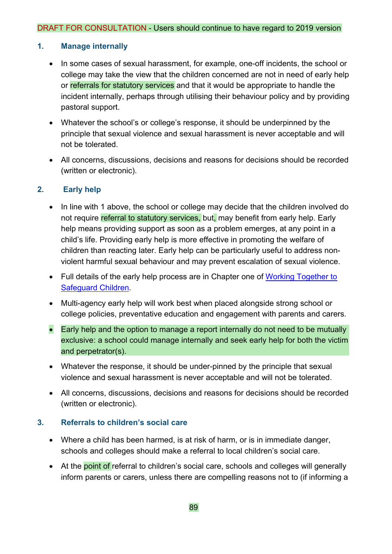### **1. Manage internally**

- In some cases of sexual harassment, for example, one-off incidents, the school or college may take the view that the children concerned are not in need of early help or referrals for statutory services and that it would be appropriate to handle the incident internally, perhaps through utilising their behaviour policy and by providing pastoral support.
- Whatever the school's or college's response, it should be underpinned by the principle that sexual violence and sexual harassment is never acceptable and will not be tolerated.
- All concerns, discussions, decisions and reasons for decisions should be recorded (written or electronic).

### **2. Early help**

- In line with 1 above, the school or college may decide that the children involved do not require referral to statutory services, but, may benefit from early help. Early help means providing support as soon as a problem emerges, at any point in a child's life. Providing early help is more effective in promoting the welfare of children than reacting later. Early help can be particularly useful to address nonviolent harmful sexual behaviour and may prevent escalation of sexual violence.
- Full details of the early help process are in Chapter one of [Working Together to](https://www.gov.uk/government/publications/working-together-to-safeguard-children--2)  [Safeguard Children.](https://www.gov.uk/government/publications/working-together-to-safeguard-children--2)
- Multi-agency early help will work best when placed alongside strong school or college policies, preventative education and engagement with parents and carers.
- Early help and the option to manage a report internally do not need to be mutually exclusive: a school could manage internally and seek early help for both the victim and perpetrator(s).
- Whatever the response, it should be under-pinned by the principle that sexual violence and sexual harassment is never acceptable and will not be tolerated.
- All concerns, discussions, decisions and reasons for decisions should be recorded (written or electronic).

### **3. Referrals to children's social care**

- Where a child has been harmed, is at risk of harm, or is in immediate danger, schools and colleges should make a referral to local children's social care.
- At the point of referral to children's social care, schools and colleges will generally inform parents or carers, unless there are compelling reasons not to (if informing a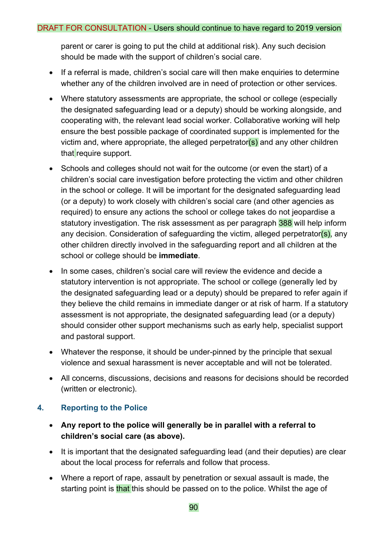parent or carer is going to put the child at additional risk). Any such decision should be made with the support of children's social care.

- If a referral is made, children's social care will then make enquiries to determine whether any of the children involved are in need of protection or other services.
- Where statutory assessments are appropriate, the school or college (especially the designated safeguarding lead or a deputy) should be working alongside, and cooperating with, the relevant lead social worker. Collaborative working will help ensure the best possible package of coordinated support is implemented for the victim and, where appropriate, the alleged perpetrator( $s$ ) and any other children that require support.
- Schools and colleges should not wait for the outcome (or even the start) of a children's social care investigation before protecting the victim and other children in the school or college. It will be important for the designated safeguarding lead (or a deputy) to work closely with children's social care (and other agencies as required) to ensure any actions the school or college takes do not jeopardise a statutory investigation. The risk assessment as per paragraph 388 will help inform any decision. Consideration of safeguarding the victim, alleged perpetrator(s), any other children directly involved in the safeguarding report and all children at the school or college should be **immediate**.
- In some cases, children's social care will review the evidence and decide a statutory intervention is not appropriate. The school or college (generally led by the designated safeguarding lead or a deputy) should be prepared to refer again if they believe the child remains in immediate danger or at risk of harm. If a statutory assessment is not appropriate, the designated safeguarding lead (or a deputy) should consider other support mechanisms such as early help, specialist support and pastoral support.
- Whatever the response, it should be under-pinned by the principle that sexual violence and sexual harassment is never acceptable and will not be tolerated.
- All concerns, discussions, decisions and reasons for decisions should be recorded (written or electronic).

### **4. Reporting to the Police**

- **Any report to the police will generally be in parallel with a referral to children's social care (as above).**
- It is important that the designated safeguarding lead (and their deputies) are clear about the local process for referrals and follow that process.
- Where a report of rape, assault by penetration or sexual assault is made, the starting point is that this should be passed on to the police. Whilst the age of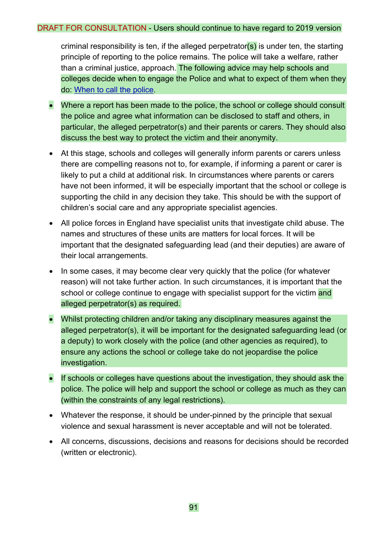criminal responsibility is ten, if the alleged perpetrator( $s$ ) is under ten, the starting principle of reporting to the police remains. The police will take a welfare, rather than a criminal justice, approach. The following advice may help schools and colleges decide when to engage the Police and what to expect of them when they do: [When to call the police.](https://scanmail.trustwave.com/?c=11436&d=puah3rU9TuvHOjm7Y6QQu5hCkiclTrT1ssGP1sXbFA&u=https%3a%2f%2fwww%2enpcc%2epolice%2euk%2fdocuments%2fChildren%20and%20Young%20people%2fWhen%20to%20call%20the%20police%20guidance%20for%20schools%20and%20colleges%2epdf)

- Where a report has been made to the police, the school or college should consult the police and agree what information can be disclosed to staff and others, in particular, the alleged perpetrator(s) and their parents or carers. They should also discuss the best way to protect the victim and their anonymity.
- At this stage, schools and colleges will generally inform parents or carers unless there are compelling reasons not to, for example, if informing a parent or carer is likely to put a child at additional risk. In circumstances where parents or carers have not been informed, it will be especially important that the school or college is supporting the child in any decision they take. This should be with the support of children's social care and any appropriate specialist agencies.
- All police forces in England have specialist units that investigate child abuse. The names and structures of these units are matters for local forces. It will be important that the designated safeguarding lead (and their deputies) are aware of their local arrangements.
- In some cases, it may become clear very quickly that the police (for whatever reason) will not take further action. In such circumstances, it is important that the school or college continue to engage with specialist support for the victim and alleged perpetrator(s) as required.
- Whilst protecting children and/or taking any disciplinary measures against the alleged perpetrator(s), it will be important for the designated safeguarding lead (or a deputy) to work closely with the police (and other agencies as required), to ensure any actions the school or college take do not jeopardise the police investigation.
- If schools or colleges have questions about the investigation, they should ask the police. The police will help and support the school or college as much as they can (within the constraints of any legal restrictions).
- Whatever the response, it should be under-pinned by the principle that sexual violence and sexual harassment is never acceptable and will not be tolerated.
- All concerns, discussions, decisions and reasons for decisions should be recorded (written or electronic).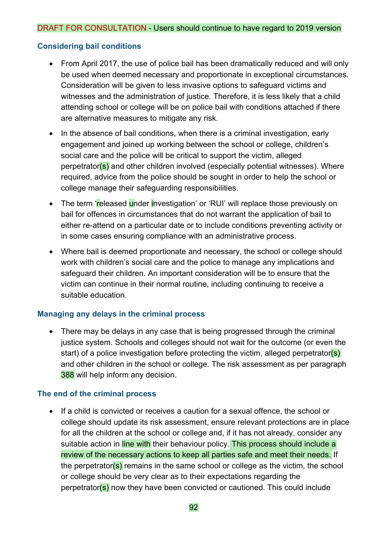### **Considering bail conditions**

- From April 2017, the use of police bail has been dramatically reduced and will only be used when deemed necessary and proportionate in exceptional circumstances. Consideration will be given to less invasive options to safeguard victims and witnesses and the administration of justice. Therefore, it is less likely that a child attending school or college will be on police bail with conditions attached if there are alternative measures to mitigate any risk.
- In the absence of bail conditions, when there is a criminal investigation, early engagement and joined up working between the school or college, children's social care and the police will be critical to support the victim, alleged perpetrator(s) and other children involved (especially potential witnesses). Where required, advice from the police should be sought in order to help the school or college manage their safeguarding responsibilities.
- The term 'released under investigation' or 'RUI' will replace those previously on bail for offences in circumstances that do not warrant the application of bail to either re-attend on a particular date or to include conditions preventing activity or in some cases ensuring compliance with an administrative process.
- Where bail is deemed proportionate and necessary, the school or college should work with children's social care and the police to manage any implications and safeguard their children. An important consideration will be to ensure that the victim can continue in their normal routine, including continuing to receive a suitable education.

### **Managing any delays in the criminal process**

• There may be delays in any case that is being progressed through the criminal justice system. Schools and colleges should not wait for the outcome (or even the start) of a police investigation before protecting the victim, alleged perpetrator(s) and other children in the school or college. The risk assessment as per paragraph 388 will help inform any decision.

### **The end of the criminal process**

• If a child is convicted or receives a caution for a sexual offence, the school or college should update its risk assessment, ensure relevant protections are in place for all the children at the school or college and, if it has not already, consider any suitable action in line with their behaviour policy. This process should include a review of the necessary actions to keep all parties safe and meet their needs. If the perpetrator( $s$ ) remains in the same school or college as the victim, the school or college should be very clear as to their expectations regarding the perpetrator(s) now they have been convicted or cautioned. This could include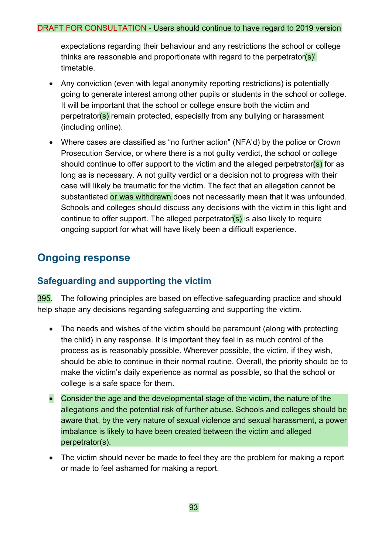expectations regarding their behaviour and any restrictions the school or college thinks are reasonable and proportionate with regard to the perpetrator(s)' timetable.

- Any conviction (even with legal anonymity reporting restrictions) is potentially going to generate interest among other pupils or students in the school or college. It will be important that the school or college ensure both the victim and perpetrator(s) remain protected, especially from any bullying or harassment (including online).
- Where cases are classified as "no further action" (NFA'd) by the police or Crown Prosecution Service, or where there is a not guilty verdict, the school or college should continue to offer support to the victim and the alleged perpetrator(s) for as long as is necessary. A not guilty verdict or a decision not to progress with their case will likely be traumatic for the victim. The fact that an allegation cannot be substantiated or was withdrawn does not necessarily mean that it was unfounded. Schools and colleges should discuss any decisions with the victim in this light and continue to offer support. The alleged perpetrator( $s$ ) is also likely to require ongoing support for what will have likely been a difficult experience.

# **Ongoing response**

# **Safeguarding and supporting the victim**

395. The following principles are based on effective safeguarding practice and should help shape any decisions regarding safeguarding and supporting the victim.

- The needs and wishes of the victim should be paramount (along with protecting the child) in any response. It is important they feel in as much control of the process as is reasonably possible. Wherever possible, the victim, if they wish, should be able to continue in their normal routine. Overall, the priority should be to make the victim's daily experience as normal as possible, so that the school or college is a safe space for them.
- Consider the age and the developmental stage of the victim, the nature of the allegations and the potential risk of further abuse. Schools and colleges should be aware that, by the very nature of sexual violence and sexual harassment, a power imbalance is likely to have been created between the victim and alleged perpetrator(s).
- The victim should never be made to feel they are the problem for making a report or made to feel ashamed for making a report.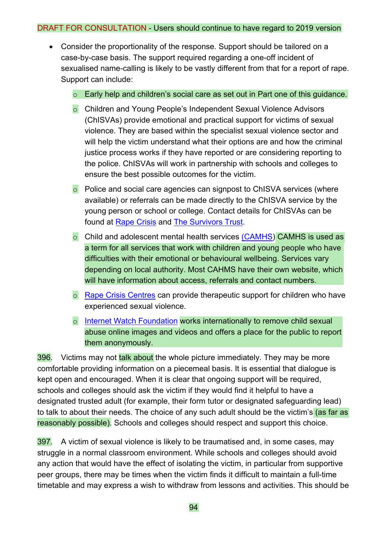- Consider the proportionality of the response. Support should be tailored on a case-by-case basis. The support required regarding a one-off incident of sexualised name-calling is likely to be vastly different from that for a report of rape. Support can include:
	- o Early help and children's social care as set out in Part one of this guidance.
	- o Children and Young People's Independent Sexual Violence Advisors (ChISVAs) provide emotional and practical support for victims of sexual violence. They are based within the specialist sexual violence sector and will help the victim understand what their options are and how the criminal justice process works if they have reported or are considering reporting to the police. ChISVAs will work in partnership with schools and colleges to ensure the best possible outcomes for the victim.
	- o Police and social care agencies can signpost to ChISVA services (where available) or referrals can be made directly to the ChISVA service by the young person or school or college. Contact details for ChISVAs can be found at [Rape Crisis](https://rapecrisis.org.uk/) and [The Survivors Trust.](http://thesurvivorstrust.org/)
	- o Child and adolescent mental health services [\(CAMHS\)](https://www.nhs.uk/NHSEngland/AboutNHSservices/mental-health-services-explained/Pages/about-childrens-mental-health-services.aspx) CAMHS is used as a term for all services that work with children and young people who have difficulties with their emotional or behavioural wellbeing. Services vary depending on local authority. Most CAHMS have their own website, which will have information about access, referrals and contact numbers.
	- o [Rape Crisis Centres](https://rapecrisis.org.uk/) can provide therapeutic support for children who have experienced sexual violence.
	- o [Internet Watch Foundation](https://www.iwf.org.uk/) works internationally to remove child sexual abuse online images and videos and offers a place for the public to report them anonymously.

396. Victims may not talk about the whole picture immediately. They may be more comfortable providing information on a piecemeal basis. It is essential that dialogue is kept open and encouraged. When it is clear that ongoing support will be required, schools and colleges should ask the victim if they would find it helpful to have a designated trusted adult (for example, their form tutor or designated safeguarding lead) to talk to about their needs. The choice of any such adult should be the victim's (as far as reasonably possible). Schools and colleges should respect and support this choice.

397. A victim of sexual violence is likely to be traumatised and, in some cases, may struggle in a normal classroom environment. While schools and colleges should avoid any action that would have the effect of isolating the victim, in particular from supportive peer groups, there may be times when the victim finds it difficult to maintain a full-time timetable and may express a wish to withdraw from lessons and activities. This should be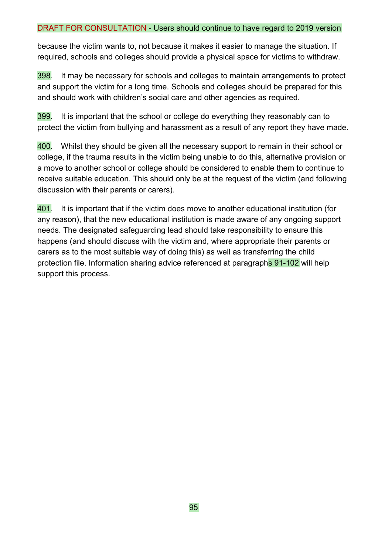because the victim wants to, not because it makes it easier to manage the situation. If required, schools and colleges should provide a physical space for victims to withdraw.

398. It may be necessary for schools and colleges to maintain arrangements to protect and support the victim for a long time. Schools and colleges should be prepared for this and should work with children's social care and other agencies as required.

399. It is important that the school or college do everything they reasonably can to protect the victim from bullying and harassment as a result of any report they have made.

400. Whilst they should be given all the necessary support to remain in their school or college, if the trauma results in the victim being unable to do this, alternative provision or a move to another school or college should be considered to enable them to continue to receive suitable education. This should only be at the request of the victim (and following discussion with their parents or carers).

401. It is important that if the victim does move to another educational institution (for any reason), that the new educational institution is made aware of any ongoing support needs. The designated safeguarding lead should take responsibility to ensure this happens (and should discuss with the victim and, where appropriate their parents or carers as to the most suitable way of doing this) as well as transferring the child protection file. Information sharing advice referenced at paragraphs 91-102 will help support this process.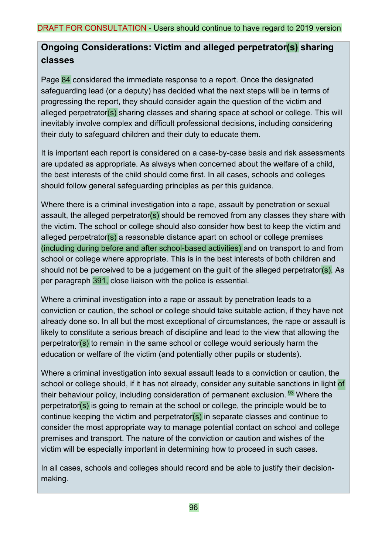# **Ongoing Considerations: Victim and alleged perpetrator(s) sharing classes**

Page 84 considered the immediate response to a report. Once the designated safeguarding lead (or a deputy) has decided what the next steps will be in terms of progressing the report, they should consider again the question of the victim and alleged perpetrator(s) sharing classes and sharing space at school or college. This will inevitably involve complex and difficult professional decisions, including considering their duty to safeguard children and their duty to educate them.

It is important each report is considered on a case-by-case basis and risk assessments are updated as appropriate. As always when concerned about the welfare of a child, the best interests of the child should come first. In all cases, schools and colleges should follow general safeguarding principles as per this guidance.

Where there is a criminal investigation into a rape, assault by penetration or sexual assault, the alleged perpetrator(s) should be removed from any classes they share with the victim. The school or college should also consider how best to keep the victim and alleged perpetrator(s) a reasonable distance apart on school or college premises (including during before and after school-based activities) and on transport to and from school or college where appropriate. This is in the best interests of both children and should not be perceived to be a judgement on the quilt of the alleged perpetrator(s). As per paragraph 391, close liaison with the police is essential.

Where a criminal investigation into a rape or assault by penetration leads to a conviction or caution, the school or college should take suitable action, if they have not already done so. In all but the most exceptional of circumstances, the rape or assault is likely to constitute a serious breach of discipline and lead to the view that allowing the perpetrator(s) to remain in the same school or college would seriously harm the education or welfare of the victim (and potentially other pupils or students).

Where a criminal investigation into sexual assault leads to a conviction or caution, the school or college should, if it has not already, consider any suitable sanctions in light of their behaviour policy, including consideration of permanent exclusion.<sup>[93](#page-95-0)</sup> Where the perpetrator(s) is going to remain at the school or college, the principle would be to continue keeping the victim and perpetrator(s) in separate classes and continue to consider the most appropriate way to manage potential contact on school and college premises and transport. The nature of the conviction or caution and wishes of the victim will be especially important in determining how to proceed in such cases.

<span id="page-95-0"></span>In all cases, schools and colleges should record and be able to justify their decisionmaking.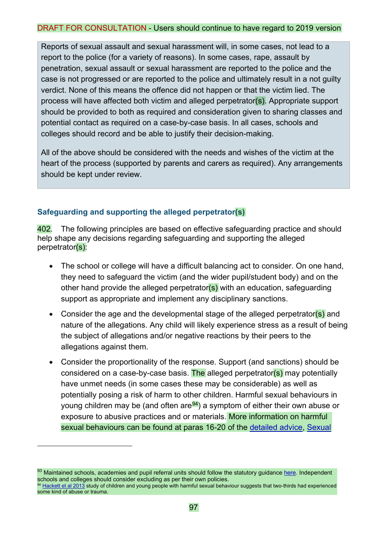Reports of sexual assault and sexual harassment will, in some cases, not lead to a report to the police (for a variety of reasons). In some cases, rape, assault by penetration, sexual assault or sexual harassment are reported to the police and the case is not progressed or are reported to the police and ultimately result in a not guilty verdict. None of this means the offence did not happen or that the victim lied. The process will have affected both victim and alleged perpetrator(s). Appropriate support should be provided to both as required and consideration given to sharing classes and potential contact as required on a case-by-case basis. In all cases, schools and colleges should record and be able to justify their decision-making.

All of the above should be considered with the needs and wishes of the victim at the heart of the process (supported by parents and carers as required). Any arrangements should be kept under review.

### **Safeguarding and supporting the alleged perpetrator(s)**

402. The following principles are based on effective safeguarding practice and should help shape any decisions regarding safeguarding and supporting the alleged perpetrator(s):

- The school or college will have a difficult balancing act to consider. On one hand, they need to safeguard the victim (and the wider pupil/student body) and on the other hand provide the alleged perpetrator(s) with an education, safeguarding support as appropriate and implement any disciplinary sanctions.
- Consider the age and the developmental stage of the alleged perpetrator(s) and nature of the allegations. Any child will likely experience stress as a result of being the subject of allegations and/or negative reactions by their peers to the allegations against them.
- Consider the proportionality of the response. Support (and sanctions) should be considered on a case-by-case basis. The alleged perpetrator(s) may potentially have unmet needs (in some cases these may be considerable) as well as potentially posing a risk of harm to other children. Harmful sexual behaviours in young children may be (and often are  $94$ ) a symptom of either their own abuse or exposure to abusive practices and or materials. More information on harmful sexual behaviours can be found at paras 16-20 of the detailed advice, [Sexual](https://www.gov.uk/government/publications/sexual-violence-and-sexual-harassment-between-children-in-schools-and-colleges)

<sup>93</sup> Maintained schools, academies and pupil referral units should follow the statutory guidance [here.](https://www.gov.uk/government/publications/school-exclusion) Independent schools and colleges should consider excluding as per their own policies.

<span id="page-96-0"></span><sup>94</sup> [Hackett et al 2013](http://onlinelibrary.wiley.com/doi/10.1002/car.2246/abstract;jsessionid=C96A10F43D4BF60A54EC7FEF2AA0B895.f03t01) study of children and young people with harmful sexual behaviour suggests that two-thirds had experienced some kind of abuse or trauma.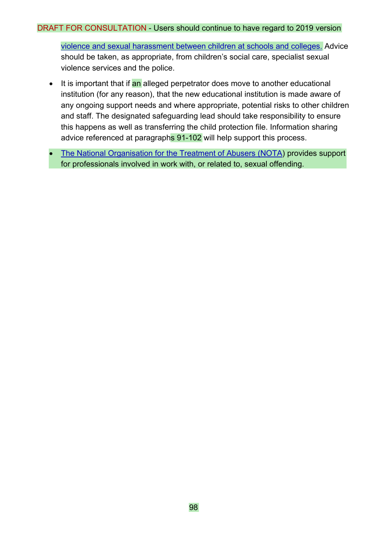[violence and sexual harassment between children at schools and colleges.](https://www.gov.uk/government/publications/sexual-violence-and-sexual-harassment-between-children-in-schools-and-colleges) Advice should be taken, as appropriate, from children's social care, specialist sexual violence services and the police.

- It is important that if an alleged perpetrator does move to another educational institution (for any reason), that the new educational institution is made aware of any ongoing support needs and where appropriate, potential risks to other children and staff. The designated safeguarding lead should take responsibility to ensure this happens as well as transferring the child protection file. Information sharing advice referenced at paragraphs 91-102 will help support this process.
- [The National Organisation for the Treatment of Abusers \(NOTA\)](https://www.nota.co.uk/) provides support for professionals involved in work with, or related to, sexual offending.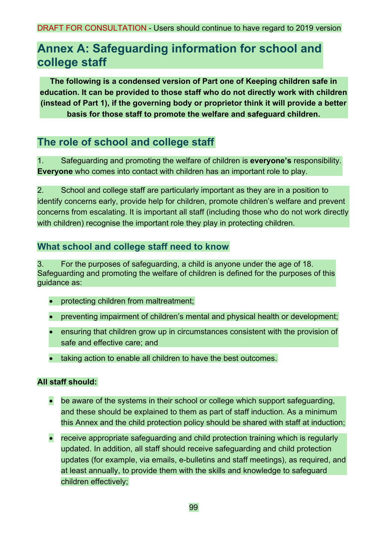# **Annex A: Safeguarding information for school and college staff**

**The following is a condensed version of Part one of Keeping children safe in education. It can be provided to those staff who do not directly work with children (instead of Part 1), if the governing body or proprietor think it will provide a better basis for those staff to promote the welfare and safeguard children.**

# **The role of school and college staff**

1. Safeguarding and promoting the welfare of children is **everyone's** responsibility. **Everyone** who comes into contact with children has an important role to play.

2. School and college staff are particularly important as they are in a position to identify concerns early, provide help for children, promote children's welfare and prevent concerns from escalating. It is important all staff (including those who do not work directly with children) recognise the important role they play in protecting children.

# **What school and college staff need to know**

3. For the purposes of safeguarding, a child is anyone under the age of 18. Safeguarding and promoting the welfare of children is defined for the purposes of this guidance as:

- protecting children from maltreatment;
- preventing impairment of children's mental and physical health or development;
- ensuring that children grow up in circumstances consistent with the provision of safe and effective care; and
- taking action to enable all children to have the best outcomes.

### **All staff should:**

- be aware of the systems in their school or college which support safeguarding, and these should be explained to them as part of staff induction. As a minimum this Annex and the child protection policy should be shared with staff at induction;
- receive appropriate safeguarding and child protection training which is regularly updated. In addition, all staff should receive safeguarding and child protection updates (for example, via emails, e-bulletins and staff meetings), as required, and at least annually, to provide them with the skills and knowledge to safeguard children effectively;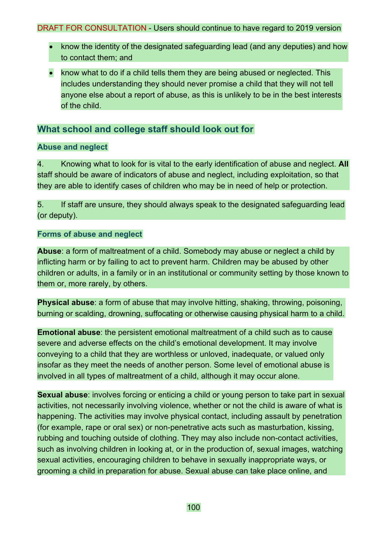- know the identity of the designated safeguarding lead (and any deputies) and how to contact them; and
- know what to do if a child tells them they are being abused or neglected. This includes understanding they should never promise a child that they will not tell anyone else about a report of abuse, as this is unlikely to be in the best interests of the child.

# **What school and college staff should look out for**

### **Abuse and neglect**

4. Knowing what to look for is vital to the early identification of abuse and neglect. **All**  staff should be aware of indicators of abuse and neglect, including exploitation, so that they are able to identify cases of children who may be in need of help or protection.

5. If staff are unsure, they should always speak to the designated safeguarding lead (or deputy).

### **Forms of abuse and neglect**

**Abuse**: a form of maltreatment of a child. Somebody may abuse or neglect a child by inflicting harm or by failing to act to prevent harm. Children may be abused by other children or adults, in a family or in an institutional or community setting by those known to them or, more rarely, by others.

**Physical abuse**: a form of abuse that may involve hitting, shaking, throwing, poisoning, burning or scalding, drowning, suffocating or otherwise causing physical harm to a child.

**Emotional abuse**: the persistent emotional maltreatment of a child such as to cause severe and adverse effects on the child's emotional development. It may involve conveying to a child that they are worthless or unloved, inadequate, or valued only insofar as they meet the needs of another person. Some level of emotional abuse is involved in all types of maltreatment of a child, although it may occur alone.

**Sexual abuse**: involves forcing or enticing a child or young person to take part in sexual activities, not necessarily involving violence, whether or not the child is aware of what is happening. The activities may involve physical contact, including assault by penetration (for example, rape or oral sex) or non-penetrative acts such as masturbation, kissing, rubbing and touching outside of clothing. They may also include non-contact activities, such as involving children in looking at, or in the production of, sexual images, watching sexual activities, encouraging children to behave in sexually inappropriate ways, or grooming a child in preparation for abuse. Sexual abuse can take place online, and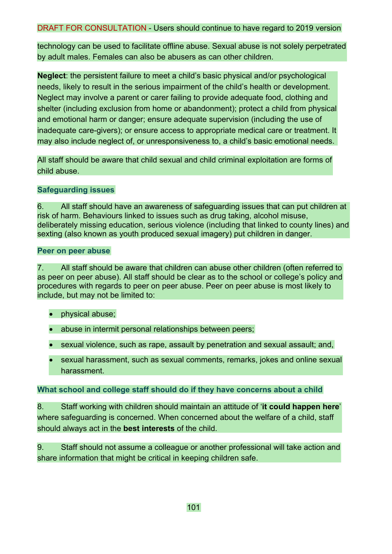technology can be used to facilitate offline abuse. Sexual abuse is not solely perpetrated by adult males. Females can also be abusers as can other children.

**Neglect**: the persistent failure to meet a child's basic physical and/or psychological needs, likely to result in the serious impairment of the child's health or development. Neglect may involve a parent or carer failing to provide adequate food, clothing and shelter (including exclusion from home or abandonment); protect a child from physical and emotional harm or danger; ensure adequate supervision (including the use of inadequate care-givers); or ensure access to appropriate medical care or treatment. It may also include neglect of, or unresponsiveness to, a child's basic emotional needs.

All staff should be aware that child sexual and child criminal exploitation are forms of child abuse.

### **Safeguarding issues**

6. All staff should have an awareness of safeguarding issues that can put children at risk of harm. Behaviours linked to issues such as drug taking, alcohol misuse, deliberately missing education, serious violence (including that linked to county lines) and sexting (also known as youth produced sexual imagery) put children in danger.

### **Peer on peer abuse**

7. All staff should be aware that children can abuse other children (often referred to as peer on peer abuse). All staff should be clear as to the school or college's policy and procedures with regards to peer on peer abuse. Peer on peer abuse is most likely to include, but may not be limited to:

- physical abuse;
- abuse in intermit personal relationships between peers;
- sexual violence, such as rape, assault by penetration and sexual assault; and,
- sexual harassment, such as sexual comments, remarks, jokes and online sexual harassment.

### **What school and college staff should do if they have concerns about a child**

8. Staff working with children should maintain an attitude of '**it could happen here**' where safeguarding is concerned. When concerned about the welfare of a child, staff should always act in the **best interests** of the child.

9. Staff should not assume a colleague or another professional will take action and share information that might be critical in keeping children safe.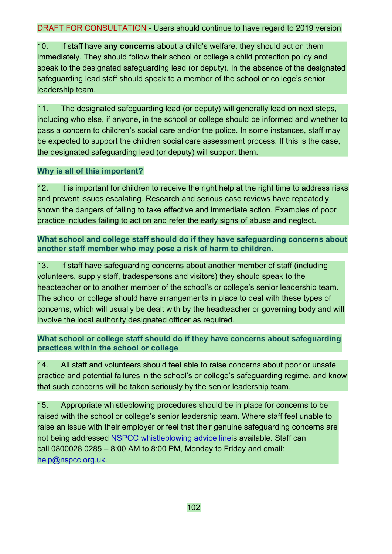10. If staff have **any concerns** about a child's welfare, they should act on them immediately. They should follow their school or college's child protection policy and speak to the designated safeguarding lead (or deputy). In the absence of the designated safeguarding lead staff should speak to a member of the school or college's senior leadership team.

11. The designated safeguarding lead (or deputy) will generally lead on next steps, including who else, if anyone, in the school or college should be informed and whether to pass a concern to children's social care and/or the police. In some instances, staff may be expected to support the children social care assessment process. If this is the case, the designated safeguarding lead (or deputy) will support them.

### **Why is all of this important?**

12. It is important for children to receive the right help at the right time to address risks and prevent issues escalating. Research and serious case reviews have repeatedly shown the dangers of failing to take effective and immediate action. Examples of poor practice includes failing to act on and refer the early signs of abuse and neglect.

### **What school and college staff should do if they have safeguarding concerns about another staff member who may pose a risk of harm to children.**

13. If staff have safeguarding concerns about another member of staff (including volunteers, supply staff, tradespersons and visitors) they should speak to the headteacher or to another member of the school's or college's senior leadership team. The school or college should have arrangements in place to deal with these types of concerns, which will usually be dealt with by the headteacher or governing body and will involve the local authority designated officer as required.

### **What school or college staff should do if they have concerns about safeguarding practices within the school or college**

14. All staff and volunteers should feel able to raise concerns about poor or unsafe practice and potential failures in the school's or college's safeguarding regime, and know that such concerns will be taken seriously by the senior leadership team.

15. Appropriate whistleblowing procedures should be in place for concerns to be raised with the school or college's senior leadership team. Where staff feel unable to raise an issue with their employer or feel that their genuine safeguarding concerns are not being addressed [NSPCC whistleblowing advice linei](https://www.nspcc.org.uk/keeping-children-safe/reporting-abuse/dedicated-helplines/whistleblowing-advice-line/)s available. Staff can call 0800028 0285 – 8:00 AM to 8:00 PM, Monday to Friday and email: [help@nspcc.org.uk.](mailto:help@nspcc.org.uk)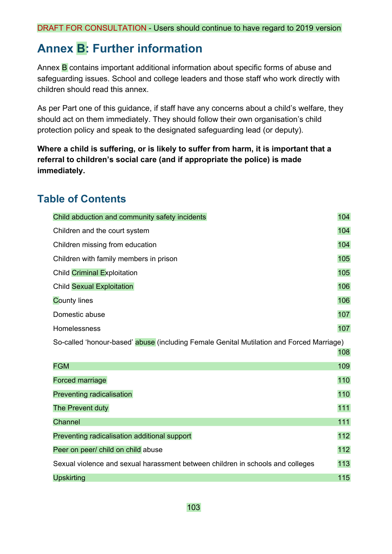# **Annex B: Further information**

Annex **B** contains important additional information about specific forms of abuse and safeguarding issues. School and college leaders and those staff who work directly with children should read this annex.

As per Part one of this guidance, if staff have any concerns about a child's welfare, they should act on them immediately. They should follow their own organisation's child protection policy and speak to the designated safeguarding lead (or deputy).

**Where a child is suffering, or is likely to suffer from harm, it is important that a referral to children's social care (and if appropriate the police) is made immediately.**

# **Table of Contents**

| Child abduction and community safety incidents | 104 |
|------------------------------------------------|-----|
| Children and the court system                  | 104 |
| Children missing from education                | 104 |
| Children with family members in prison         | 105 |
| <b>Child Criminal Exploitation</b>             | 105 |
| <b>Child Sexual Exploitation</b>               | 106 |
| <b>County lines</b>                            | 106 |
| Domestic abuse                                 | 107 |
| <b>Homelessness</b>                            | 107 |

[So-called 'honour-based' abuse \(including Female Genital Mutilation and Forced Marriage\)](#page-107-0)

[108](#page-107-0)

| <b>FGM</b>                                                                     | 109 |
|--------------------------------------------------------------------------------|-----|
| Forced marriage                                                                | 110 |
| <b>Preventing radicalisation</b>                                               | 110 |
| The Prevent duty                                                               | 111 |
| Channel                                                                        | 111 |
| Preventing radicalisation additional support                                   | 112 |
| Peer on peer/ child on child abuse                                             | 112 |
| Sexual violence and sexual harassment between children in schools and colleges | 113 |
| <b>Upskirting</b>                                                              | 115 |
|                                                                                |     |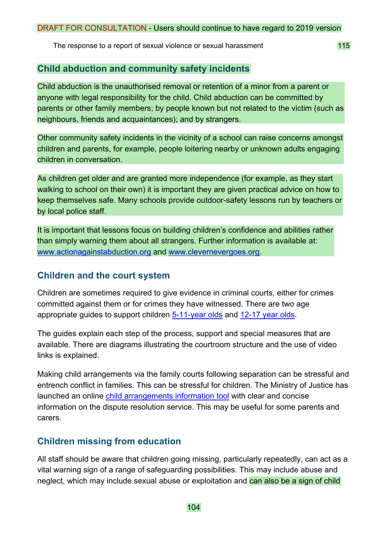<span id="page-103-0"></span>[The response to a report of sexual violence or sexual harassment](#page-114-0) The response to a report of sexual violence or sexual harassment

# **Child abduction and community safety incidents**

Child abduction is the unauthorised removal or retention of a minor from a parent or anyone with legal responsibility for the child. Child abduction can be committed by parents or other family members; by people known but not related to the victim (such as neighbours, friends and acquaintances); and by strangers.

Other community safety incidents in the vicinity of a school can raise concerns amongst children and parents, for example, people loitering nearby or unknown adults engaging children in conversation.

As children get older and are granted more independence (for example, as they start walking to school on their own) it is important they are given practical advice on how to keep themselves safe. Many schools provide outdoor-safety lessons run by teachers or by local police staff.

It is important that lessons focus on building children's confidence and abilities rather than simply warning them about all strangers. Further information is available at: [www.actionagainstabduction.org](http://www.actionagainstabduction.org/) and [www.clevernevergoes.org.](http://www.clevernevergoes.org/)

### **Children and the court system**

Children are sometimes required to give evidence in criminal courts, either for crimes committed against them or for crimes they have witnessed. There are two age appropriate guides to support children [5-11-year olds](http://formfinder.hmctsformfinder.justice.gov.uk/ywp-5-11-eng.pdf) and [12-17 year olds.](http://formfinder.hmctsformfinder.justice.gov.uk/ywp-12-17-eng.pdf)

The guides explain each step of the process, support and special measures that are available. There are diagrams illustrating the courtroom structure and the use of video links is explained.

Making child arrangements via the family courts following separation can be stressful and entrench conflict in families. This can be stressful for children. The Ministry of Justice has launched an online [child arrangements information tool](https://helpwithchildarrangements.service.justice.gov.uk/) with clear and concise information on the dispute resolution service. This may be useful for some parents and carers.

# **Children missing from education**

All staff should be aware that children going missing, particularly repeatedly, can act as a vital warning sign of a range of safeguarding possibilities. This may include abuse and neglect, which may include sexual abuse or exploitation and can also be a sign of child

104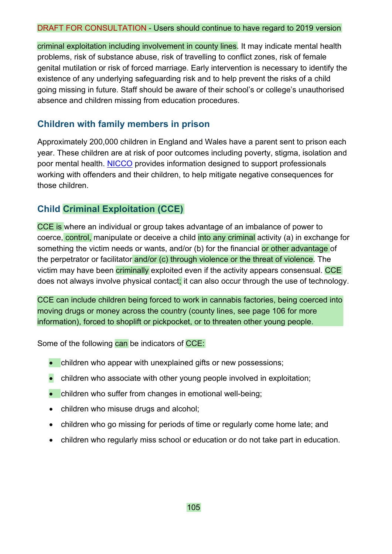<span id="page-104-0"></span>criminal exploitation including involvement in county lines. It may indicate mental health problems, risk of substance abuse, risk of travelling to conflict zones, risk of female genital mutilation or risk of forced marriage. Early intervention is necessary to identify the existence of any underlying safeguarding risk and to help prevent the risks of a child going missing in future. Staff should be aware of their school's or college's unauthorised absence and children missing from education procedures.

### **Children with family members in prison**

Approximately 200,000 children in England and Wales have a parent sent to prison each year. These children are at risk of poor outcomes including poverty, stigma, isolation and poor mental health. [NICCO](https://www.nicco.org.uk/) provides information designed to support professionals working with offenders and their children, to help mitigate negative consequences for those children.

### **Child Criminal Exploitation (CCE)**

CCE is where an individual or group takes advantage of an imbalance of power to coerce, control, manipulate or deceive a child into any criminal activity (a) in exchange for something the victim needs or wants, and/or (b) for the financial or other advantage of the perpetrator or facilitator and/or (c) through violence or the threat of violence. The victim may have been criminally exploited even if the activity appears consensual. CCE does not always involve physical contact; it can also occur through the use of technology.

CCE can include children being forced to work in cannabis factories, being coerced into moving drugs or money across the country (county lines, see page 106 for more information), forced to shoplift or pickpocket, or to threaten other young people.

Some of the following can be indicators of CCE:

- children who appear with unexplained gifts or new possessions;
- children who associate with other young people involved in exploitation;
- children who suffer from changes in emotional well-being;
- children who misuse drugs and alcohol;
- children who go missing for periods of time or regularly come home late; and
- children who regularly miss school or education or do not take part in education.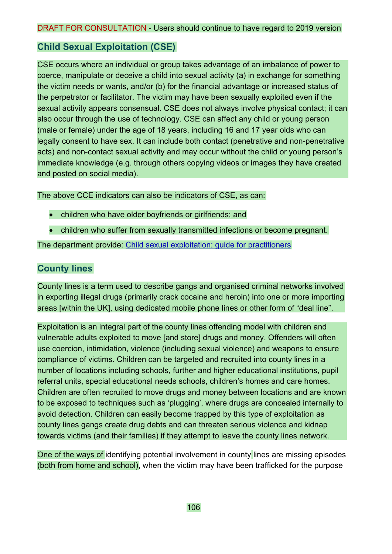# <span id="page-105-0"></span>**Child Sexual Exploitation (CSE)**

CSE occurs where an individual or group takes advantage of an imbalance of power to coerce, manipulate or deceive a child into sexual activity (a) in exchange for something the victim needs or wants, and/or (b) for the financial advantage or increased status of the perpetrator or facilitator. The victim may have been sexually exploited even if the sexual activity appears consensual. CSE does not always involve physical contact; it can also occur through the use of technology. CSE can affect any child or young person (male or female) under the age of 18 years, including 16 and 17 year olds who can legally consent to have sex. It can include both contact (penetrative and non-penetrative acts) and non-contact sexual activity and may occur without the child or young person's immediate knowledge (e.g. through others copying videos or images they have created and posted on social media).

The above CCE indicators can also be indicators of CSE, as can:

- children who have older boyfriends or girlfriends; and
- children who suffer from sexually transmitted infections or become pregnant.

The department provide: [Child sexual exploitation: guide for practitioners](https://www.gov.uk/government/publications/child-sexual-exploitation-definition-and-guide-for-practitioners)

# **County lines**

County lines is a term used to describe gangs and organised criminal networks involved in exporting illegal drugs (primarily crack cocaine and heroin) into one or more importing areas [within the UK], using dedicated mobile phone lines or other form of "deal line".

Exploitation is an integral part of the county lines offending model with children and vulnerable adults exploited to move [and store] drugs and money. Offenders will often use coercion, intimidation, violence (including sexual violence) and weapons to ensure compliance of victims. Children can be targeted and recruited into county lines in a number of locations including schools, further and higher educational institutions, pupil referral units, special educational needs schools, children's homes and care homes. Children are often recruited to move drugs and money between locations and are known to be exposed to techniques such as 'plugging', where drugs are concealed internally to avoid detection. Children can easily become trapped by this type of exploitation as county lines gangs create drug debts and can threaten serious violence and kidnap towards victims (and their families) if they attempt to leave the county lines network.

One of the ways of identifying potential involvement in county lines are missing episodes (both from home and school), when the victim may have been trafficked for the purpose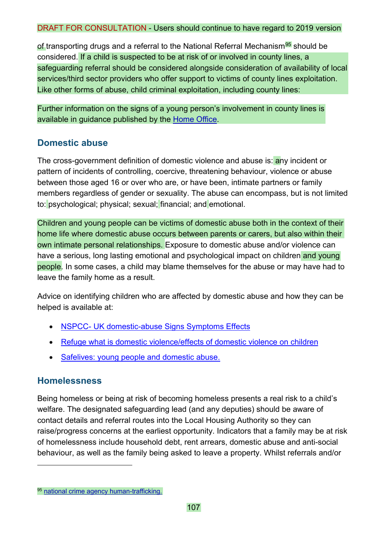<span id="page-106-0"></span>of transporting drugs and a referral to the National Referral Mechanism<sup>[95](#page-106-1)</sup> should be considered. If a child is suspected to be at risk of or involved in county lines, a safeguarding referral should be considered alongside consideration of availability of local services/third sector providers who offer support to victims of county lines exploitation. Like other forms of abuse, child criminal exploitation, including county lines:

Further information on the signs of a young person's involvement in county lines is available in guidance published by the [Home Office.](https://educationgovuk-my.sharepoint.com/personal/bev-mh_smith_education_gov_uk/Documents/Documents/KCSIE%202020/write%20round/%E2%80%A2%09https:/assets.publishing.service.gov.uk/government/uploads/system/uploads/attachment_data/file/863323/HOCountyLinesGuidance_-_Sept2018.pdf)

# **Domestic abuse**

The cross-government definition of domestic violence and abuse is: any incident or pattern of incidents of controlling, coercive, threatening behaviour, violence or abuse between those aged 16 or over who are, or have been, intimate partners or family members regardless of gender or sexuality. The abuse can encompass, but is not limited to: psychological; physical; sexual; financial; and emotional.

Children and young people can be victims of domestic abuse both in the context of their home life where domestic abuse occurs between parents or carers, but also within their own intimate personal relationships. Exposure to domestic abuse and/or violence can have a serious, long lasting emotional and psychological impact on children and young people. In some cases, a child may blame themselves for the abuse or may have had to leave the family home as a result.

Advice on identifying children who are affected by domestic abuse and how they can be helped is available at:

- NSPCC- [UK domestic-abuse Signs Symptoms Effects](https://www.nspcc.org.uk/preventing-abuse/child-abuse-and-neglect/domestic-abuse/signs-symptoms-effects/)
- [Refuge what is domestic violence/effects of domestic violence on children](http://www.refuge.org.uk/get-help-now/what-is-domestic-violence/effects-of-domestic-violence-on-children/)
- [Safelives: young people and domestic abuse.](http://www.safelives.org.uk/knowledge-hub/spotlights/spotlight-3-young-people-and-domestic-abuse)

### **Homelessness**

Being homeless or being at risk of becoming homeless presents a real risk to a child's welfare. The designated safeguarding lead (and any deputies) should be aware of contact details and referral routes into the Local Housing Authority so they can raise/progress concerns at the earliest opportunity. Indicators that a family may be at risk of homelessness include household debt, rent arrears, domestic abuse and anti-social behaviour, as well as the family being asked to leave a property. Whilst referrals and/or

<span id="page-106-1"></span><sup>95</sup> [national crime agency human-trafficking.](http://www.nationalcrimeagency.gov.uk/about-us/what-we-do/specialist-capabilities/uk-human-trafficking-centre/national-referral-mechanism)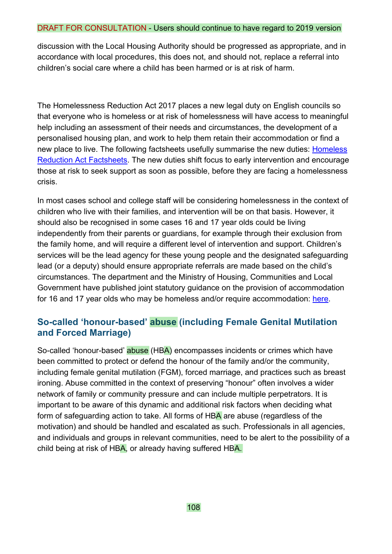<span id="page-107-0"></span>discussion with the Local Housing Authority should be progressed as appropriate, and in accordance with local procedures, this does not, and should not, replace a referral into children's social care where a child has been harmed or is at risk of harm.

The Homelessness Reduction Act 2017 places a new legal duty on English councils so that everyone who is homeless or at risk of homelessness will have access to meaningful help including an assessment of their needs and circumstances, the development of a personalised housing plan, and work to help them retain their accommodation or find a new place to live. The following factsheets usefully summarise the new duties: [Homeless](https://www.gov.uk/government/publications/homelessness-reduction-bill-policy-factsheets)  [Reduction Act Factsheets.](https://www.gov.uk/government/publications/homelessness-reduction-bill-policy-factsheets) The new duties shift focus to early intervention and encourage those at risk to seek support as soon as possible, before they are facing a homelessness crisis.

In most cases school and college staff will be considering homelessness in the context of children who live with their families, and intervention will be on that basis. However, it should also be recognised in some cases 16 and 17 year olds could be living independently from their parents or guardians, for example through their exclusion from the family home, and will require a different level of intervention and support. Children's services will be the lead agency for these young people and the designated safeguarding lead (or a deputy) should ensure appropriate referrals are made based on the child's circumstances. The department and the Ministry of Housing, Communities and Local Government have published joint statutory guidance on the provision of accommodation for 16 and 17 year olds who may be homeless and/or require accommodation: [here.](https://www.gov.uk/government/publications/homelessness-reduction-bill-policy-factsheets)

# **So-called 'honour-based' abuse (including Female Genital Mutilation and Forced Marriage)**

So-called 'honour-based' abuse (HBA) encompasses incidents or crimes which have been committed to protect or defend the honour of the family and/or the community, including female genital mutilation (FGM), forced marriage, and practices such as breast ironing. Abuse committed in the context of preserving "honour" often involves a wider network of family or community pressure and can include multiple perpetrators. It is important to be aware of this dynamic and additional risk factors when deciding what form of safeguarding action to take. All forms of HBA are abuse (regardless of the motivation) and should be handled and escalated as such. Professionals in all agencies, and individuals and groups in relevant communities, need to be alert to the possibility of a child being at risk of HBA, or already having suffered HBA.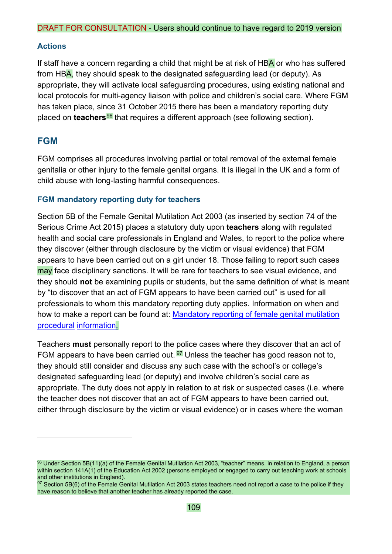### **Actions**

If staff have a concern regarding a child that might be at risk of  $HBA$  or who has suffered from HBA, they should speak to the designated safeguarding lead (or deputy). As appropriate, they will activate local safeguarding procedures, using existing national and local protocols for multi-agency liaison with police and children's social care. Where FGM has taken place, since 31 October 2015 there has been a mandatory reporting duty placed on **teachers**[96](#page-108-0) that requires a different approach (see following section).

# **FGM**

FGM comprises all procedures involving partial or total removal of the external female genitalia or other injury to the female genital organs. It is illegal in the UK and a form of child abuse with long-lasting harmful consequences.

### **FGM mandatory reporting duty for teachers**

Section 5B of the Female Genital Mutilation Act 2003 (as inserted by section 74 of the Serious Crime Act 2015) places a statutory duty upon **teachers** along with regulated health and social care professionals in England and Wales, to report to the police where they discover (either through disclosure by the victim or visual evidence) that FGM appears to have been carried out on a girl under 18. Those failing to report such cases may face disciplinary sanctions. It will be rare for teachers to see visual evidence, and they should **not** be examining pupils or students, but the same definition of what is meant by "to discover that an act of FGM appears to have been carried out" is used for all professionals to whom this mandatory reporting duty applies. Information on when and how to make a report can be found at: Mandatory [reporting](https://www.gov.uk/government/publications/mandatory-reporting-of-female-genital-mutilation-procedural-information) of [female](https://www.gov.uk/government/publications/mandatory-reporting-of-female-genital-mutilation-procedural-information) genital mutilation procedural informatio[n.](https://www.gov.uk/government/publications/mandatory-reporting-of-female-genital-mutilation-procedural-information)

Teachers **must** personally report to the police cases where they discover that an act of FGM appears to have been carried out.  $97$  Unless the teacher has good reason not to, they should still consider and discuss any such case with the school's or college's designated safeguarding lead (or deputy) and involve children's social care as appropriate. The duty does not apply in relation to at risk or suspected cases (i.e. where the teacher does not discover that an act of FGM appears to have been carried out, either through disclosure by the victim or visual evidence) or in cases where the woman

<span id="page-108-0"></span><sup>96</sup> Under Section 5B(11)(a) of the Female Genital Mutilation Act 2003, "teacher" means, in relation to England, a person within section 141A(1) of the Education Act 2002 (persons employed or engaged to carry out teaching work at schools and other institutions in England).

<span id="page-108-1"></span> $97$  Section 5B(6) of the Female Genital Mutilation Act 2003 states teachers need not report a case to the police if they have reason to believe that another teacher has already reported the case.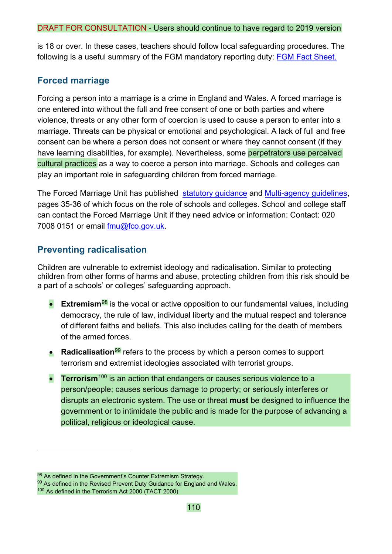is 18 or over. In these cases, teachers should follow local safeguarding procedures. The following is a useful summary of the FGM mandatory reporting duty: [FGM Fact Sheet.](https://www.gov.uk/government/uploads/system/uploads/attachment_data/file/496415/6_1639_HO_SP_FGM_mandatory_reporting_Fact_sheet_Web.pdf)

# **Forced marriage**

Forcing a person into a marriage is a crime in England and Wales. A forced marriage is one entered into without the full and free consent of one or both parties and where violence, threats or any other form of coercion is used to cause a person to enter into a marriage. Threats can be physical or emotional and psychological. A lack of full and free consent can be where a person does not consent or where they cannot consent (if they have learning disabilities, for example). Nevertheless, some perpetrators use perceived cultural practices as a way to coerce a person into marriage. Schools and colleges can play an important role in safeguarding children from forced marriage.

The Forced Marriage Unit has published [statutory guidance](https://www.gov.uk/government/uploads/system/uploads/attachment_data/file/322310/HMG_Statutory_Guidance_publication_180614_Final.pdf) and [Multi-agency guidelines,](https://www.gov.uk/government/uploads/system/uploads/attachment_data/file/322307/HMG_MULTI_AGENCY_PRACTICE_GUIDELINES_v1_180614_FINAL.pdf) pages 35-36 of which focus on the role of schools and colleges. School and college staff can contact the Forced Marriage Unit if they need advice or information: Contact: 020 7008 0151 or email [fmu@fco.gov.uk.](mailto:fmu@fco.gov.uk)

## **Preventing radicalisation**

Children are vulnerable to extremist ideology and radicalisation. Similar to protecting children from other forms of harms and abuse, protecting children from this risk should be a part of a schools' or colleges' safeguarding approach.

- **Extremism<sup>[98](#page-109-0)</sup>** is the vocal or active opposition to our fundamental values, including democracy, the rule of law, individual liberty and the mutual respect and tolerance of different faiths and beliefs. This also includes calling for the death of members of the armed forces.
- **Radicalisation**<sup>[99](#page-109-1)</sup> refers to the process by which a person comes to support terrorism and extremist ideologies associated with terrorist groups.
- **Terrorism**<sup>[100](#page-109-2)</sup> is an action that endangers or causes serious violence to a person/people; causes serious damage to property; or seriously interferes or disrupts an electronic system. The use or threat **must** be designed to influence the government or to intimidate the public and is made for the purpose of advancing a political, religious or ideological cause.

<span id="page-109-0"></span><sup>98</sup> As defined in the Government's Counter Extremism Strategy.

<span id="page-109-1"></span><sup>99</sup> As defined in the Revised Prevent Duty Guidance for England and Wales.

<span id="page-109-2"></span><sup>100</sup> As defined in the Terrorism Act 2000 (TACT 2000)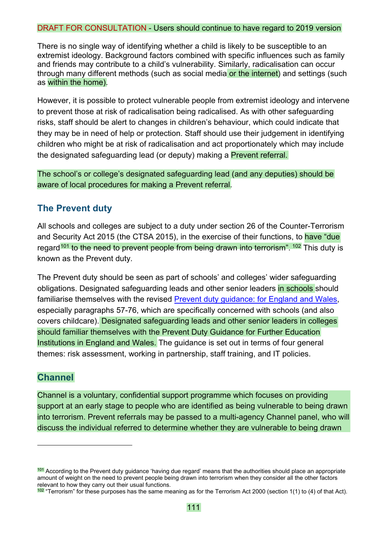There is no single way of identifying whether a child is likely to be susceptible to an extremist ideology. Background factors combined with specific influences such as family and friends may contribute to a child's vulnerability. Similarly, radicalisation can occur through many different methods (such as social media or the internet) and settings (such as within the home).

However, it is possible to protect vulnerable people from extremist ideology and intervene to prevent those at risk of radicalisation being radicalised. As with other safeguarding risks, staff should be alert to changes in children's behaviour, which could indicate that they may be in need of help or protection. Staff should use their judgement in identifying children who might be at risk of radicalisation and act proportionately which may include the designated safeguarding lead (or deputy) making a Prevent referral.

The school's or college's designated safeguarding lead (and any deputies) should be aware of local procedures for making a Prevent referral.

## **The Prevent duty**

All schools and colleges are subject to a duty under section 26 of the Counter-Terrorism and Security Act 2015 (the CTSA 2015), in the exercise of their functions, to have "due regard<sup>[101](#page-110-0)</sup> to the need to prevent people from being drawn into terrorism".  $102$  This duty is known as the Prevent duty.

The Prevent duty should be seen as part of schools' and colleges' wider safeguarding obligations. Designated safeguarding leads and other senior leaders in schools should familiarise themselves with the revised [Prevent duty guidance: for England and Wales,](https://www.gov.uk/government/publications/prevent-duty-guidance) especially paragraphs 57-76, which are specifically concerned with schools (and also covers childcare). Designated safeguarding leads and other senior leaders in colleges should familiar themselves with the Prevent Duty Guidance for Further Education Institutions in England and Wales. The guidance is set out in terms of four general themes: risk assessment, working in partnership, staff training, and IT policies.

### **Channel**

Channel is a voluntary, confidential support programme which focuses on providing support at an early stage to people who are identified as being vulnerable to being drawn into terrorism. Prevent referrals may be passed to a multi-agency Channel panel, who will discuss the individual referred to determine whether they are vulnerable to being drawn

<span id="page-110-0"></span><sup>&</sup>lt;sup>101</sup> According to the Prevent duty guidance 'having due regard' means that the authorities should place an appropriate amount of weight on the need to prevent people being drawn into terrorism when they consider all the other factors relevant to how they carry out their usual functions.

<span id="page-110-1"></span> $102$  "Terrorism" for these purposes has the same meaning as for the Terrorism Act 2000 (section 1(1) to (4) of that Act).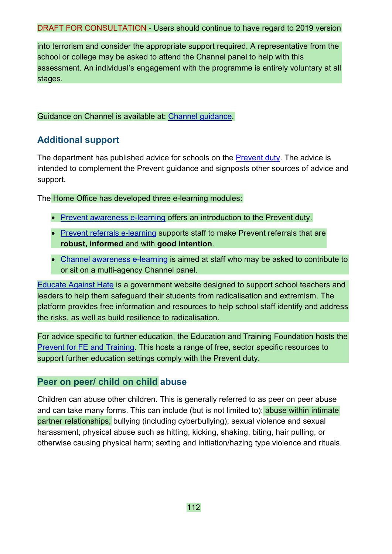into terrorism and consider the appropriate support required. A representative from the school or college may be asked to attend the Channel panel to help with this assessment. An individual's engagement with the programme is entirely voluntary at all stages.

Guidance on Channel is available at: [Channel guidance.](https://www.gov.uk/government/publications/channel-guidance)

# **Additional support**

The department has published advice for schools on the [Prevent duty.](https://www.gov.uk/government/publications/protecting-children-from-radicalisation-the-prevent-duty) The advice is intended to complement the Prevent guidance and signposts other sources of advice and support.

The Home Office has developed three e-learning modules:

- [Prevent awareness e-learning](http://www.elearning.prevent.homeoffice.gov.uk/) offers an introduction to the Prevent duty.
- [Prevent referrals e-learning](https://www.elearning.prevent.homeoffice.gov.uk/preventreferrals) supports staff to make Prevent referrals that are **robust, informed** and with **good intention**.
- [Channel awareness e-learning](https://www.elearning.prevent.homeoffice.gov.uk/channel_awareness/01-welcome.html) is aimed at staff who may be asked to contribute to or sit on a multi-agency Channel panel.

[Educate Against Hate](https://educateagainsthate.com/) is a government website designed to support school teachers and leaders to help them safeguard their students from radicalisation and extremism. The platform provides free information and resources to help school staff identify and address the risks, as well as build resilience to radicalisation.

For advice specific to further education, the Education and Training Foundation hosts the [Prevent for FE and Training.](http://preventforfeandtraining.org.uk/) This hosts a range of free, sector specific resources to support further education settings comply with the Prevent duty.

# **Peer on peer/ child on child abuse**

Children can abuse other children. This is generally referred to as peer on peer abuse and can take many forms. This can include (but is not limited to): abuse within intimate partner relationships; bullying (including cyberbullying); sexual violence and sexual harassment; physical abuse such as hitting, kicking, shaking, biting, hair pulling, or otherwise causing physical harm; sexting and initiation/hazing type violence and rituals.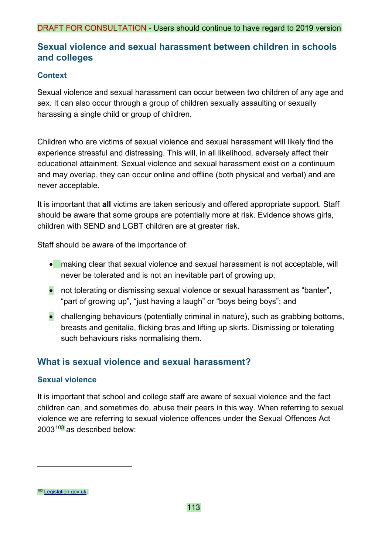# **Sexual violence and sexual harassment between children in schools and colleges**

### **Context**

Sexual violence and sexual harassment can occur between two children of any age and sex. It can also occur through a group of children sexually assaulting or sexually harassing a single child or group of children.

Children who are victims of sexual violence and sexual harassment will likely find the experience stressful and distressing. This will, in all likelihood, adversely affect their educational attainment. Sexual violence and sexual harassment exist on a continuum and may overlap, they can occur online and offline (both physical and verbal) and are never acceptable.

It is important that **all** victims are taken seriously and offered appropriate support. Staff should be aware that some groups are potentially more at risk. Evidence shows girls, children with SEND and LGBT children are at greater risk.

Staff should be aware of the importance of:

- making clear that sexual violence and sexual harassment is not acceptable, will never be tolerated and is not an inevitable part of growing up;
- not tolerating or dismissing sexual violence or sexual harassment as "banter", "part of growing up", "just having a laugh" or "boys being boys"; and
- challenging behaviours (potentially criminal in nature), such as grabbing bottoms, breasts and genitalia, flicking bras and lifting up skirts. Dismissing or tolerating such behaviours risks normalising them.

# **What is sexual violence and sexual harassment?**

### **Sexual violence**

It is important that school and college staff are aware of sexual violence and the fact children can, and sometimes do, abuse their peers in this way. When referring to sexual violence we are referring to sexual violence offences under the Sexual Offences Act 2003<sup>[103](#page-112-0)</sup> as described below:

<span id="page-112-0"></span><sup>103</sup> [Legislation.gov.uk.](https://www.legislation.gov.uk/ukpga/2003/42/contents)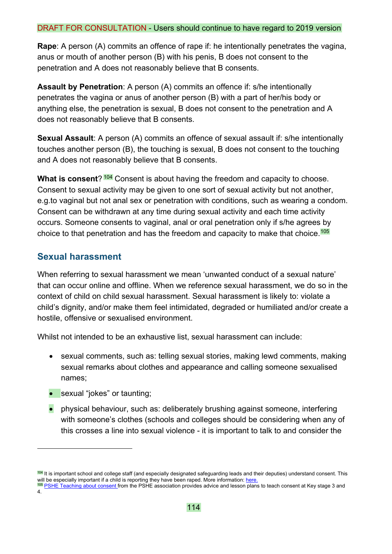**Rape**: A person (A) commits an offence of rape if: he intentionally penetrates the vagina, anus or mouth of another person (B) with his penis, B does not consent to the penetration and A does not reasonably believe that B consents.

**Assault by Penetration**: A person (A) commits an offence if: s/he intentionally penetrates the vagina or anus of another person (B) with a part of her/his body or anything else, the penetration is sexual, B does not consent to the penetration and A does not reasonably believe that B consents.

**Sexual Assault:** A person (A) commits an offence of sexual assault if: s/he intentionally touches another person (B), the touching is sexual, B does not consent to the touching and A does not reasonably believe that B consents.

**What is consent**? <sup>[104](#page-113-0)</sup> Consent is about having the freedom and capacity to choose. Consent to sexual activity may be given to one sort of sexual activity but not another, e.g.to vaginal but not anal sex or penetration with conditions, such as wearing a condom. Consent can be withdrawn at any time during sexual activity and each time activity occurs. Someone consents to vaginal, anal or oral penetration only if s/he agrees by choice to that penetration and has the freedom and capacity to make that choice.<sup>[105](#page-113-1)</sup>

# **Sexual harassment**

When referring to sexual harassment we mean 'unwanted conduct of a sexual nature' that can occur online and offline. When we reference sexual harassment, we do so in the context of child on child sexual harassment. Sexual harassment is likely to: violate a child's dignity, and/or make them feel intimidated, degraded or humiliated and/or create a hostile, offensive or sexualised environment.

Whilst not intended to be an exhaustive list, sexual harassment can include:

- sexual comments, such as: telling sexual stories, making lewd comments, making sexual remarks about clothes and appearance and calling someone sexualised names;
- sexual "jokes" or taunting;
- physical behaviour, such as: deliberately brushing against someone, interfering with someone's clothes (schools and colleges should be considering when any of this crosses a line into sexual violence - it is important to talk to and consider the

<span id="page-113-0"></span><sup>104</sup> It is important school and college staff (and especially designated safeguarding leads and their deputies) understand consent. This will be especially important if a child is reporting they have been raped. More information: [here.](https://www.disrespectnobody.co.uk/consent/what-is-consent/)

<span id="page-113-1"></span><sup>105</sup> [PSHE Teaching about consent f](https://www.pshe-association.org.uk/curriculum-and-resources/resources/guidance-teaching-about-consent-pshe-education-key)rom the PSHE association provides advice and lesson plans to teach consent at Key stage 3 and 4.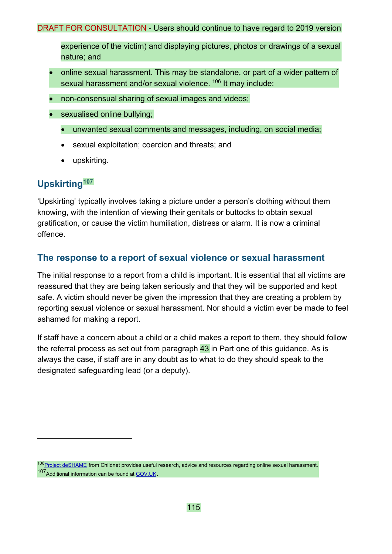experience of the victim) and displaying pictures, photos or drawings of a sexual nature; and

- online sexual harassment. This may be standalone, or part of a wider pattern of sexual harassment and/or sexual violence. <sup>[106](#page-114-0)</sup> It may include:
- non-consensual sharing of sexual images and videos;
- sexualised online bullying;
	- unwanted sexual comments and messages, including, on social media;
	- sexual exploitation; coercion and threats; and
	- upskirting.

# **Upskirting[107](#page-114-1)**

'Upskirting' typically involves taking a picture under a person's clothing without them knowing, with the intention of viewing their genitals or buttocks to obtain sexual gratification, or cause the victim humiliation, distress or alarm. It is now a criminal offence.

# **The response to a report of sexual violence or sexual harassment**

The initial response to a report from a child is important. It is essential that all victims are reassured that they are being taken seriously and that they will be supported and kept safe. A victim should never be given the impression that they are creating a problem by reporting sexual violence or sexual harassment. Nor should a victim ever be made to feel ashamed for making a report.

If staff have a concern about a child or a child makes a report to them, they should follow the referral process as set out from paragraph  $43$  in Part one of this guidance. As is always the case, if staff are in any doubt as to what to do they should speak to the designated safeguarding lead (or a deputy).

<span id="page-114-1"></span><span id="page-114-0"></span><sup>&</sup>lt;sup>106</sup>Project deSHAME from Childnet provides useful research, advice and resources regarding online sexual harassment. 107 Additional information can be found a[t GOV.UK.](https://www.gov.uk/government/news/upskirting-law-comes-into-force)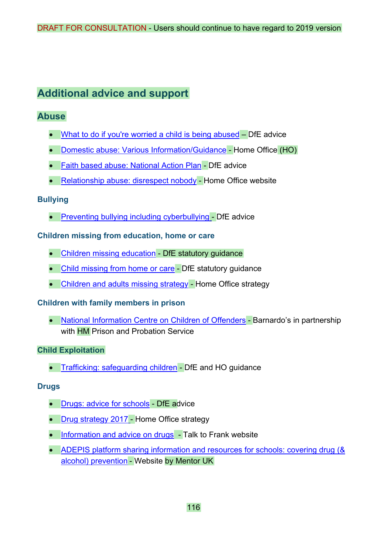# **Additional advice and support**

# **Abuse**

- [What to do if you're worried a child is being abused](https://www.gov.uk/government/publications/what-to-do-if-youre-worried-a-child-is-being-abused--2) DfE advice
- [Domestic abuse: Various Information/Guidance](https://www.gov.uk/domestic-violence-and-abuse) Home Office (HO)
- [Faith based abuse: National Action Plan](https://www.gov.uk/government/publications/national-action-plan-to-tackle-child-abuse-linked-to-faith-or-belief) DfE advice
- [Relationship abuse: disrespect nobody](https://www.disrespectnobody.co.uk/relationship-abuse/what-is-relationship-abuse/) Home Office website

### **Bullying**

• Preventing bullying including cyberbullying - DfE advice

### **Children missing from education, home or care**

- [Children missing education](https://www.gov.uk/government/publications/children-missing-education) DfE statutory guidance
- [Child missing from home or care](https://www.gov.uk/government/publications/children-who-run-away-or-go-missing-from-home-or-care) DfE statutory guidance
- [Children and adults missing strategy](https://www.gov.uk/government/publications/missing-children-and-adults-strategy) Home Office strategy

### **Children with family members in prison**

• [National Information Centre on Children of Offenders](https://www.nicco.org.uk/) - Barnardo's in partnership with **HM** Prison and Probation Service

### **Child Exploitation**

• Trafficking: safequarding children - DfE and HO guidance

### **Drugs**

- [Drugs: advice for schools](https://www.gov.uk/government/publications/drugs-advice-for-schools) DfE advice
- [Drug strategy 2017](https://www.gov.uk/government/publications/drug-strategy-2017) Home Office strategy
- [Information and advice on drugs](http://www.talktofrank.com/) Talk to Frank website
- [ADEPIS platform sharing information and resources for schools: covering drug \(&](http://mentor-adepis.org/)  [alcohol\) prevention](http://mentor-adepis.org/) - Website by Mentor UK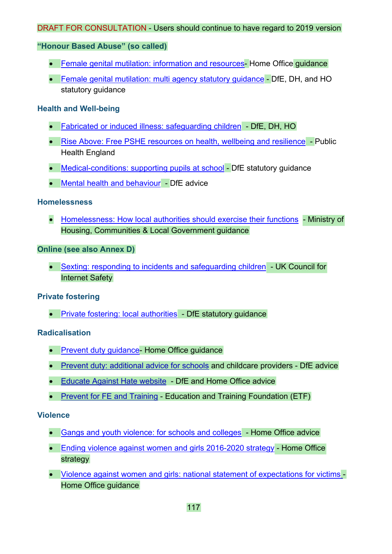#### **"Honour Based Abuse" (so called)**

- [Female genital mutilation: information and resources-](https://www.gov.uk/government/collections/female-genital-mutilation) Home Office guidance
- [Female genital mutilation: multi agency statutory guidance](https://www.gov.uk/government/publications/multi-agency-statutory-guidance-on-female-genital-mutilation) DfE, DH, and HO statutory guidance

#### **Health and Well-being**

- [Fabricated or induced illness: safeguarding children](https://www.gov.uk/government/publications/safeguarding-children-in-whom-illness-is-fabricated-or-induced) DfE, DH, HO
- [Rise Above: Free PSHE resources on health, wellbeing and resilience](https://www.pshe-association.org.uk/curriculum-and-resources/resources/rise-above-schools-teaching-resources) Public Health England
- [Medical-conditions: supporting pupils at school](https://www.gov.uk/government/publications/supporting-pupils-at-school-with-medical-conditions--3) DfE statutory guidance
- [Mental health and behaviour](https://www.gov.uk/government/publications/mental-health-and-behaviour-in-schools--2) DfE advice

#### **Homelessness**

• [Homelessness: How local authorities should exercise their functions](https://www.gov.uk/guidance/homelessness-code-of-guidance-for-local-authorities) - Ministry of Housing, Communities & Local Government guidance

#### **Online (see also Annex D)**

• [Sexting: responding to incidents and safeguarding children](https://www.gov.uk/government/groups/uk-council-for-child-internet-safety-ukccis) - UK Council for Internet Safety

#### **Private fostering**

• [Private fostering: local authorities](https://www.gov.uk/government/publications/children-act-1989-private-fostering) - DfE statutory guidance

#### **Radicalisation**

- [Prevent duty guidance-](https://www.gov.uk/government/publications/prevent-duty-guidance) Home Office guidance
- [Prevent duty: additional advice for schools](https://www.gov.uk/government/publications/protecting-children-from-radicalisation-the-prevent-duty) and childcare providers DfE advice
- [Educate Against Hate website](http://educateagainsthate.com/)  DfE and Home Office advice
- [Prevent for FE and Training](http://preventforfeandtraining.org.uk/) Education and Training Foundation (ETF)

#### **Violence**

- [Gangs and youth violence: for schools and colleges](https://www.gov.uk/government/publications/advice-to-schools-and-colleges-on-gangs-and-youth-violence)  Home Office advice
- [Ending violence against women and girls 2016-2020 strategy](https://www.gov.uk/government/publications/strategy-to-end-violence-against-women-and-girls-2016-to-2020) Home Office strategy
- [Violence against women and girls: national statement of expectations for victims](https://www.gov.uk/government/publications/violence-against-women-and-girls-national-statement-of-expectations) Home Office guidance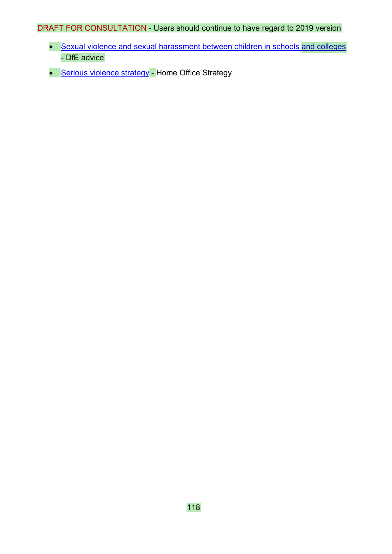- Sexual violence and sexual harassment between children in schools and colleges - DfE advice
- [Serious violence strategy](https://www.gov.uk/government/publications/serious-violence-strategy) Home Office Strategy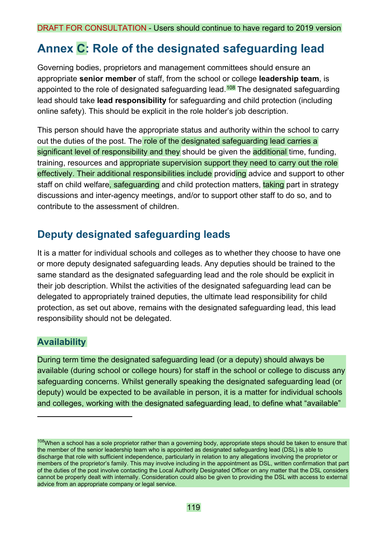# **Annex C: Role of the designated safeguarding lead**

Governing bodies, proprietors and management committees should ensure an appropriate **senior member** of staff, from the school or college **leadership team**, is appointed to the role of designated safeguarding lead.<sup>[108](#page-118-0)</sup> The designated safeguarding lead should take **lead responsibility** for safeguarding and child protection (including online safety). This should be explicit in the role holder's job description.

This person should have the appropriate status and authority within the school to carry out the duties of the post. The role of the designated safeguarding lead carries a significant level of responsibility and they should be given the additional time, funding, training, resources and appropriate supervision support they need to carry out the role effectively. Their additional responsibilities include providing advice and support to other staff on child welfare, safeguarding and child protection matters, taking part in strategy discussions and inter-agency meetings, and/or to support other staff to do so, and to contribute to the assessment of children.

# **Deputy designated safeguarding leads**

It is a matter for individual schools and colleges as to whether they choose to have one or more deputy designated safeguarding leads. Any deputies should be trained to the same standard as the designated safeguarding lead and the role should be explicit in their job description. Whilst the activities of the designated safeguarding lead can be delegated to appropriately trained deputies, the ultimate lead responsibility for child protection, as set out above, remains with the designated safeguarding lead, this lead responsibility should not be delegated.

# **Availability**

During term time the designated safeguarding lead (or a deputy) should always be available (during school or college hours) for staff in the school or college to discuss any safeguarding concerns. Whilst generally speaking the designated safeguarding lead (or deputy) would be expected to be available in person, it is a matter for individual schools and colleges, working with the designated safeguarding lead, to define what "available"

<span id="page-118-0"></span> $108$ When a school has a sole proprietor rather than a governing body, appropriate steps should be taken to ensure that the member of the senior leadership team who is appointed as designated safeguarding lead (DSL) is able to discharge that role with sufficient independence, particularly in relation to any allegations involving the proprietor or members of the proprietor's family. This may involve including in the appointment as DSL, written confirmation that part of the duties of the post involve contacting the Local Authority Designated Officer on any matter that the DSL considers cannot be properly dealt with internally. Consideration could also be given to providing the DSL with access to external advice from an appropriate company or legal service.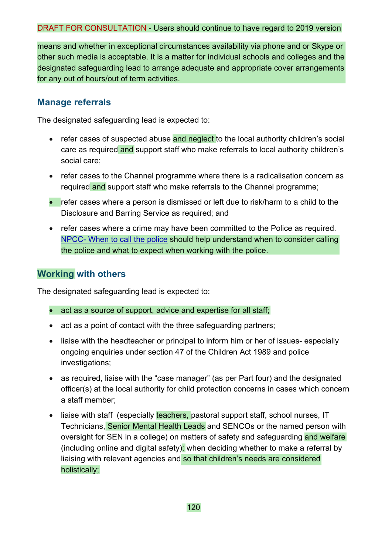means and whether in exceptional circumstances availability via phone and or Skype or other such media is acceptable. It is a matter for individual schools and colleges and the designated safeguarding lead to arrange adequate and appropriate cover arrangements for any out of hours/out of term activities.

# **Manage referrals**

The designated safeguarding lead is expected to:

- refer cases of suspected abuse and neglect to the local authority children's social care as required and support staff who make referrals to local authority children's social care;
- refer cases to the Channel programme where there is a radicalisation concern as required and support staff who make referrals to the Channel programme;
- refer cases where a person is dismissed or left due to risk/harm to a child to the Disclosure and Barring Service as required; and
- refer cases where a crime may have been committed to the Police as required. NPCC- [When to call the police](https://www.npcc.police.uk/documents/Children%20and%20Young%20people/When%20to%20call%20the%20police%20guidance%20for%20schools%20and%20colleges.pdf) should help understand when to consider calling the police and what to expect when working with the police.

# **Working with others**

The designated safeguarding lead is expected to:

- act as a source of support, advice and expertise for all staff;
- act as a point of contact with the three safeguarding partners;
- liaise with the headteacher or principal to inform him or her of issues- especially ongoing enquiries under section 47 of the Children Act 1989 and police investigations;
- as required, liaise with the "case manager" (as per Part four) and the designated officer(s) at the local authority for child protection concerns in cases which concern a staff member;
- liaise with staff (especially teachers, pastoral support staff, school nurses, IT Technicians, Senior Mental Health Leads and SENCOs or the named person with oversight for SEN in a college) on matters of safety and safeguarding and welfare (including online and digital safety): when deciding whether to make a referral by liaising with relevant agencies and so that children's needs are considered holistically;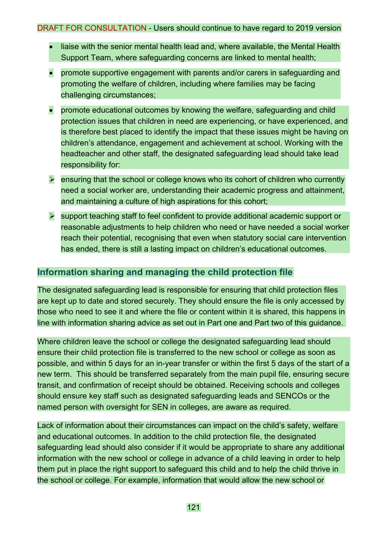- liaise with the senior mental health lead and, where available, the Mental Health Support Team, where safeguarding concerns are linked to mental health;
- promote supportive engagement with parents and/or carers in safeguarding and promoting the welfare of children, including where families may be facing challenging circumstances;
- promote educational outcomes by knowing the welfare, safeguarding and child protection issues that children in need are experiencing, or have experienced, and is therefore best placed to identify the impact that these issues might be having on children's attendance, engagement and achievement at school. Working with the headteacher and other staff, the designated safeguarding lead should take lead responsibility for:
- $\triangleright$  ensuring that the school or college knows who its cohort of children who currently need a social worker are, understanding their academic progress and attainment, and maintaining a culture of high aspirations for this cohort;
- $\triangleright$  support teaching staff to feel confident to provide additional academic support or reasonable adjustments to help children who need or have needed a social worker reach their potential, recognising that even when statutory social care intervention has ended, there is still a lasting impact on children's educational outcomes.

## **Information sharing and managing the child protection file**

The designated safeguarding lead is responsible for ensuring that child protection files are kept up to date and stored securely. They should ensure the file is only accessed by those who need to see it and where the file or content within it is shared, this happens in line with information sharing advice as set out in Part one and Part two of this guidance.

Where children leave the school or college the designated safeguarding lead should ensure their child protection file is transferred to the new school or college as soon as possible, and within 5 days for an in-year transfer or within the first 5 days of the start of a new term. This should be transferred separately from the main pupil file, ensuring secure transit, and confirmation of receipt should be obtained. Receiving schools and colleges should ensure key staff such as designated safeguarding leads and SENCOs or the named person with oversight for SEN in colleges, are aware as required.

Lack of information about their circumstances can impact on the child's safety, welfare and educational outcomes. In addition to the child protection file, the designated safeguarding lead should also consider if it would be appropriate to share any additional information with the new school or college in advance of a child leaving in order to help them put in place the right support to safeguard this child and to help the child thrive in the school or college. For example, information that would allow the new school or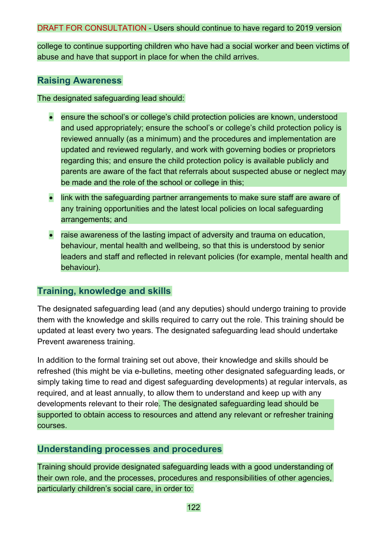college to continue supporting children who have had a social worker and been victims of abuse and have that support in place for when the child arrives.

## **Raising Awareness**

The designated safeguarding lead should:

- ensure the school's or college's child protection policies are known, understood and used appropriately; ensure the school's or college's child protection policy is reviewed annually (as a minimum) and the procedures and implementation are updated and reviewed regularly, and work with governing bodies or proprietors regarding this; and ensure the child protection policy is available publicly and parents are aware of the fact that referrals about suspected abuse or neglect may be made and the role of the school or college in this;
- link with the safeguarding partner arrangements to make sure staff are aware of any training opportunities and the latest local policies on local safeguarding arrangements; and
- raise awareness of the lasting impact of adversity and trauma on education, behaviour, mental health and wellbeing, so that this is understood by senior leaders and staff and reflected in relevant policies (for example, mental health and behaviour).

# **Training, knowledge and skills**

The designated safeguarding lead (and any deputies) should undergo training to provide them with the knowledge and skills required to carry out the role. This training should be updated at least every two years. The designated safeguarding lead should undertake Prevent awareness training.

In addition to the formal training set out above, their knowledge and skills should be refreshed (this might be via e-bulletins, meeting other designated safeguarding leads, or simply taking time to read and digest safeguarding developments) at regular intervals, as required, and at least annually, to allow them to understand and keep up with any developments relevant to their role. The designated safeguarding lead should be supported to obtain access to resources and attend any relevant or refresher training courses.

## **Understanding processes and procedures**

Training should provide designated safeguarding leads with a good understanding of their own role, and the processes, procedures and responsibilities of other agencies, particularly children's social care, in order to: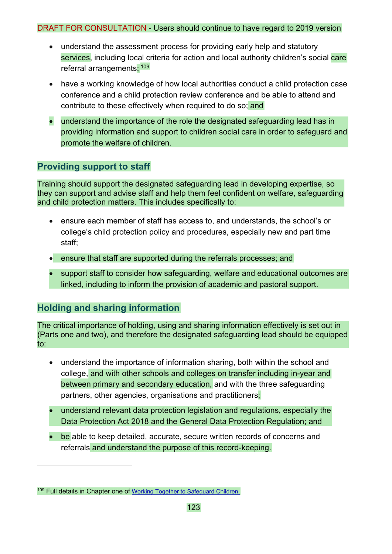- understand the assessment process for providing early help and statutory services, including local criteria for action and local authority children's social care referral arrangements; [109](#page-122-0)
- have a working knowledge of how local authorities conduct a child protection case conference and a child protection review conference and be able to attend and contribute to these effectively when required to do so; and
- understand the importance of the role the designated safeguarding lead has in providing information and support to children social care in order to safeguard and promote the welfare of children.

# **Providing support to staff**

Training should support the designated safeguarding lead in developing expertise, so they can support and advise staff and help them feel confident on welfare, safeguarding and child protection matters. This includes specifically to:

- ensure each member of staff has access to, and understands, the school's or college's child protection policy and procedures, especially new and part time staff;
- ensure that staff are supported during the referrals processes; and
- support staff to consider how safeguarding, welfare and educational outcomes are linked, including to inform the provision of academic and pastoral support.

# **Holding and sharing information**

The critical importance of holding, using and sharing information effectively is set out in (Parts one and two), and therefore the designated safeguarding lead should be equipped to:

- understand the importance of information sharing, both within the school and college, and with other schools and colleges on transfer including in-year and between primary and secondary education, and with the three safeguarding partners, other agencies, organisations and practitioners;
- understand relevant data protection legislation and regulations, especially the Data Protection Act 2018 and the General Data Protection Regulation; and
- be able to keep detailed, accurate, secure written records of concerns and referrals and understand the purpose of this record-keeping.

<span id="page-122-0"></span><sup>&</sup>lt;sup>109</sup> Full details in Chapter one of [Working Together to Safeguard Children.](https://www.gov.uk/government/publications/working-together-to-safeguard-children--2)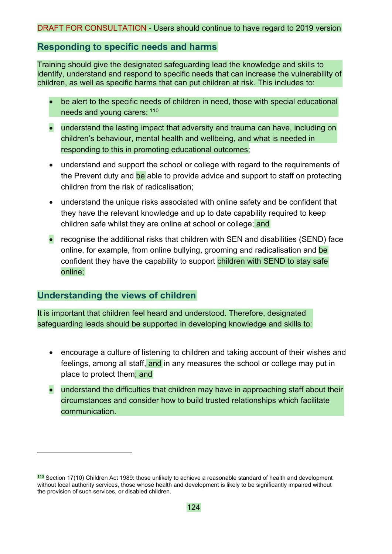## **Responding to specific needs and harms**

Training should give the designated safeguarding lead the knowledge and skills to identify, understand and respond to specific needs that can increase the vulnerability of children, as well as specific harms that can put children at risk. This includes to:

- be alert to the specific needs of children in need, those with special educational needs and young carers; [110](#page-123-0)
- understand the lasting impact that adversity and trauma can have, including on children's behaviour, mental health and wellbeing, and what is needed in responding to this in promoting educational outcomes;
- understand and support the school or college with regard to the requirements of the Prevent duty and be able to provide advice and support to staff on protecting children from the risk of radicalisation;
- understand the unique risks associated with online safety and be confident that they have the relevant knowledge and up to date capability required to keep children safe whilst they are online at school or college: and
- recognise the additional risks that children with SEN and disabilities (SEND) face online, for example, from online bullying, grooming and radicalisation and be confident they have the capability to support children with SEND to stay safe online;

## **Understanding the views of children**

It is important that children feel heard and understood. Therefore, designated safeguarding leads should be supported in developing knowledge and skills to:

- encourage a culture of listening to children and taking account of their wishes and feelings, among all staff, and in any measures the school or college may put in place to protect them; and
- understand the difficulties that children may have in approaching staff about their circumstances and consider how to build trusted relationships which facilitate communication.

<span id="page-123-0"></span><sup>110</sup> Section 17(10) Children Act 1989: those unlikely to achieve a reasonable standard of health and development without local authority services, those whose health and development is likely to be significantly impaired without the provision of such services, or disabled children.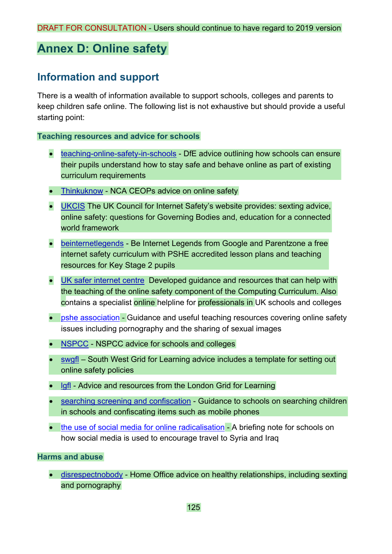# **Annex D: Online safety**

# **Information and support**

There is a wealth of information available to support schools, colleges and parents to keep children safe online. The following list is not exhaustive but should provide a useful starting point:

**Teaching resources and advice for schools**

- [teaching-online-safety-in-schools](https://www.gov.uk/government/publications/teaching-online-safety-in-schools) DfE advice outlining how schools can ensure their pupils understand how to stay safe and behave online as part of existing curriculum requirements
- [Thinkuknow](https://www.thinkuknow.co.uk/) NCA CEOPs advice on online safety
- [UKCIS](https://www.gov.uk/government/organisations/uk-council-for-internet-safety) The UK Council for Internet Safety's website provides: sexting advice, online safety: questions for Governing Bodies and, education for a connected world framework
- [beinternetlegends](https://beinternetlegends.withgoogle.com/en_uk?utm_source=google&utm_medium=cpc&utm_campaign=be_internet_legends&utm_term=beinternetlegends&gclid=EAIaIQobChMIgtu-0dmH5wI) Be Internet Legends from Google and Parentzone a free internet safety curriculum with PSHE accredited lesson plans and teaching resources for Key Stage 2 pupils
- [UK safer internet centre](http://www.saferinternet.org.uk/) Developed guidance and resources that can help with the teaching of the online safety component of the Computing Curriculum. Also contains a specialist online helpline for professionals in UK schools and colleges
- [pshe association](https://www.pshe-association.org.uk/) Guidance and useful teaching resources covering online safety issues including pornography and the sharing of sexual images
- [NSPCC](http://www.nspcc.org.uk/preventing-abuse/keeping-children-safe/online-safety/e-safety-schools/) NSPCC advice for schools and colleges
- [swgfl](http://www.swgfl.org.uk/) South West Grid for Learning advice includes a template for setting out online safety policies
- [lgfl](http://www.lgfl.net/online-safety/) Advice and resources from the London Grid for Learning
- [searching screening and confiscation](http://www.gov.uk/government/publications/searching-screening-and-confiscation) Guidance to schools on searching children in schools and confiscating items such as mobile phones
- the use of [social media for online radicalisation](https://www.gov.uk/government/publications/the-use-of-social-media-for-online-radicalisation) A briefing note for schools on how social media is used to encourage travel to Syria and Iraq

### **Harms and abuse**

• [disrespectnobody](https://www.disrespectnobody.co.uk/) - Home Office advice on healthy relationships, including sexting and pornography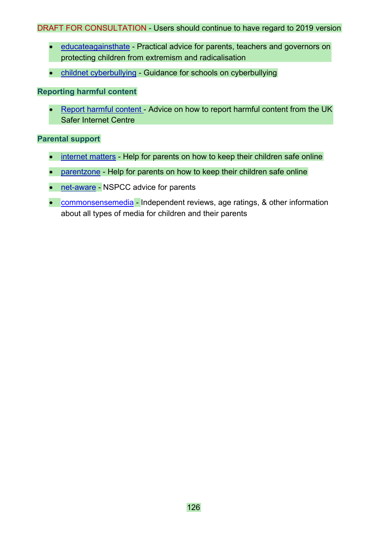- [educateagainsthate](http://www.educateagainsthate.com/) Practical advice for parents, teachers and governors on protecting children from extremism and radicalisation
- [childnet cyberbullying](http://www.childnet.com/cyberbullying-guidance) Guidance for schools on cyberbullying

#### **Reporting harmful content**

• [Report harmful content](https://reportharmfulcontent.com/) - Advice on how to report harmful content from the UK Safer Internet Centre

#### **Parental support**

- [internet matters](https://www.internetmatters.org/?gclid=EAIaIQobChMIktuA5LWK2wIVRYXVCh2afg2aEAAYASAAEgIJ5vD_BwE) Help for parents on how to keep their children safe online
- [parentzone](https://parentzone.org.uk/) Help for parents on how to keep their children safe online
- [net-aware](http://www.net-aware.org.uk/) NSPCC advice for parents
- [commonsensemedia](http://www.commonsensemedia.org/) Independent reviews, age ratings, & other information about all types of media for children and their parents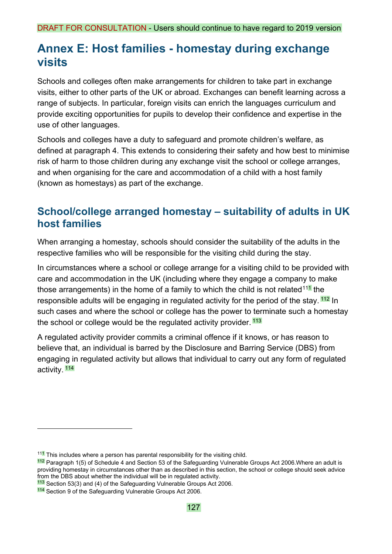# **Annex E: Host families - homestay during exchange visits**

Schools and colleges often make arrangements for children to take part in exchange visits, either to other parts of the UK or abroad. Exchanges can benefit learning across a range of subjects. In particular, foreign visits can enrich the languages curriculum and provide exciting opportunities for pupils to develop their confidence and expertise in the use of other languages.

Schools and colleges have a duty to safeguard and promote children's welfare, as defined at paragraph 4. This extends to considering their safety and how best to minimise risk of harm to those children during any exchange visit the school or college arranges, and when organising for the care and accommodation of a child with a host family (known as homestays) as part of the exchange.

# **School/college arranged homestay – suitability of adults in UK host families**

When arranging a homestay, schools should consider the suitability of the adults in the respective families who will be responsible for the visiting child during the stay.

In circumstances where a school or college arrange for a visiting child to be provided with care and accommodation in the UK (including where they engage a company to make those arrangements) in the home of a family to which the child is not related<sup>111</sup> the responsible adults will be engaging in regulated activity for the period of the stay. <sup>[112](#page-126-1)</sup> In such cases and where the school or college has the power to terminate such a homestay the school or college would be the regulated activity provider. <sup>[113](#page-126-2)</sup>

A regulated activity provider commits a criminal offence if it knows, or has reason to believe that, an individual is barred by the Disclosure and Barring Service (DBS) from engaging in regulated activity but allows that individual to carry out any form of regulated activity.<sup>[114](#page-126-3)</sup>

<span id="page-126-0"></span> $11$ <sup>11</sup> This includes where a person has parental responsibility for the visiting child.

<span id="page-126-1"></span><sup>112</sup> Paragraph 1(5) of Schedule 4 and Section 53 of the Safeguarding Vulnerable Groups Act 2006. Where an adult is providing homestay in circumstances other than as described in this section, the school or college should seek advice from the DBS about whether the individual will be in regulated activity.

<span id="page-126-2"></span><sup>113</sup> Section 53(3) and (4) of the Safeguarding Vulnerable Groups Act 2006.

<span id="page-126-3"></span><sup>114</sup> Section 9 of the Safeguarding Vulnerable Groups Act 2006.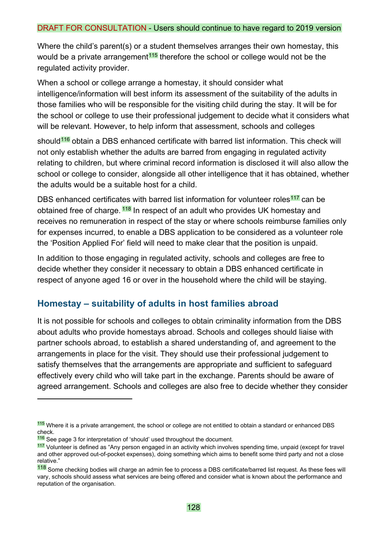Where the child's parent(s) or a student themselves arranges their own homestay, this would be a private arrangement<sup>[115](#page-127-0)</sup> therefore the school or college would not be the regulated activity provider.

When a school or college arrange a homestay, it should consider what intelligence/information will best inform its assessment of the suitability of the adults in those families who will be responsible for the visiting child during the stay. It will be for the school or college to use their professional judgement to decide what it considers what will be relevant. However, to help inform that assessment, schools and colleges

should<sup>[116](#page-127-1)</sup> obtain a DBS enhanced certificate with barred list information. This check will not only establish whether the adults are barred from engaging in regulated activity relating to children, but where criminal record information is disclosed it will also allow the school or college to consider, alongside all other intelligence that it has obtained, whether the adults would be a suitable host for a child.

DBS enhanced certificates with barred list information for volunteer roles<sup>[117](#page-127-2)</sup> can be obtained free of charge. <sup>[118](#page-127-3)</sup> In respect of an adult who provides UK homestay and receives no remuneration in respect of the stay or where schools reimburse families only for expenses incurred, to enable a DBS application to be considered as a volunteer role the 'Position Applied For' field will need to make clear that the position is unpaid.

In addition to those engaging in regulated activity, schools and colleges are free to decide whether they consider it necessary to obtain a DBS enhanced certificate in respect of anyone aged 16 or over in the household where the child will be staying.

# **Homestay – suitability of adults in host families abroad**

It is not possible for schools and colleges to obtain criminality information from the DBS about adults who provide homestays abroad. Schools and colleges should liaise with partner schools abroad, to establish a shared understanding of, and agreement to the arrangements in place for the visit. They should use their professional judgement to satisfy themselves that the arrangements are appropriate and sufficient to safeguard effectively every child who will take part in the exchange. Parents should be aware of agreed arrangement. Schools and colleges are also free to decide whether they consider

<span id="page-127-0"></span><sup>&</sup>lt;sup>115</sup> Where it is a private arrangement, the school or college are not entitled to obtain a standard or enhanced DBS check.

<span id="page-127-1"></span><sup>116</sup> See page 3 for interpretation of 'should' used throughout the document.

<span id="page-127-2"></span><sup>&</sup>lt;sup>117</sup> Volunteer is defined as "Any person engaged in an activity which involves spending time, unpaid (except for travel and other approved out-of-pocket expenses), doing something which aims to benefit some third party and not a close relative."

<span id="page-127-3"></span><sup>118</sup> Some checking bodies will charge an admin fee to process a DBS certificate/barred list request. As these fees will vary, schools should assess what services are being offered and consider what is known about the performance and reputation of the organisation.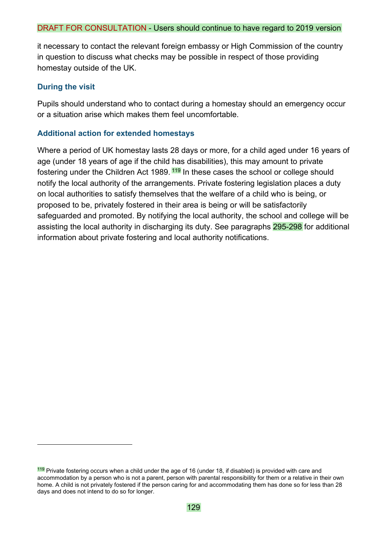it necessary to contact the relevant foreign embassy or High Commission of the country in question to discuss what checks may be possible in respect of those providing homestay outside of the UK.

#### **During the visit**

Pupils should understand who to contact during a homestay should an emergency occur or a situation arise which makes them feel uncomfortable.

#### **Additional action for extended homestays**

Where a period of UK homestay lasts 28 days or more, for a child aged under 16 years of age (under 18 years of age if the child has disabilities), this may amount to private fostering under the Children Act 1989.<sup>[119](#page-128-0)</sup> In these cases the school or college should notify the local authority of the arrangements. Private fostering legislation places a duty on local authorities to satisfy themselves that the welfare of a child who is being, or proposed to be, privately fostered in their area is being or will be satisfactorily safeguarded and promoted. By notifying the local authority, the school and college will be assisting the local authority in discharging its duty. See paragraphs 295-298 for additional information about private fostering and local authority notifications.

<span id="page-128-0"></span><sup>119</sup> Private fostering occurs when a child under the age of 16 (under 18, if disabled) is provided with care and accommodation by a person who is not a parent, person with parental responsibility for them or a relative in their own home. A child is not privately fostered if the person caring for and accommodating them has done so for less than 28 days and does not intend to do so for longer.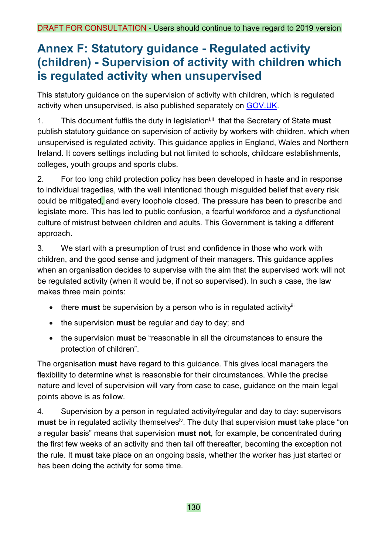# **Annex F: Statutory guidance - Regulated activity (children) - Supervision of activity with children which is regulated activity when unsupervised**

This statutory guidance on the supervision of activity with children, which is regulated activity when unsupervised, is also published separately on **GOV.UK.** 

1. This document fulfils the duty in legislationi,ii that the Secretary of State **must** publish statutory guidance on supervision of activity by workers with children, which when unsupervised is regulated activity. This guidance applies in England, Wales and Northern Ireland. It covers settings including but not limited to schools, childcare establishments, colleges, youth groups and sports clubs.

2. For too long child protection policy has been developed in haste and in response to individual tragedies, with the well intentioned though misguided belief that every risk could be mitigated, and every loophole closed. The pressure has been to prescribe and legislate more. This has led to public confusion, a fearful workforce and a dysfunctional culture of mistrust between children and adults. This Government is taking a different approach.

3. We start with a presumption of trust and confidence in those who work with children, and the good sense and judgment of their managers. This guidance applies when an organisation decides to supervise with the aim that the supervised work will not be regulated activity (when it would be, if not so supervised). In such a case, the law makes three main points:

- there **must** be supervision by a person who is in regulated activity<sup>iii</sup>
- the supervision **must** be regular and day to day; and
- the supervision **must** be "reasonable in all the circumstances to ensure the protection of children".

The organisation **must** have regard to this guidance. This gives local managers the flexibility to determine what is reasonable for their circumstances. While the precise nature and level of supervision will vary from case to case, guidance on the main legal points above is as follow.

4. Supervision by a person in regulated activity/regular and day to day: supervisors **must** be in regulated activity themselvesiv. The duty that supervision **must** take place "on a regular basis" means that supervision **must not**, for example, be concentrated during the first few weeks of an activity and then tail off thereafter, becoming the exception not the rule. It **must** take place on an ongoing basis, whether the worker has just started or has been doing the activity for some time.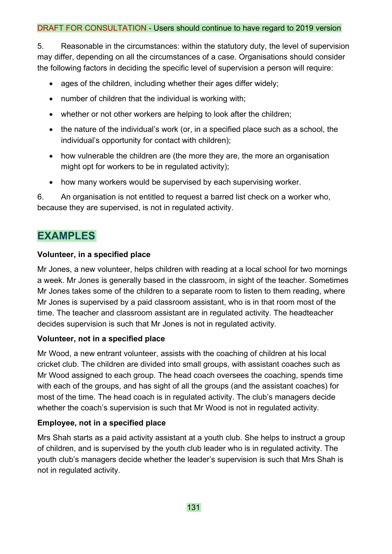5. Reasonable in the circumstances: within the statutory duty, the level of supervision may differ, depending on all the circumstances of a case. Organisations should consider the following factors in deciding the specific level of supervision a person will require:

- ages of the children, including whether their ages differ widely;
- number of children that the individual is working with;
- whether or not other workers are helping to look after the children;
- the nature of the individual's work (or, in a specified place such as a school, the individual's opportunity for contact with children);
- how vulnerable the children are (the more they are, the more an organisation might opt for workers to be in regulated activity);
- how many workers would be supervised by each supervising worker.

6. An organisation is not entitled to request a barred list check on a worker who, because they are supervised, is not in regulated activity.

# **EXAMPLES**

### **Volunteer, in a specified place**

Mr Jones, a new volunteer, helps children with reading at a local school for two mornings a week. Mr Jones is generally based in the classroom, in sight of the teacher. Sometimes Mr Jones takes some of the children to a separate room to listen to them reading, where Mr Jones is supervised by a paid classroom assistant, who is in that room most of the time. The teacher and classroom assistant are in regulated activity. The headteacher decides supervision is such that Mr Jones is not in regulated activity.

### **Volunteer, not in a specified place**

Mr Wood, a new entrant volunteer, assists with the coaching of children at his local cricket club. The children are divided into small groups, with assistant coaches such as Mr Wood assigned to each group. The head coach oversees the coaching, spends time with each of the groups, and has sight of all the groups (and the assistant coaches) for most of the time. The head coach is in regulated activity. The club's managers decide whether the coach's supervision is such that Mr Wood is not in regulated activity.

### **Employee, not in a specified place**

Mrs Shah starts as a paid activity assistant at a youth club. She helps to instruct a group of children, and is supervised by the youth club leader who is in regulated activity. The youth club's managers decide whether the leader's supervision is such that Mrs Shah is not in regulated activity.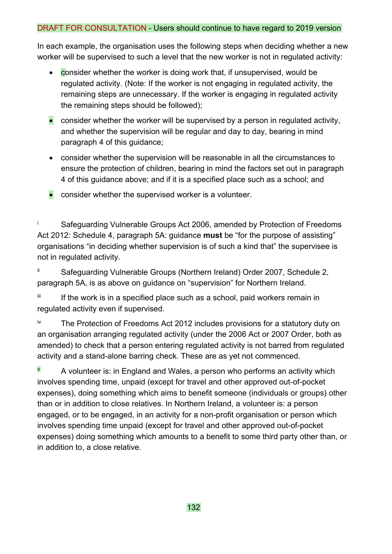In each example, the organisation uses the following steps when deciding whether a new worker will be supervised to such a level that the new worker is not in regulated activity:

- consider whether the worker is doing work that, if unsupervised, would be regulated activity. (Note: If the worker is not engaging in regulated activity, the remaining steps are unnecessary. If the worker is engaging in regulated activity the remaining steps should be followed);
- consider whether the worker will be supervised by a person in regulated activity, and whether the supervision will be regular and day to day, bearing in mind paragraph 4 of this guidance;
- consider whether the supervision will be reasonable in all the circumstances to ensure the protection of children, bearing in mind the factors set out in paragraph 4 of this guidance above; and if it is a specified place such as a school; and
- consider whether the supervised worker is a volunteer.

<sup>i</sup> Safeguarding Vulnerable Groups Act 2006, amended by Protection of Freedoms Act 2012: Schedule 4, paragraph 5A: guidance **must** be "for the purpose of assisting" organisations "in deciding whether supervision is of such a kind that" the supervisee is not in regulated activity.

ii Safeguarding Vulnerable Groups (Northern Ireland) Order 2007, Schedule 2, paragraph 5A, is as above on guidance on "supervision" for Northern Ireland.

iii If the work is in a specified place such as a school, paid workers remain in regulated activity even if supervised.

 $i<sup>v</sup>$  The Protection of Freedoms Act 2012 includes provisions for a statutory duty on an organisation arranging regulated activity (under the 2006 Act or 2007 Order, both as amended) to check that a person entering regulated activity is not barred from regulated activity and a stand-alone barring check. These are as yet not commenced.

 $\overline{v}$  A volunteer is: in England and Wales, a person who performs an activity which involves spending time, unpaid (except for travel and other approved out-of-pocket expenses), doing something which aims to benefit someone (individuals or groups) other than or in addition to close relatives. In Northern Ireland, a volunteer is: a person engaged, or to be engaged, in an activity for a non-profit organisation or person which involves spending time unpaid (except for travel and other approved out-of-pocket expenses) doing something which amounts to a benefit to some third party other than, or in addition to, a close relative.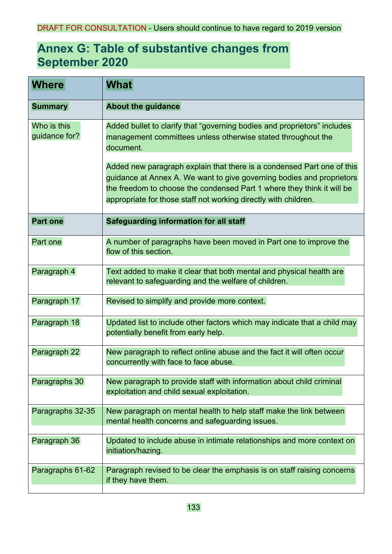# **Annex G: Table of substantive changes from September 2020**

| <b>Where</b>                 | <b>What</b>                                                                                                                                                                                                                                                                                  |
|------------------------------|----------------------------------------------------------------------------------------------------------------------------------------------------------------------------------------------------------------------------------------------------------------------------------------------|
| <b>Summary</b>               | <b>About the guidance</b>                                                                                                                                                                                                                                                                    |
| Who is this<br>guidance for? | Added bullet to clarify that "governing bodies and proprietors" includes<br>management committees unless otherwise stated throughout the<br>document.                                                                                                                                        |
|                              | Added new paragraph explain that there is a condensed Part one of this<br>guidance at Annex A. We want to give governing bodies and proprietors<br>the freedom to choose the condensed Part 1 where they think it will be<br>appropriate for those staff not working directly with children. |
| <b>Part one</b>              | Safeguarding information for all staff                                                                                                                                                                                                                                                       |
| Part one                     | A number of paragraphs have been moved in Part one to improve the<br>flow of this section.                                                                                                                                                                                                   |
| Paragraph 4                  | Text added to make it clear that both mental and physical health are<br>relevant to safeguarding and the welfare of children.                                                                                                                                                                |
| Paragraph 17                 | Revised to simplify and provide more context.                                                                                                                                                                                                                                                |
| Paragraph 18                 | Updated list to include other factors which may indicate that a child may<br>potentially benefit from early help.                                                                                                                                                                            |
| Paragraph 22                 | New paragraph to reflect online abuse and the fact it will often occur<br>concurrently with face to face abuse.                                                                                                                                                                              |
| Paragraphs 30                | New paragraph to provide staff with information about child criminal<br>exploitation and child sexual exploitation.                                                                                                                                                                          |
| Paragraphs 32-35             | New paragraph on mental health to help staff make the link between<br>mental health concerns and safeguarding issues.                                                                                                                                                                        |
| Paragraph 36                 | Updated to include abuse in intimate relationships and more context on<br>initiation/hazing.                                                                                                                                                                                                 |
| Paragraphs 61-62             | Paragraph revised to be clear the emphasis is on staff raising concerns<br>if they have them.                                                                                                                                                                                                |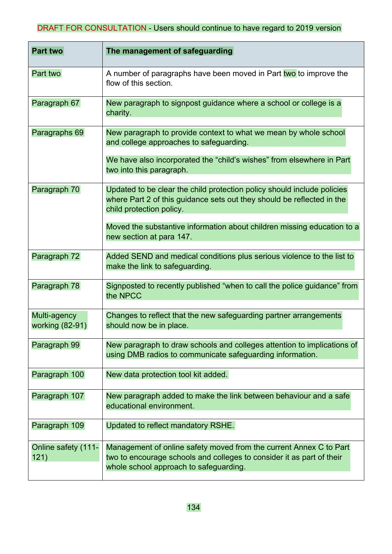| <b>Part two</b>                 | The management of safeguarding                                                                                                                                                        |
|---------------------------------|---------------------------------------------------------------------------------------------------------------------------------------------------------------------------------------|
| Part two                        | A number of paragraphs have been moved in Part two to improve the<br>flow of this section.                                                                                            |
| Paragraph 67                    | New paragraph to signpost guidance where a school or college is a<br>charity.                                                                                                         |
| Paragraphs 69                   | New paragraph to provide context to what we mean by whole school<br>and college approaches to safeguarding.                                                                           |
|                                 | We have also incorporated the "child's wishes" from elsewhere in Part<br>two into this paragraph.                                                                                     |
| Paragraph 70                    | Updated to be clear the child protection policy should include policies<br>where Part 2 of this guidance sets out they should be reflected in the<br>child protection policy.         |
|                                 | Moved the substantive information about children missing education to a<br>new section at para 147.                                                                                   |
| Paragraph 72                    | Added SEND and medical conditions plus serious violence to the list to<br>make the link to safeguarding.                                                                              |
| Paragraph 78                    | Signposted to recently published "when to call the police guidance" from<br>the NPCC                                                                                                  |
| Multi-agency<br>working (82-91) | Changes to reflect that the new safeguarding partner arrangements<br>should now be in place.                                                                                          |
| Paragraph 99                    | New paragraph to draw schools and colleges attention to implications of<br>using DMB radios to communicate safeguarding information.                                                  |
| Paragraph 100                   | New data protection tool kit added.                                                                                                                                                   |
| Paragraph 107                   | New paragraph added to make the link between behaviour and a safe<br>educational environment.                                                                                         |
| Paragraph 109                   | Updated to reflect mandatory RSHE.                                                                                                                                                    |
| Online safety (111-<br>121)     | Management of online safety moved from the current Annex C to Part<br>two to encourage schools and colleges to consider it as part of their<br>whole school approach to safeguarding. |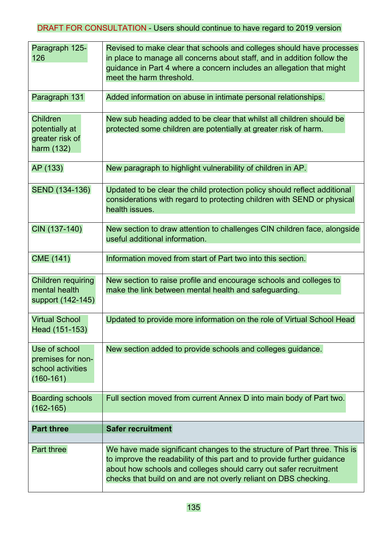| Paragraph 125-<br>126                                                    | Revised to make clear that schools and colleges should have processes<br>in place to manage all concerns about staff, and in addition follow the<br>guidance in Part 4 where a concern includes an allegation that might<br>meet the harm threshold.                                         |
|--------------------------------------------------------------------------|----------------------------------------------------------------------------------------------------------------------------------------------------------------------------------------------------------------------------------------------------------------------------------------------|
| Paragraph 131                                                            | Added information on abuse in intimate personal relationships.                                                                                                                                                                                                                               |
| <b>Children</b><br>potentially at<br>greater risk of<br>harm (132)       | New sub heading added to be clear that whilst all children should be<br>protected some children are potentially at greater risk of harm.                                                                                                                                                     |
| AP (133)                                                                 | New paragraph to highlight vulnerability of children in AP.                                                                                                                                                                                                                                  |
| SEND (134-136)                                                           | Updated to be clear the child protection policy should reflect additional<br>considerations with regard to protecting children with SEND or physical<br>health issues.                                                                                                                       |
| CIN (137-140)                                                            | New section to draw attention to challenges CIN children face, alongside<br>useful additional information.                                                                                                                                                                                   |
| <b>CME (141)</b>                                                         | Information moved from start of Part two into this section.                                                                                                                                                                                                                                  |
| <b>Children requiring</b><br>mental health<br>support (142-145)          | New section to raise profile and encourage schools and colleges to<br>make the link between mental health and safeguarding.                                                                                                                                                                  |
| <b>Virtual School</b><br>Head (151-153)                                  | Updated to provide more information on the role of Virtual School Head                                                                                                                                                                                                                       |
| Use of school<br>premises for non-<br>school activities<br>$(160 - 161)$ | New section added to provide schools and colleges guidance.                                                                                                                                                                                                                                  |
| <b>Boarding schools</b><br>$(162 - 165)$                                 | Full section moved from current Annex D into main body of Part two.                                                                                                                                                                                                                          |
| <b>Part three</b>                                                        | <b>Safer recruitment</b>                                                                                                                                                                                                                                                                     |
| <b>Part three</b>                                                        | We have made significant changes to the structure of Part three. This is<br>to improve the readability of this part and to provide further guidance<br>about how schools and colleges should carry out safer recruitment<br>checks that build on and are not overly reliant on DBS checking. |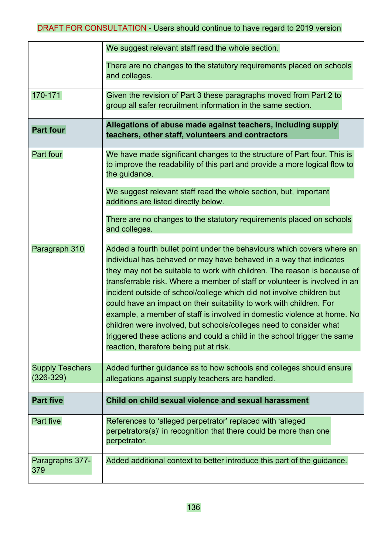|                                       | We suggest relevant staff read the whole section.                                                                                                                                                                                                                                                                                                                                                                                                                                                                                                                                                                                                                                                                              |
|---------------------------------------|--------------------------------------------------------------------------------------------------------------------------------------------------------------------------------------------------------------------------------------------------------------------------------------------------------------------------------------------------------------------------------------------------------------------------------------------------------------------------------------------------------------------------------------------------------------------------------------------------------------------------------------------------------------------------------------------------------------------------------|
|                                       | There are no changes to the statutory requirements placed on schools<br>and colleges.                                                                                                                                                                                                                                                                                                                                                                                                                                                                                                                                                                                                                                          |
| 170-171                               | Given the revision of Part 3 these paragraphs moved from Part 2 to<br>group all safer recruitment information in the same section.                                                                                                                                                                                                                                                                                                                                                                                                                                                                                                                                                                                             |
| <b>Part four</b>                      | Allegations of abuse made against teachers, including supply<br>teachers, other staff, volunteers and contractors                                                                                                                                                                                                                                                                                                                                                                                                                                                                                                                                                                                                              |
| Part four                             | We have made significant changes to the structure of Part four. This is<br>to improve the readability of this part and provide a more logical flow to<br>the guidance.<br>We suggest relevant staff read the whole section, but, important                                                                                                                                                                                                                                                                                                                                                                                                                                                                                     |
|                                       | additions are listed directly below.<br>There are no changes to the statutory requirements placed on schools<br>and colleges.                                                                                                                                                                                                                                                                                                                                                                                                                                                                                                                                                                                                  |
| Paragraph 310                         | Added a fourth bullet point under the behaviours which covers where an<br>individual has behaved or may have behaved in a way that indicates<br>they may not be suitable to work with children. The reason is because of<br>transferrable risk. Where a member of staff or volunteer is involved in an<br>incident outside of school/college which did not involve children but<br>could have an impact on their suitability to work with children. For<br>example, a member of staff is involved in domestic violence at home. No<br>children were involved, but schools/colleges need to consider what<br>triggered these actions and could a child in the school trigger the same<br>reaction, therefore being put at risk. |
| <b>Supply Teachers</b><br>$(326-329)$ | Added further guidance as to how schools and colleges should ensure<br>allegations against supply teachers are handled.                                                                                                                                                                                                                                                                                                                                                                                                                                                                                                                                                                                                        |
| <b>Part five</b>                      | Child on child sexual violence and sexual harassment                                                                                                                                                                                                                                                                                                                                                                                                                                                                                                                                                                                                                                                                           |
| Part five                             | References to 'alleged perpetrator' replaced with 'alleged<br>perpetrators(s)' in recognition that there could be more than one<br>perpetrator.                                                                                                                                                                                                                                                                                                                                                                                                                                                                                                                                                                                |
| Paragraphs 377-<br>379                | Added additional context to better introduce this part of the guidance.                                                                                                                                                                                                                                                                                                                                                                                                                                                                                                                                                                                                                                                        |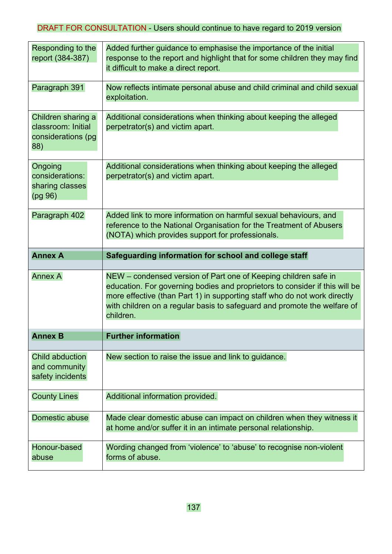| Responding to the<br>report (384-387)                                 | Added further guidance to emphasise the importance of the initial<br>response to the report and highlight that for some children they may find<br>it difficult to make a direct report.                                                                                                                              |
|-----------------------------------------------------------------------|----------------------------------------------------------------------------------------------------------------------------------------------------------------------------------------------------------------------------------------------------------------------------------------------------------------------|
| Paragraph 391                                                         | Now reflects intimate personal abuse and child criminal and child sexual<br>exploitation.                                                                                                                                                                                                                            |
| Children sharing a<br>classroom: Initial<br>considerations (pg<br>88) | Additional considerations when thinking about keeping the alleged<br>perpetrator(s) and victim apart.                                                                                                                                                                                                                |
| Ongoing<br>considerations:<br>sharing classes<br>(pg 96)              | Additional considerations when thinking about keeping the alleged<br>perpetrator(s) and victim apart.                                                                                                                                                                                                                |
| Paragraph 402                                                         | Added link to more information on harmful sexual behaviours, and<br>reference to the National Organisation for the Treatment of Abusers<br>(NOTA) which provides support for professionals.                                                                                                                          |
|                                                                       |                                                                                                                                                                                                                                                                                                                      |
| <b>Annex A</b>                                                        | Safeguarding information for school and college staff                                                                                                                                                                                                                                                                |
| <b>Annex A</b>                                                        | NEW - condensed version of Part one of Keeping children safe in<br>education. For governing bodies and proprietors to consider if this will be<br>more effective (than Part 1) in supporting staff who do not work directly<br>with children on a regular basis to safeguard and promote the welfare of<br>children. |
| <b>Annex B</b>                                                        | <b>Further information</b>                                                                                                                                                                                                                                                                                           |
| <b>Child abduction</b><br>and community<br>safety incidents           | New section to raise the issue and link to guidance.                                                                                                                                                                                                                                                                 |
| <b>County Lines</b>                                                   | Additional information provided.                                                                                                                                                                                                                                                                                     |
| Domestic abuse                                                        | Made clear domestic abuse can impact on children when they witness it<br>at home and/or suffer it in an intimate personal relationship.                                                                                                                                                                              |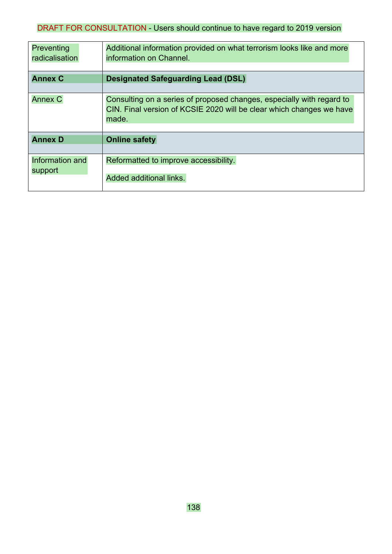| <b>Preventing</b><br>radicalisation | Additional information provided on what terrorism looks like and more<br>information on Channel.                                                       |
|-------------------------------------|--------------------------------------------------------------------------------------------------------------------------------------------------------|
| <b>Annex C</b>                      | <b>Designated Safeguarding Lead (DSL)</b>                                                                                                              |
| <b>Annex C</b>                      | Consulting on a series of proposed changes, especially with regard to<br>CIN. Final version of KCSIE 2020 will be clear which changes we have<br>made. |
| <b>Annex D</b>                      | <b>Online safety</b>                                                                                                                                   |
| Information and<br>support          | Reformatted to improve accessibility.<br>Added additional links.                                                                                       |